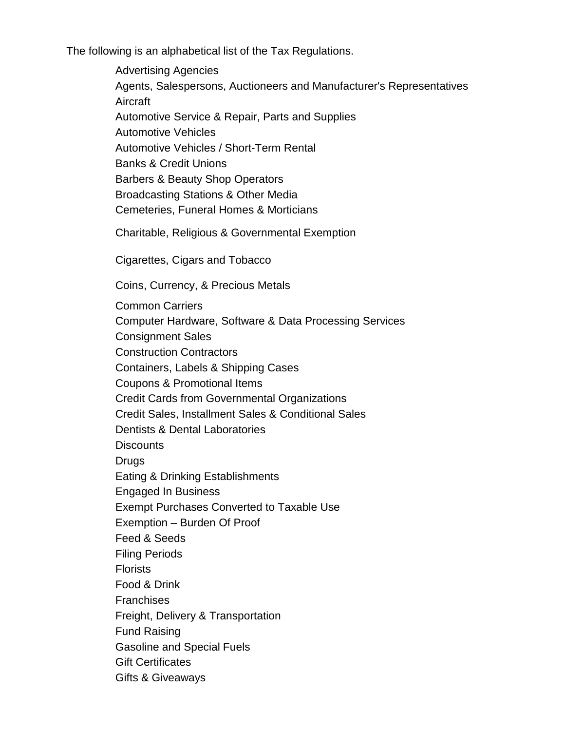The following is an alphabetical list of the Tax Regulations.

Advertising Agencies Agents, Salespersons, Auctioneers and Manufacturer's Representatives **Aircraft** Automotive Service & Repair, Parts and Supplies Automotive Vehicles Automotive Vehicles / Short-Term Rental Banks & Credit Unions Barbers & Beauty Shop Operators Broadcasting Stations & Other Media Cemeteries, Funeral Homes & Morticians Charitable, Religious & Governmental Exemption Cigarettes, Cigars and Tobacco Coins, Currency, & Precious Metals Common Carriers Computer Hardware, Software & Data Processing Services Consignment Sales Construction Contractors Containers, Labels & Shipping Cases Coupons & Promotional Items Credit Cards from Governmental Organizations Credit Sales, Installment Sales & Conditional Sales Dentists & Dental Laboratories **Discounts** Drugs Eating & Drinking Establishments Engaged In Business Exempt Purchases Converted to Taxable Use Exemption – Burden Of Proof Feed & Seeds Filing Periods **Florists** Food & Drink **Franchises** Freight, Delivery & Transportation Fund Raising Gasoline and Special Fuels Gift Certificates Gifts & Giveaways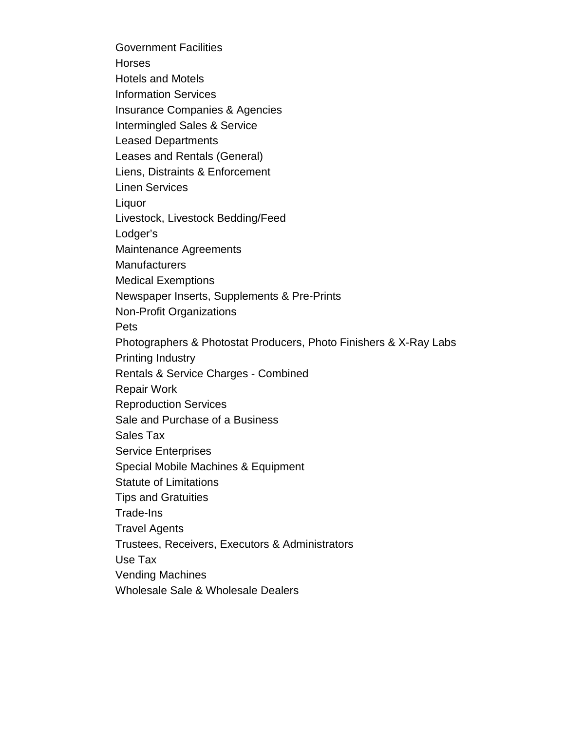Government Facilities **Horses** Hotels and Motels Information Services Insurance Companies & Agencies Intermingled Sales & Service Leased Departments Leases and Rentals (General) Liens, Distraints & Enforcement Linen Services Liquor Livestock, Livestock Bedding/Feed Lodger's Maintenance Agreements **Manufacturers** Medical Exemptions Newspaper Inserts, Supplements & Pre-Prints Non-Profit Organizations Pets Photographers & Photostat Producers, Photo Finishers & X-Ray Labs Printing Industry Rentals & Service Charges - Combined Repair Work Reproduction Services Sale and Purchase of a Business Sales Tax Service Enterprises Special Mobile Machines & Equipment Statute of Limitations Tips and Gratuities Trade-Ins Travel Agents Trustees, Receivers, Executors & Administrators Use Tax Vending Machines Wholesale Sale & Wholesale Dealers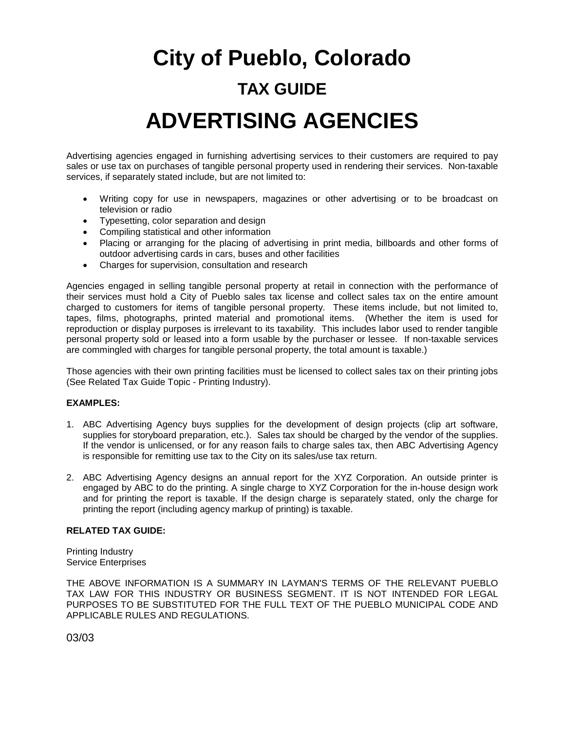# **City of Pueblo, Colorado TAX GUIDE ADVERTISING AGENCIES**

Advertising agencies engaged in furnishing advertising services to their customers are required to pay sales or use tax on purchases of tangible personal property used in rendering their services. Non-taxable services, if separately stated include, but are not limited to:

- Writing copy for use in newspapers, magazines or other advertising or to be broadcast on television or radio
- Typesetting, color separation and design
- Compiling statistical and other information
- Placing or arranging for the placing of advertising in print media, billboards and other forms of outdoor advertising cards in cars, buses and other facilities
- Charges for supervision, consultation and research

Agencies engaged in selling tangible personal property at retail in connection with the performance of their services must hold a City of Pueblo sales tax license and collect sales tax on the entire amount charged to customers for items of tangible personal property. These items include, but not limited to, tapes, films, photographs, printed material and promotional items. (Whether the item is used for reproduction or display purposes is irrelevant to its taxability. This includes labor used to render tangible personal property sold or leased into a form usable by the purchaser or lessee. If non-taxable services are commingled with charges for tangible personal property, the total amount is taxable.)

Those agencies with their own printing facilities must be licensed to collect sales tax on their printing jobs (See Related Tax Guide Topic - Printing Industry).

#### **EXAMPLES:**

- 1. ABC Advertising Agency buys supplies for the development of design projects (clip art software, supplies for storyboard preparation, etc.). Sales tax should be charged by the vendor of the supplies. If the vendor is unlicensed, or for any reason fails to charge sales tax, then ABC Advertising Agency is responsible for remitting use tax to the City on its sales/use tax return.
- 2. ABC Advertising Agency designs an annual report for the XYZ Corporation. An outside printer is engaged by ABC to do the printing. A single charge to XYZ Corporation for the in-house design work and for printing the report is taxable. If the design charge is separately stated, only the charge for printing the report (including agency markup of printing) is taxable.

#### **RELATED TAX GUIDE:**

Printing Industry Service Enterprises

THE ABOVE INFORMATION IS A SUMMARY IN LAYMAN'S TERMS OF THE RELEVANT PUEBLO TAX LAW FOR THIS INDUSTRY OR BUSINESS SEGMENT. IT IS NOT INTENDED FOR LEGAL PURPOSES TO BE SUBSTITUTED FOR THE FULL TEXT OF THE PUEBLO MUNICIPAL CODE AND APPLICABLE RULES AND REGULATIONS.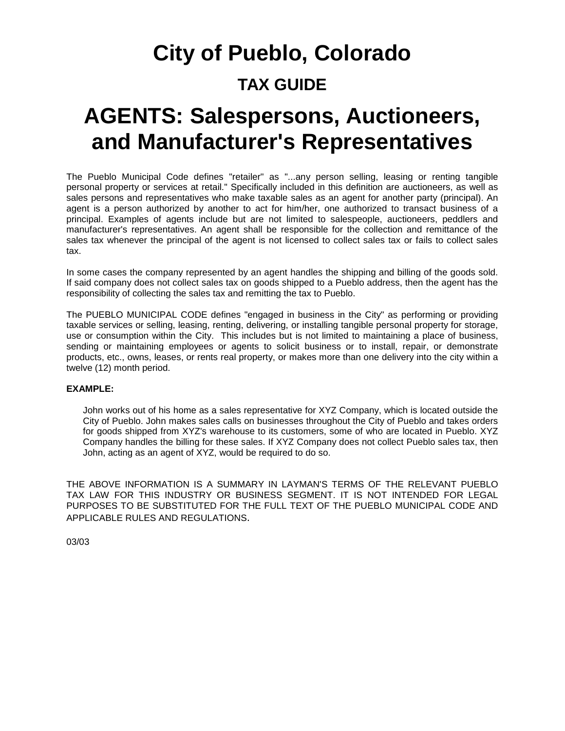## **City of Pueblo, Colorado TAX GUIDE**

### **AGENTS: Salespersons, Auctioneers, and Manufacturer's Representatives**

The Pueblo Municipal Code defines "retailer" as "...any person selling, leasing or renting tangible personal property or services at retail." Specifically included in this definition are auctioneers, as well as sales persons and representatives who make taxable sales as an agent for another party (principal). An agent is a person authorized by another to act for him/her, one authorized to transact business of a principal. Examples of agents include but are not limited to salespeople, auctioneers, peddlers and manufacturer's representatives. An agent shall be responsible for the collection and remittance of the sales tax whenever the principal of the agent is not licensed to collect sales tax or fails to collect sales tax.

In some cases the company represented by an agent handles the shipping and billing of the goods sold. If said company does not collect sales tax on goods shipped to a Pueblo address, then the agent has the responsibility of collecting the sales tax and remitting the tax to Pueblo.

The PUEBLO MUNICIPAL CODE defines "engaged in business in the City" as performing or providing taxable services or selling, leasing, renting, delivering, or installing tangible personal property for storage, use or consumption within the City. This includes but is not limited to maintaining a place of business, sending or maintaining employees or agents to solicit business or to install, repair, or demonstrate products, etc., owns, leases, or rents real property, or makes more than one delivery into the city within a twelve (12) month period.

#### **EXAMPLE:**

John works out of his home as a sales representative for XYZ Company, which is located outside the City of Pueblo. John makes sales calls on businesses throughout the City of Pueblo and takes orders for goods shipped from XYZ's warehouse to its customers, some of who are located in Pueblo. XYZ Company handles the billing for these sales. If XYZ Company does not collect Pueblo sales tax, then John, acting as an agent of XYZ, would be required to do so.

THE ABOVE INFORMATION IS A SUMMARY IN LAYMAN'S TERMS OF THE RELEVANT PUEBLO TAX LAW FOR THIS INDUSTRY OR BUSINESS SEGMENT. IT IS NOT INTENDED FOR LEGAL PURPOSES TO BE SUBSTITUTED FOR THE FULL TEXT OF THE PUEBLO MUNICIPAL CODE AND APPLICABLE RULES AND REGULATIONS.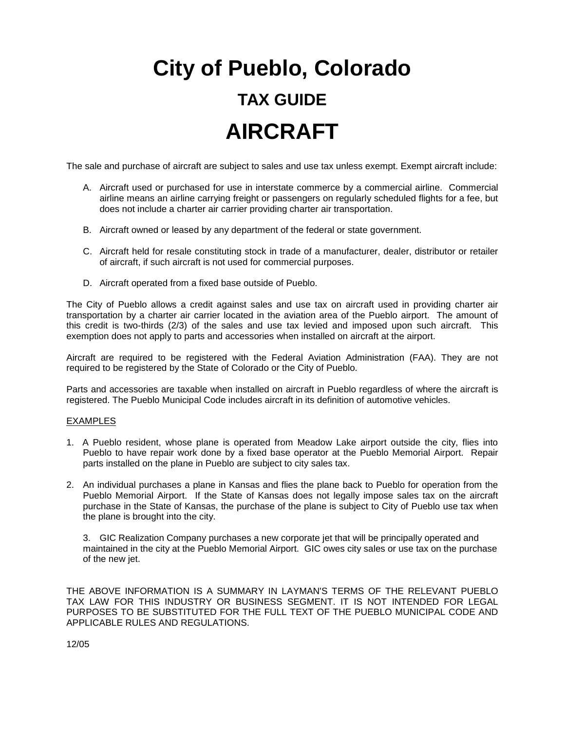# **City of Pueblo, Colorado TAX GUIDE AIRCRAFT**

The sale and purchase of aircraft are subject to sales and use tax unless exempt. Exempt aircraft include:

- A. Aircraft used or purchased for use in interstate commerce by a commercial airline. Commercial airline means an airline carrying freight or passengers on regularly scheduled flights for a fee, but does not include a charter air carrier providing charter air transportation.
- B. Aircraft owned or leased by any department of the federal or state government.
- C. Aircraft held for resale constituting stock in trade of a manufacturer, dealer, distributor or retailer of aircraft, if such aircraft is not used for commercial purposes.
- D. Aircraft operated from a fixed base outside of Pueblo.

The City of Pueblo allows a credit against sales and use tax on aircraft used in providing charter air transportation by a charter air carrier located in the aviation area of the Pueblo airport. The amount of this credit is two-thirds (2/3) of the sales and use tax levied and imposed upon such aircraft. This exemption does not apply to parts and accessories when installed on aircraft at the airport.

Aircraft are required to be registered with the Federal Aviation Administration (FAA). They are not required to be registered by the State of Colorado or the City of Pueblo.

Parts and accessories are taxable when installed on aircraft in Pueblo regardless of where the aircraft is registered. The Pueblo Municipal Code includes aircraft in its definition of automotive vehicles.

#### EXAMPLES

- 1. A Pueblo resident, whose plane is operated from Meadow Lake airport outside the city, flies into Pueblo to have repair work done by a fixed base operator at the Pueblo Memorial Airport. Repair parts installed on the plane in Pueblo are subject to city sales tax.
- 2. An individual purchases a plane in Kansas and flies the plane back to Pueblo for operation from the Pueblo Memorial Airport. If the State of Kansas does not legally impose sales tax on the aircraft purchase in the State of Kansas, the purchase of the plane is subject to City of Pueblo use tax when the plane is brought into the city.

3. GIC Realization Company purchases a new corporate jet that will be principally operated and maintained in the city at the Pueblo Memorial Airport. GIC owes city sales or use tax on the purchase of the new jet.

THE ABOVE INFORMATION IS A SUMMARY IN LAYMAN'S TERMS OF THE RELEVANT PUEBLO TAX LAW FOR THIS INDUSTRY OR BUSINESS SEGMENT. IT IS NOT INTENDED FOR LEGAL PURPOSES TO BE SUBSTITUTED FOR THE FULL TEXT OF THE PUEBLO MUNICIPAL CODE AND APPLICABLE RULES AND REGULATIONS.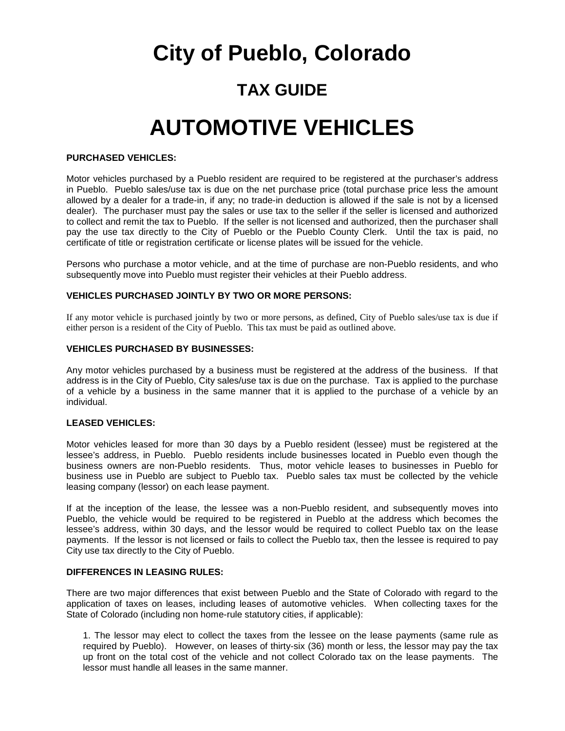### **City of Pueblo, Colorado**

### **TAX GUIDE**

## **AUTOMOTIVE VEHICLES**

#### **PURCHASED VEHICLES:**

Motor vehicles purchased by a Pueblo resident are required to be registered at the purchaser's address in Pueblo. Pueblo sales/use tax is due on the net purchase price (total purchase price less the amount allowed by a dealer for a trade-in, if any; no trade-in deduction is allowed if the sale is not by a licensed dealer). The purchaser must pay the sales or use tax to the seller if the seller is licensed and authorized to collect and remit the tax to Pueblo. If the seller is not licensed and authorized, then the purchaser shall pay the use tax directly to the City of Pueblo or the Pueblo County Clerk. Until the tax is paid, no certificate of title or registration certificate or license plates will be issued for the vehicle.

Persons who purchase a motor vehicle, and at the time of purchase are non-Pueblo residents, and who subsequently move into Pueblo must register their vehicles at their Pueblo address.

#### **VEHICLES PURCHASED JOINTLY BY TWO OR MORE PERSONS:**

If any motor vehicle is purchased jointly by two or more persons, as defined, City of Pueblo sales/use tax is due if either person is a resident of the City of Pueblo. This tax must be paid as outlined above.

#### **VEHICLES PURCHASED BY BUSINESSES:**

Any motor vehicles purchased by a business must be registered at the address of the business. If that address is in the City of Pueblo, City sales/use tax is due on the purchase. Tax is applied to the purchase of a vehicle by a business in the same manner that it is applied to the purchase of a vehicle by an individual.

#### **LEASED VEHICLES:**

Motor vehicles leased for more than 30 days by a Pueblo resident (lessee) must be registered at the lessee's address, in Pueblo. Pueblo residents include businesses located in Pueblo even though the business owners are non-Pueblo residents. Thus, motor vehicle leases to businesses in Pueblo for business use in Pueblo are subject to Pueblo tax. Pueblo sales tax must be collected by the vehicle leasing company (lessor) on each lease payment.

If at the inception of the lease, the lessee was a non-Pueblo resident, and subsequently moves into Pueblo, the vehicle would be required to be registered in Pueblo at the address which becomes the lessee's address, within 30 days, and the lessor would be required to collect Pueblo tax on the lease payments. If the lessor is not licensed or fails to collect the Pueblo tax, then the lessee is required to pay City use tax directly to the City of Pueblo.

#### **DIFFERENCES IN LEASING RULES:**

There are two major differences that exist between Pueblo and the State of Colorado with regard to the application of taxes on leases, including leases of automotive vehicles. When collecting taxes for the State of Colorado (including non home-rule statutory cities, if applicable):

1. The lessor may elect to collect the taxes from the lessee on the lease payments (same rule as required by Pueblo). However, on leases of thirty-six (36) month or less, the lessor may pay the tax up front on the total cost of the vehicle and not collect Colorado tax on the lease payments. The lessor must handle all leases in the same manner.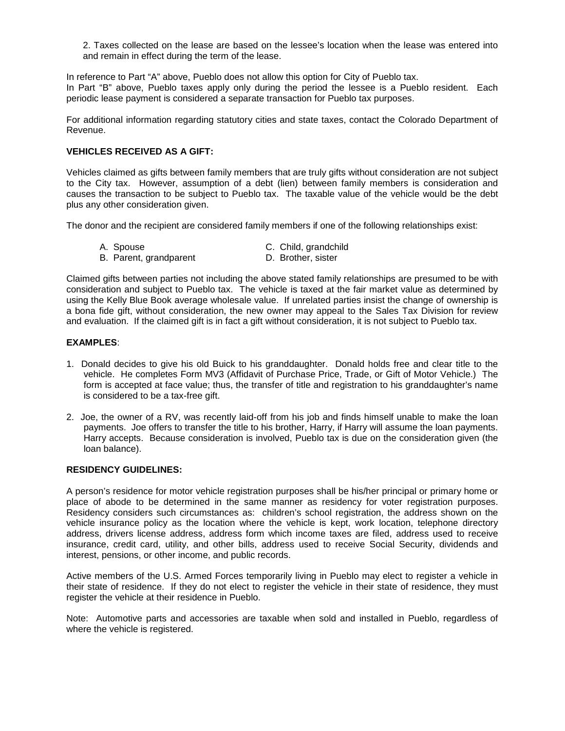2. Taxes collected on the lease are based on the lessee's location when the lease was entered into and remain in effect during the term of the lease.

In reference to Part "A" above, Pueblo does not allow this option for City of Pueblo tax. In Part "B" above, Pueblo taxes apply only during the period the lessee is a Pueblo resident. Each periodic lease payment is considered a separate transaction for Pueblo tax purposes.

For additional information regarding statutory cities and state taxes, contact the Colorado Department of Revenue.

#### **VEHICLES RECEIVED AS A GIFT:**

Vehicles claimed as gifts between family members that are truly gifts without consideration are not subject to the City tax. However, assumption of a debt (lien) between family members is consideration and causes the transaction to be subject to Pueblo tax. The taxable value of the vehicle would be the debt plus any other consideration given.

The donor and the recipient are considered family members if one of the following relationships exist:

- A. Spouse C. Child, grandchild
- B. Parent, grandparent D. Brother, sister
- 

Claimed gifts between parties not including the above stated family relationships are presumed to be with consideration and subject to Pueblo tax. The vehicle is taxed at the fair market value as determined by using the Kelly Blue Book average wholesale value. If unrelated parties insist the change of ownership is a bona fide gift, without consideration, the new owner may appeal to the Sales Tax Division for review and evaluation. If the claimed gift is in fact a gift without consideration, it is not subject to Pueblo tax.

#### **EXAMPLES**:

- 1. Donald decides to give his old Buick to his granddaughter. Donald holds free and clear title to the vehicle. He completes Form MV3 (Affidavit of Purchase Price, Trade, or Gift of Motor Vehicle.) The form is accepted at face value; thus, the transfer of title and registration to his granddaughter's name is considered to be a tax-free gift.
- 2. Joe, the owner of a RV, was recently laid-off from his job and finds himself unable to make the loan payments. Joe offers to transfer the title to his brother, Harry, if Harry will assume the loan payments. Harry accepts. Because consideration is involved, Pueblo tax is due on the consideration given (the loan balance).

#### **RESIDENCY GUIDELINES:**

A person's residence for motor vehicle registration purposes shall be his/her principal or primary home or place of abode to be determined in the same manner as residency for voter registration purposes. Residency considers such circumstances as: children's school registration, the address shown on the vehicle insurance policy as the location where the vehicle is kept, work location, telephone directory address, drivers license address, address form which income taxes are filed, address used to receive insurance, credit card, utility, and other bills, address used to receive Social Security, dividends and interest, pensions, or other income, and public records.

Active members of the U.S. Armed Forces temporarily living in Pueblo may elect to register a vehicle in their state of residence. If they do not elect to register the vehicle in their state of residence, they must register the vehicle at their residence in Pueblo.

Note: Automotive parts and accessories are taxable when sold and installed in Pueblo, regardless of where the vehicle is registered.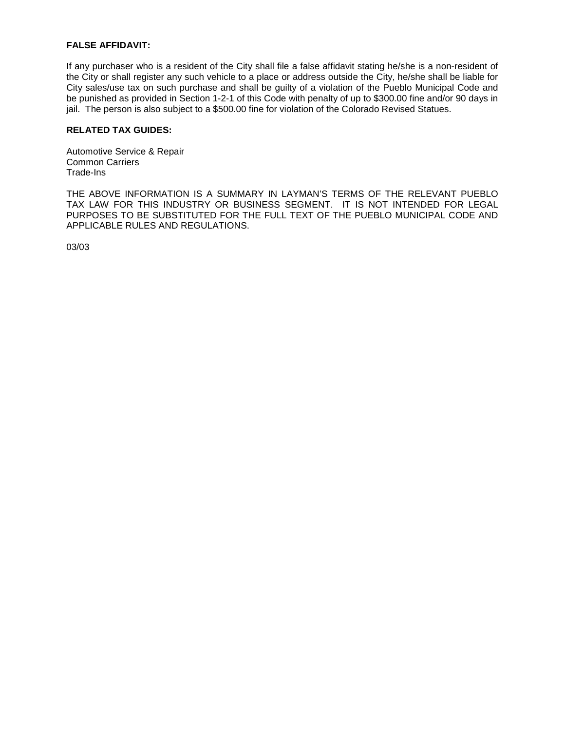#### **FALSE AFFIDAVIT:**

If any purchaser who is a resident of the City shall file a false affidavit stating he/she is a non-resident of the City or shall register any such vehicle to a place or address outside the City, he/she shall be liable for City sales/use tax on such purchase and shall be guilty of a violation of the Pueblo Municipal Code and be punished as provided in Section 1-2-1 of this Code with penalty of up to \$300.00 fine and/or 90 days in jail. The person is also subject to a \$500.00 fine for violation of the Colorado Revised Statues.

#### **RELATED TAX GUIDES:**

Automotive Service & Repair Common Carriers Trade-Ins

THE ABOVE INFORMATION IS A SUMMARY IN LAYMAN'S TERMS OF THE RELEVANT PUEBLO TAX LAW FOR THIS INDUSTRY OR BUSINESS SEGMENT. IT IS NOT INTENDED FOR LEGAL PURPOSES TO BE SUBSTITUTED FOR THE FULL TEXT OF THE PUEBLO MUNICIPAL CODE AND APPLICABLE RULES AND REGULATIONS.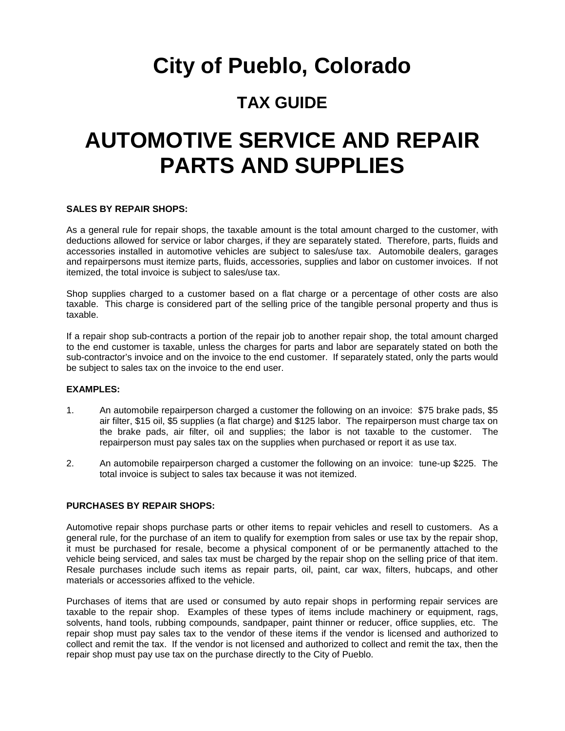## **City of Pueblo, Colorado**

### **TAX GUIDE**

## **AUTOMOTIVE SERVICE AND REPAIR PARTS AND SUPPLIES**

#### **SALES BY REPAIR SHOPS:**

As a general rule for repair shops, the taxable amount is the total amount charged to the customer, with deductions allowed for service or labor charges, if they are separately stated. Therefore, parts, fluids and accessories installed in automotive vehicles are subject to sales/use tax. Automobile dealers, garages and repairpersons must itemize parts, fluids, accessories, supplies and labor on customer invoices. If not itemized, the total invoice is subject to sales/use tax.

Shop supplies charged to a customer based on a flat charge or a percentage of other costs are also taxable. This charge is considered part of the selling price of the tangible personal property and thus is taxable.

If a repair shop sub-contracts a portion of the repair job to another repair shop, the total amount charged to the end customer is taxable, unless the charges for parts and labor are separately stated on both the sub-contractor's invoice and on the invoice to the end customer. If separately stated, only the parts would be subject to sales tax on the invoice to the end user.

#### **EXAMPLES:**

- 1. An automobile repairperson charged a customer the following on an invoice: \$75 brake pads, \$5 air filter, \$15 oil, \$5 supplies (a flat charge) and \$125 labor. The repairperson must charge tax on the brake pads, air filter, oil and supplies; the labor is not taxable to the customer. The repairperson must pay sales tax on the supplies when purchased or report it as use tax.
- 2. An automobile repairperson charged a customer the following on an invoice: tune-up \$225. The total invoice is subject to sales tax because it was not itemized.

#### **PURCHASES BY REPAIR SHOPS:**

Automotive repair shops purchase parts or other items to repair vehicles and resell to customers. As a general rule, for the purchase of an item to qualify for exemption from sales or use tax by the repair shop, it must be purchased for resale, become a physical component of or be permanently attached to the vehicle being serviced, and sales tax must be charged by the repair shop on the selling price of that item. Resale purchases include such items as repair parts, oil, paint, car wax, filters, hubcaps, and other materials or accessories affixed to the vehicle.

Purchases of items that are used or consumed by auto repair shops in performing repair services are taxable to the repair shop. Examples of these types of items include machinery or equipment, rags, solvents, hand tools, rubbing compounds, sandpaper, paint thinner or reducer, office supplies, etc. The repair shop must pay sales tax to the vendor of these items if the vendor is licensed and authorized to collect and remit the tax. If the vendor is not licensed and authorized to collect and remit the tax, then the repair shop must pay use tax on the purchase directly to the City of Pueblo.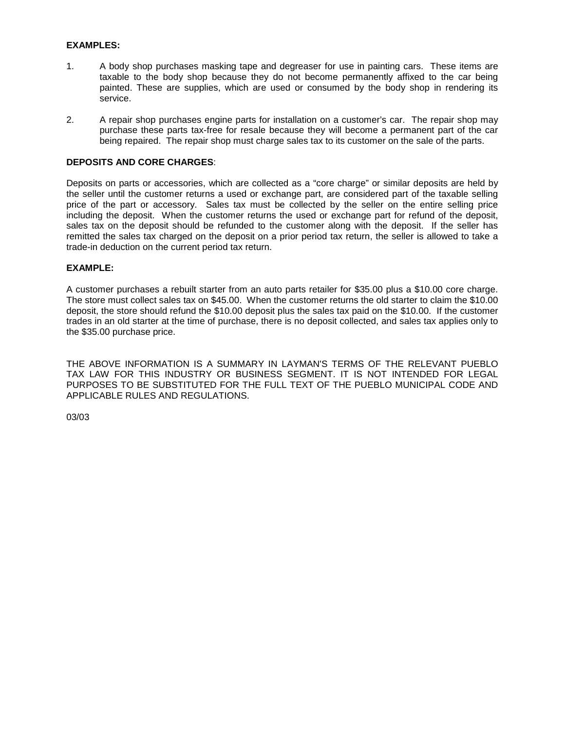#### **EXAMPLES:**

- 1. A body shop purchases masking tape and degreaser for use in painting cars. These items are taxable to the body shop because they do not become permanently affixed to the car being painted. These are supplies, which are used or consumed by the body shop in rendering its service.
- 2. A repair shop purchases engine parts for installation on a customer's car. The repair shop may purchase these parts tax-free for resale because they will become a permanent part of the car being repaired. The repair shop must charge sales tax to its customer on the sale of the parts.

#### **DEPOSITS AND CORE CHARGES**:

Deposits on parts or accessories, which are collected as a "core charge" or similar deposits are held by the seller until the customer returns a used or exchange part, are considered part of the taxable selling price of the part or accessory. Sales tax must be collected by the seller on the entire selling price including the deposit. When the customer returns the used or exchange part for refund of the deposit, sales tax on the deposit should be refunded to the customer along with the deposit. If the seller has remitted the sales tax charged on the deposit on a prior period tax return, the seller is allowed to take a trade-in deduction on the current period tax return.

#### **EXAMPLE:**

A customer purchases a rebuilt starter from an auto parts retailer for \$35.00 plus a \$10.00 core charge. The store must collect sales tax on \$45.00. When the customer returns the old starter to claim the \$10.00 deposit, the store should refund the \$10.00 deposit plus the sales tax paid on the \$10.00. If the customer trades in an old starter at the time of purchase, there is no deposit collected, and sales tax applies only to the \$35.00 purchase price.

THE ABOVE INFORMATION IS A SUMMARY IN LAYMAN'S TERMS OF THE RELEVANT PUEBLO TAX LAW FOR THIS INDUSTRY OR BUSINESS SEGMENT. IT IS NOT INTENDED FOR LEGAL PURPOSES TO BE SUBSTITUTED FOR THE FULL TEXT OF THE PUEBLO MUNICIPAL CODE AND APPLICABLE RULES AND REGULATIONS.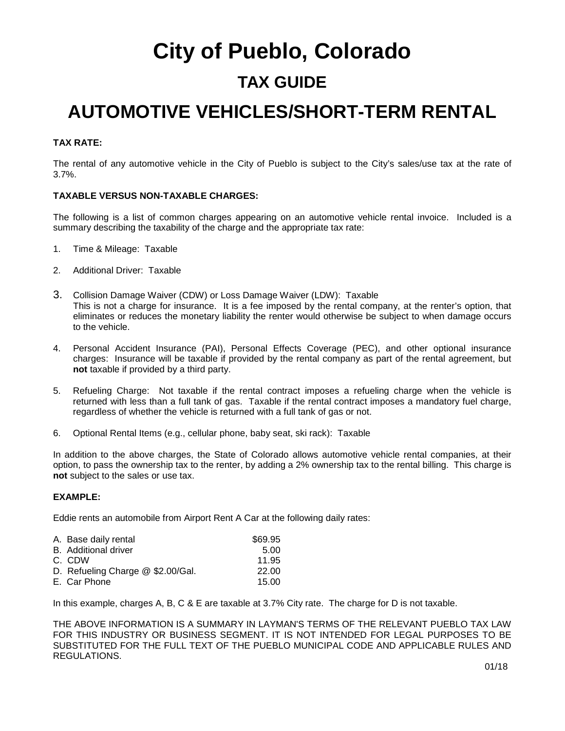## **City of Pueblo, Colorado TAX GUIDE**

### **AUTOMOTIVE VEHICLES/SHORT-TERM RENTAL**

#### **TAX RATE:**

The rental of any automotive vehicle in the City of Pueblo is subject to the City's sales/use tax at the rate of 3.7%.

#### **TAXABLE VERSUS NON-TAXABLE CHARGES:**

The following is a list of common charges appearing on an automotive vehicle rental invoice. Included is a summary describing the taxability of the charge and the appropriate tax rate:

- 1. Time & Mileage: Taxable
- 2. Additional Driver: Taxable
- 3. Collision Damage Waiver (CDW) or Loss Damage Waiver (LDW): Taxable This is not a charge for insurance. It is a fee imposed by the rental company, at the renter's option, that eliminates or reduces the monetary liability the renter would otherwise be subject to when damage occurs to the vehicle.
- 4. Personal Accident Insurance (PAI), Personal Effects Coverage (PEC), and other optional insurance charges: Insurance will be taxable if provided by the rental company as part of the rental agreement, but **not** taxable if provided by a third party.
- 5. Refueling Charge: Not taxable if the rental contract imposes a refueling charge when the vehicle is returned with less than a full tank of gas. Taxable if the rental contract imposes a mandatory fuel charge, regardless of whether the vehicle is returned with a full tank of gas or not.
- 6. Optional Rental Items (e.g., cellular phone, baby seat, ski rack): Taxable

In addition to the above charges, the State of Colorado allows automotive vehicle rental companies, at their option, to pass the ownership tax to the renter, by adding a 2% ownership tax to the rental billing. This charge is **not** subject to the sales or use tax.

#### **EXAMPLE:**

Eddie rents an automobile from Airport Rent A Car at the following daily rates:

| A. Base daily rental              | \$69.95 |
|-----------------------------------|---------|
| <b>B.</b> Additional driver       | 5.00    |
| C. CDW                            | 11.95   |
| D. Refueling Charge @ \$2.00/Gal. | 22.00   |
| E. Car Phone                      | 15.00   |

In this example, charges A, B, C & E are taxable at 3.7% City rate. The charge for D is not taxable.

THE ABOVE INFORMATION IS A SUMMARY IN LAYMAN'S TERMS OF THE RELEVANT PUEBLO TAX LAW FOR THIS INDUSTRY OR BUSINESS SEGMENT. IT IS NOT INTENDED FOR LEGAL PURPOSES TO BE SUBSTITUTED FOR THE FULL TEXT OF THE PUEBLO MUNICIPAL CODE AND APPLICABLE RULES AND REGULATIONS.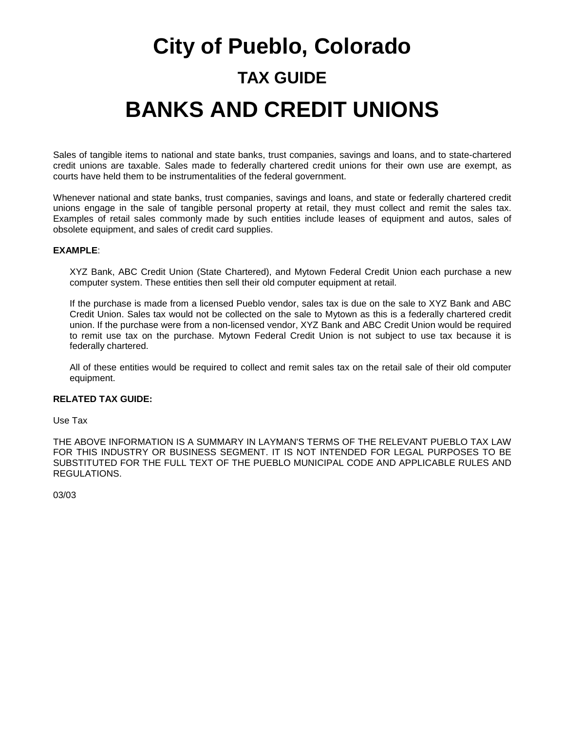# **City of Pueblo, Colorado TAX GUIDE BANKS AND CREDIT UNIONS**

Sales of tangible items to national and state banks, trust companies, savings and loans, and to state-chartered credit unions are taxable. Sales made to federally chartered credit unions for their own use are exempt, as courts have held them to be instrumentalities of the federal government.

Whenever national and state banks, trust companies, savings and loans, and state or federally chartered credit unions engage in the sale of tangible personal property at retail, they must collect and remit the sales tax. Examples of retail sales commonly made by such entities include leases of equipment and autos, sales of obsolete equipment, and sales of credit card supplies.

#### **EXAMPLE**:

XYZ Bank, ABC Credit Union (State Chartered), and Mytown Federal Credit Union each purchase a new computer system. These entities then sell their old computer equipment at retail.

If the purchase is made from a licensed Pueblo vendor, sales tax is due on the sale to XYZ Bank and ABC Credit Union. Sales tax would not be collected on the sale to Mytown as this is a federally chartered credit union. If the purchase were from a non-licensed vendor, XYZ Bank and ABC Credit Union would be required to remit use tax on the purchase. Mytown Federal Credit Union is not subject to use tax because it is federally chartered.

All of these entities would be required to collect and remit sales tax on the retail sale of their old computer equipment.

#### **RELATED TAX GUIDE:**

Use Tax

THE ABOVE INFORMATION IS A SUMMARY IN LAYMAN'S TERMS OF THE RELEVANT PUEBLO TAX LAW FOR THIS INDUSTRY OR BUSINESS SEGMENT. IT IS NOT INTENDED FOR LEGAL PURPOSES TO BE SUBSTITUTED FOR THE FULL TEXT OF THE PUEBLO MUNICIPAL CODE AND APPLICABLE RULES AND REGULATIONS.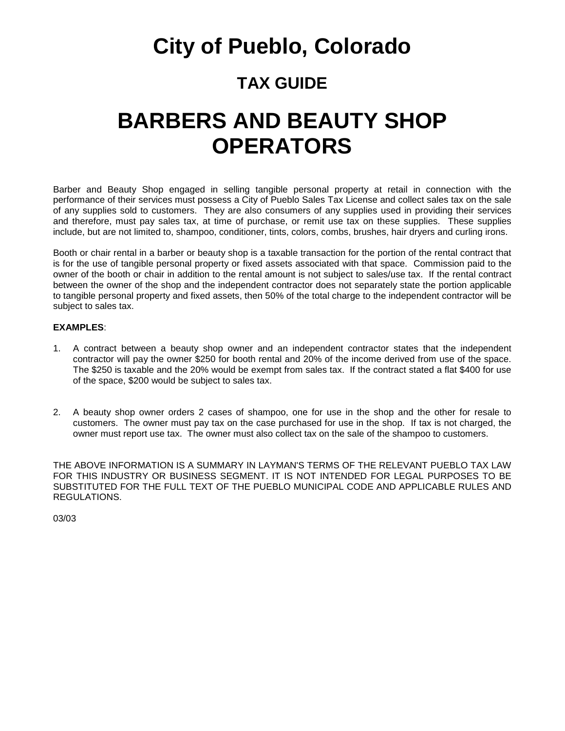### **City of Pueblo, Colorado**

### **TAX GUIDE**

## **BARBERS AND BEAUTY SHOP OPERATORS**

Barber and Beauty Shop engaged in selling tangible personal property at retail in connection with the performance of their services must possess a City of Pueblo Sales Tax License and collect sales tax on the sale of any supplies sold to customers. They are also consumers of any supplies used in providing their services and therefore, must pay sales tax, at time of purchase, or remit use tax on these supplies. These supplies include, but are not limited to, shampoo, conditioner, tints, colors, combs, brushes, hair dryers and curling irons.

Booth or chair rental in a barber or beauty shop is a taxable transaction for the portion of the rental contract that is for the use of tangible personal property or fixed assets associated with that space. Commission paid to the owner of the booth or chair in addition to the rental amount is not subject to sales/use tax. If the rental contract between the owner of the shop and the independent contractor does not separately state the portion applicable to tangible personal property and fixed assets, then 50% of the total charge to the independent contractor will be subject to sales tax.

#### **EXAMPLES**:

- 1. A contract between a beauty shop owner and an independent contractor states that the independent contractor will pay the owner \$250 for booth rental and 20% of the income derived from use of the space. The \$250 is taxable and the 20% would be exempt from sales tax. If the contract stated a flat \$400 for use of the space, \$200 would be subject to sales tax.
- 2. A beauty shop owner orders 2 cases of shampoo, one for use in the shop and the other for resale to customers. The owner must pay tax on the case purchased for use in the shop. If tax is not charged, the owner must report use tax. The owner must also collect tax on the sale of the shampoo to customers.

THE ABOVE INFORMATION IS A SUMMARY IN LAYMAN'S TERMS OF THE RELEVANT PUEBLO TAX LAW FOR THIS INDUSTRY OR BUSINESS SEGMENT. IT IS NOT INTENDED FOR LEGAL PURPOSES TO BE SUBSTITUTED FOR THE FULL TEXT OF THE PUEBLO MUNICIPAL CODE AND APPLICABLE RULES AND REGULATIONS.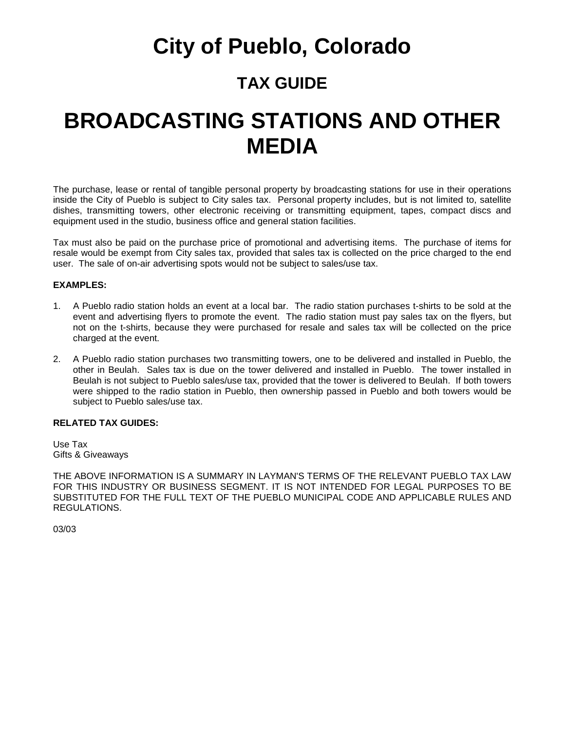### **City of Pueblo, Colorado**

### **TAX GUIDE**

## **BROADCASTING STATIONS AND OTHER MEDIA**

The purchase, lease or rental of tangible personal property by broadcasting stations for use in their operations inside the City of Pueblo is subject to City sales tax. Personal property includes, but is not limited to, satellite dishes, transmitting towers, other electronic receiving or transmitting equipment, tapes, compact discs and equipment used in the studio, business office and general station facilities.

Tax must also be paid on the purchase price of promotional and advertising items. The purchase of items for resale would be exempt from City sales tax, provided that sales tax is collected on the price charged to the end user. The sale of on-air advertising spots would not be subject to sales/use tax.

#### **EXAMPLES:**

- 1. A Pueblo radio station holds an event at a local bar. The radio station purchases t-shirts to be sold at the event and advertising flyers to promote the event. The radio station must pay sales tax on the flyers, but not on the t-shirts, because they were purchased for resale and sales tax will be collected on the price charged at the event.
- 2. A Pueblo radio station purchases two transmitting towers, one to be delivered and installed in Pueblo, the other in Beulah. Sales tax is due on the tower delivered and installed in Pueblo. The tower installed in Beulah is not subject to Pueblo sales/use tax, provided that the tower is delivered to Beulah. If both towers were shipped to the radio station in Pueblo, then ownership passed in Pueblo and both towers would be subject to Pueblo sales/use tax.

#### **RELATED TAX GUIDES:**

Use Tax Gifts & Giveaways

THE ABOVE INFORMATION IS A SUMMARY IN LAYMAN'S TERMS OF THE RELEVANT PUEBLO TAX LAW FOR THIS INDUSTRY OR BUSINESS SEGMENT. IT IS NOT INTENDED FOR LEGAL PURPOSES TO BE SUBSTITUTED FOR THE FULL TEXT OF THE PUEBLO MUNICIPAL CODE AND APPLICABLE RULES AND REGULATIONS.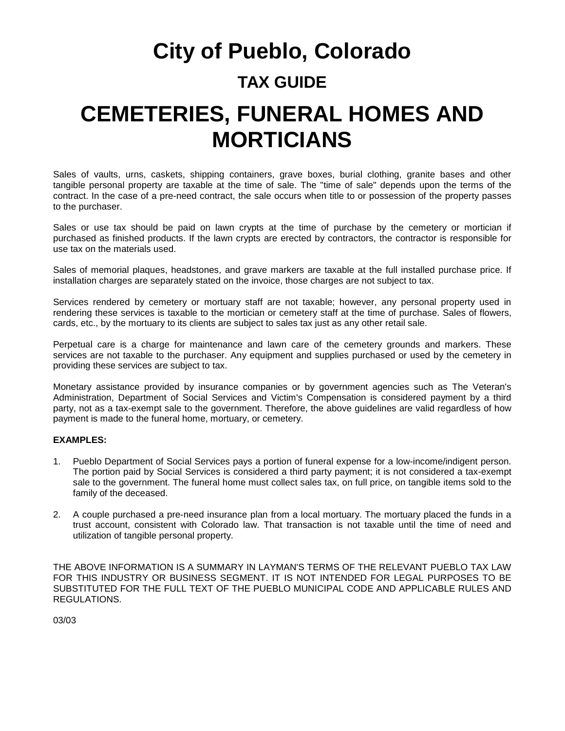## **City of Pueblo, Colorado TAX GUIDE CEMETERIES, FUNERAL HOMES AND MORTICIANS**

Sales of vaults, urns, caskets, shipping containers, grave boxes, burial clothing, granite bases and other tangible personal property are taxable at the time of sale. The "time of sale" depends upon the terms of the contract. In the case of a pre-need contract, the sale occurs when title to or possession of the property passes to the purchaser.

Sales or use tax should be paid on lawn crypts at the time of purchase by the cemetery or mortician if purchased as finished products. If the lawn crypts are erected by contractors, the contractor is responsible for use tax on the materials used.

Sales of memorial plaques, headstones, and grave markers are taxable at the full installed purchase price. If installation charges are separately stated on the invoice, those charges are not subject to tax.

Services rendered by cemetery or mortuary staff are not taxable; however, any personal property used in rendering these services is taxable to the mortician or cemetery staff at the time of purchase. Sales of flowers, cards, etc., by the mortuary to its clients are subject to sales tax just as any other retail sale.

Perpetual care is a charge for maintenance and lawn care of the cemetery grounds and markers. These services are not taxable to the purchaser. Any equipment and supplies purchased or used by the cemetery in providing these services are subject to tax.

Monetary assistance provided by insurance companies or by government agencies such as The Veteran's Administration, Department of Social Services and Victim's Compensation is considered payment by a third party, not as a tax-exempt sale to the government. Therefore, the above guidelines are valid regardless of how payment is made to the funeral home, mortuary, or cemetery.

#### **EXAMPLES:**

- 1. Pueblo Department of Social Services pays a portion of funeral expense for a low-income/indigent person. The portion paid by Social Services is considered a third party payment; it is not considered a tax-exempt sale to the government. The funeral home must collect sales tax, on full price, on tangible items sold to the family of the deceased.
- 2. A couple purchased a pre-need insurance plan from a local mortuary. The mortuary placed the funds in a trust account, consistent with Colorado law. That transaction is not taxable until the time of need and utilization of tangible personal property.

THE ABOVE INFORMATION IS A SUMMARY IN LAYMAN'S TERMS OF THE RELEVANT PUEBLO TAX LAW FOR THIS INDUSTRY OR BUSINESS SEGMENT. IT IS NOT INTENDED FOR LEGAL PURPOSES TO BE SUBSTITUTED FOR THE FULL TEXT OF THE PUEBLO MUNICIPAL CODE AND APPLICABLE RULES AND REGULATIONS.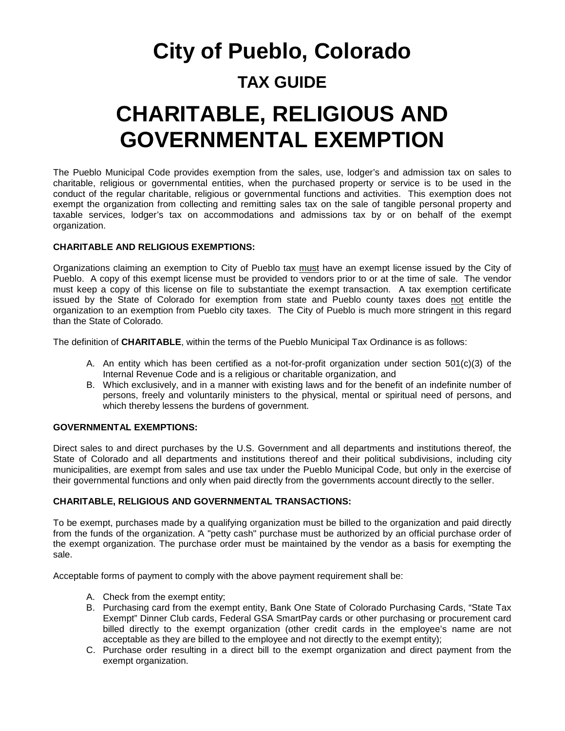## **City of Pueblo, Colorado TAX GUIDE CHARITABLE, RELIGIOUS AND GOVERNMENTAL EXEMPTION**

The Pueblo Municipal Code provides exemption from the sales, use, lodger's and admission tax on sales to charitable, religious or governmental entities, when the purchased property or service is to be used in the conduct of the regular charitable, religious or governmental functions and activities. This exemption does not exempt the organization from collecting and remitting sales tax on the sale of tangible personal property and taxable services, lodger's tax on accommodations and admissions tax by or on behalf of the exempt organization.

#### **CHARITABLE AND RELIGIOUS EXEMPTIONS:**

Organizations claiming an exemption to City of Pueblo tax must have an exempt license issued by the City of Pueblo. A copy of this exempt license must be provided to vendors prior to or at the time of sale. The vendor must keep a copy of this license on file to substantiate the exempt transaction. A tax exemption certificate issued by the State of Colorado for exemption from state and Pueblo county taxes does not entitle the organization to an exemption from Pueblo city taxes. The City of Pueblo is much more stringent in this regard than the State of Colorado.

The definition of **CHARITABLE**, within the terms of the Pueblo Municipal Tax Ordinance is as follows:

- A. An entity which has been certified as a not-for-profit organization under section 501(c)(3) of the Internal Revenue Code and is a religious or charitable organization, and
- B. Which exclusively, and in a manner with existing laws and for the benefit of an indefinite number of persons, freely and voluntarily ministers to the physical, mental or spiritual need of persons, and which thereby lessens the burdens of government.

#### **GOVERNMENTAL EXEMPTIONS:**

Direct sales to and direct purchases by the U.S. Government and all departments and institutions thereof, the State of Colorado and all departments and institutions thereof and their political subdivisions, including city municipalities, are exempt from sales and use tax under the Pueblo Municipal Code, but only in the exercise of their governmental functions and only when paid directly from the governments account directly to the seller.

#### **CHARITABLE, RELIGIOUS AND GOVERNMENTAL TRANSACTIONS:**

To be exempt, purchases made by a qualifying organization must be billed to the organization and paid directly from the funds of the organization. A "petty cash" purchase must be authorized by an official purchase order of the exempt organization. The purchase order must be maintained by the vendor as a basis for exempting the sale.

Acceptable forms of payment to comply with the above payment requirement shall be:

- A. Check from the exempt entity;
- B. Purchasing card from the exempt entity, Bank One State of Colorado Purchasing Cards, "State Tax Exempt" Dinner Club cards, Federal GSA SmartPay cards or other purchasing or procurement card billed directly to the exempt organization (other credit cards in the employee's name are not acceptable as they are billed to the employee and not directly to the exempt entity);
- C. Purchase order resulting in a direct bill to the exempt organization and direct payment from the exempt organization.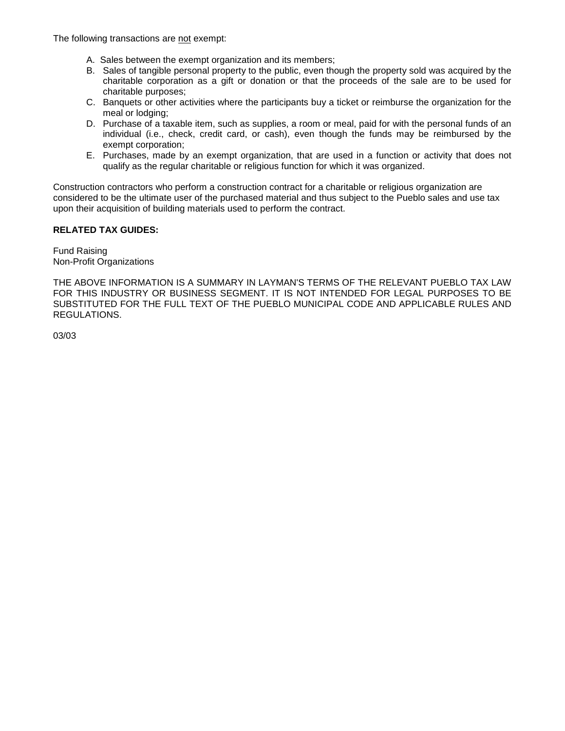The following transactions are not exempt:

- A. Sales between the exempt organization and its members;
- B. Sales of tangible personal property to the public, even though the property sold was acquired by the charitable corporation as a gift or donation or that the proceeds of the sale are to be used for charitable purposes;
- C. Banquets or other activities where the participants buy a ticket or reimburse the organization for the meal or lodging;
- D. Purchase of a taxable item, such as supplies, a room or meal, paid for with the personal funds of an individual (i.e., check, credit card, or cash), even though the funds may be reimbursed by the exempt corporation;
- E. Purchases, made by an exempt organization, that are used in a function or activity that does not qualify as the regular charitable or religious function for which it was organized.

Construction contractors who perform a construction contract for a charitable or religious organization are considered to be the ultimate user of the purchased material and thus subject to the Pueblo sales and use tax upon their acquisition of building materials used to perform the contract.

#### **RELATED TAX GUIDES:**

Fund Raising Non-Profit Organizations

THE ABOVE INFORMATION IS A SUMMARY IN LAYMAN'S TERMS OF THE RELEVANT PUEBLO TAX LAW FOR THIS INDUSTRY OR BUSINESS SEGMENT. IT IS NOT INTENDED FOR LEGAL PURPOSES TO BE SUBSTITUTED FOR THE FULL TEXT OF THE PUEBLO MUNICIPAL CODE AND APPLICABLE RULES AND REGULATIONS.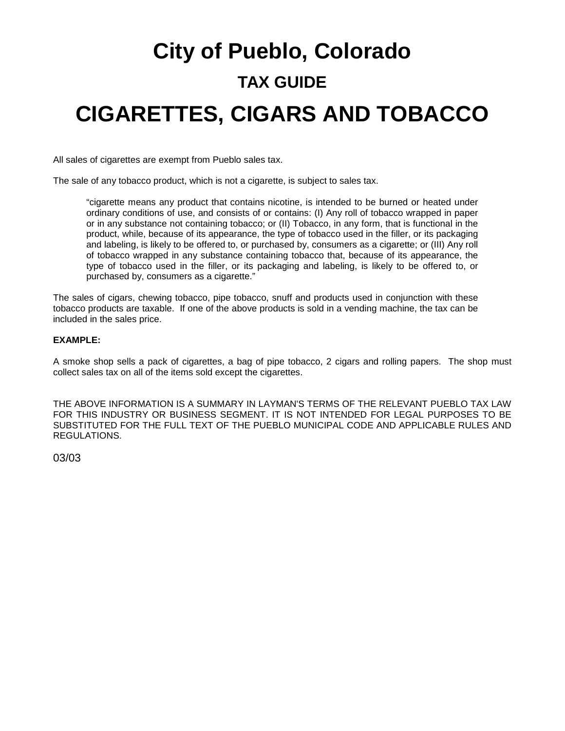# **City of Pueblo, Colorado TAX GUIDE CIGARETTES, CIGARS AND TOBACCO**

All sales of cigarettes are exempt from Pueblo sales tax.

The sale of any tobacco product, which is not a cigarette, is subject to sales tax.

"cigarette means any product that contains nicotine, is intended to be burned or heated under ordinary conditions of use, and consists of or contains: (I) Any roll of tobacco wrapped in paper or in any substance not containing tobacco; or (II) Tobacco, in any form, that is functional in the product, while, because of its appearance, the type of tobacco used in the filler, or its packaging and labeling, is likely to be offered to, or purchased by, consumers as a cigarette; or (III) Any roll of tobacco wrapped in any substance containing tobacco that, because of its appearance, the type of tobacco used in the filler, or its packaging and labeling, is likely to be offered to, or purchased by, consumers as a cigarette."

The sales of cigars, chewing tobacco, pipe tobacco, snuff and products used in conjunction with these tobacco products are taxable. If one of the above products is sold in a vending machine, the tax can be included in the sales price.

#### **EXAMPLE:**

A smoke shop sells a pack of cigarettes, a bag of pipe tobacco, 2 cigars and rolling papers. The shop must collect sales tax on all of the items sold except the cigarettes.

THE ABOVE INFORMATION IS A SUMMARY IN LAYMAN'S TERMS OF THE RELEVANT PUEBLO TAX LAW FOR THIS INDUSTRY OR BUSINESS SEGMENT. IT IS NOT INTENDED FOR LEGAL PURPOSES TO BE SUBSTITUTED FOR THE FULL TEXT OF THE PUEBLO MUNICIPAL CODE AND APPLICABLE RULES AND REGULATIONS.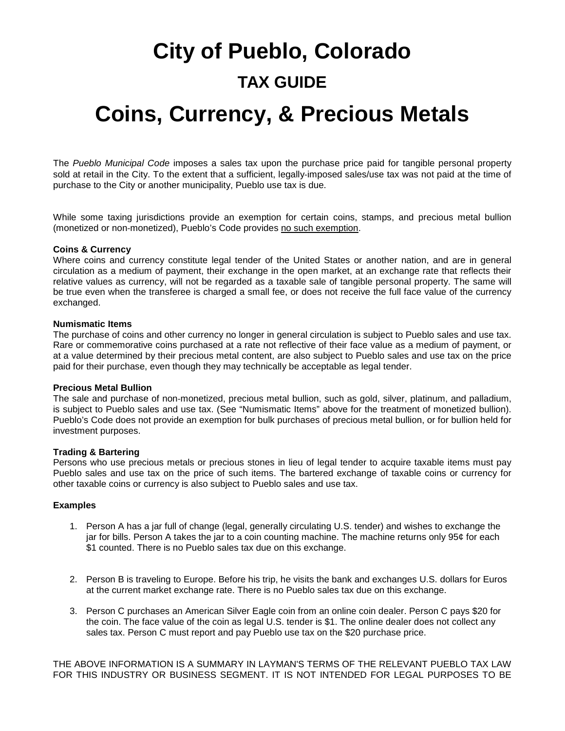## **City of Pueblo, Colorado TAX GUIDE Coins, Currency, & Precious Metals**

The *Pueblo Municipal Code* imposes a sales tax upon the purchase price paid for tangible personal property sold at retail in the City. To the extent that a sufficient, legally-imposed sales/use tax was not paid at the time of purchase to the City or another municipality, Pueblo use tax is due.

While some taxing jurisdictions provide an exemption for certain coins, stamps, and precious metal bullion (monetized or non‐monetized), Pueblo's Code provides no such exemption.

#### **Coins & Currency**

Where coins and currency constitute legal tender of the United States or another nation, and are in general circulation as a medium of payment, their exchange in the open market, at an exchange rate that reflects their relative values as currency, will not be regarded as a taxable sale of tangible personal property. The same will be true even when the transferee is charged a small fee, or does not receive the full face value of the currency exchanged.

#### **Numismatic Items**

The purchase of coins and other currency no longer in general circulation is subject to Pueblo sales and use tax. Rare or commemorative coins purchased at a rate not reflective of their face value as a medium of payment, or at a value determined by their precious metal content, are also subject to Pueblo sales and use tax on the price paid for their purchase, even though they may technically be acceptable as legal tender.

#### **Precious Metal Bullion**

The sale and purchase of non‐monetized, precious metal bullion, such as gold, silver, platinum, and palladium, is subject to Pueblo sales and use tax. (See "Numismatic Items" above for the treatment of monetized bullion). Pueblo's Code does not provide an exemption for bulk purchases of precious metal bullion, or for bullion held for investment purposes.

#### **Trading & Bartering**

Persons who use precious metals or precious stones in lieu of legal tender to acquire taxable items must pay Pueblo sales and use tax on the price of such items. The bartered exchange of taxable coins or currency for other taxable coins or currency is also subject to Pueblo sales and use tax.

#### **Examples**

- 1. Person A has a jar full of change (legal, generally circulating U.S. tender) and wishes to exchange the jar for bills. Person A takes the jar to a coin counting machine. The machine returns only 95¢ for each \$1 counted. There is no Pueblo sales tax due on this exchange.
- 2. Person B is traveling to Europe. Before his trip, he visits the bank and exchanges U.S. dollars for Euros at the current market exchange rate. There is no Pueblo sales tax due on this exchange.
- 3. Person C purchases an American Silver Eagle coin from an online coin dealer. Person C pays \$20 for the coin. The face value of the coin as legal U.S. tender is \$1. The online dealer does not collect any sales tax. Person C must report and pay Pueblo use tax on the \$20 purchase price.

THE ABOVE INFORMATION IS A SUMMARY IN LAYMAN'S TERMS OF THE RELEVANT PUEBLO TAX LAW FOR THIS INDUSTRY OR BUSINESS SEGMENT. IT IS NOT INTENDED FOR LEGAL PURPOSES TO BE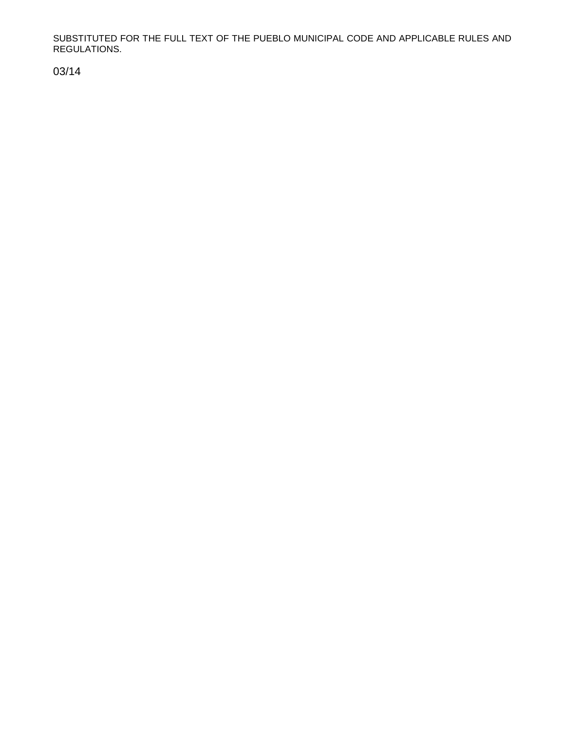SUBSTITUTED FOR THE FULL TEXT OF THE PUEBLO MUNICIPAL CODE AND APPLICABLE RULES AND REGULATIONS.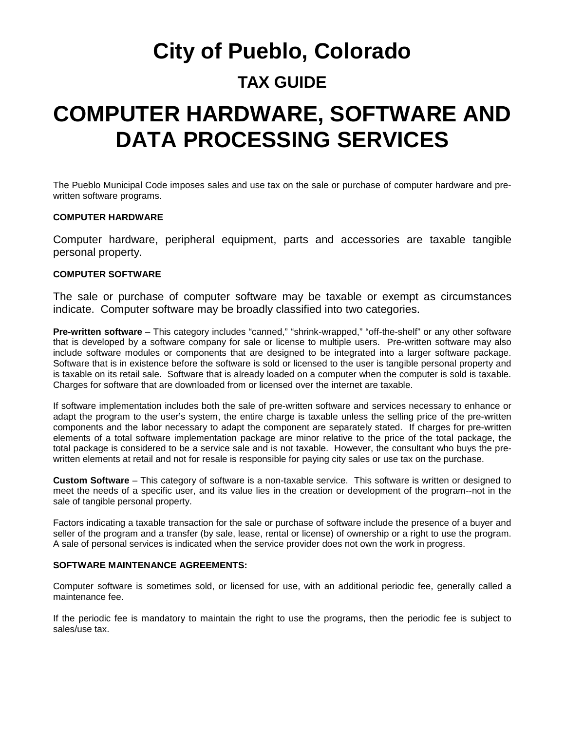## **City of Pueblo, Colorado TAX GUIDE**

## **COMPUTER HARDWARE, SOFTWARE AND DATA PROCESSING SERVICES**

The Pueblo Municipal Code imposes sales and use tax on the sale or purchase of computer hardware and prewritten software programs.

#### **COMPUTER HARDWARE**

Computer hardware, peripheral equipment, parts and accessories are taxable tangible personal property.

#### **COMPUTER SOFTWARE**

The sale or purchase of computer software may be taxable or exempt as circumstances indicate. Computer software may be broadly classified into two categories.

**Pre-written software** – This category includes "canned," "shrink-wrapped," "off-the-shelf" or any other software that is developed by a software company for sale or license to multiple users. Pre-written software may also include software modules or components that are designed to be integrated into a larger software package. Software that is in existence before the software is sold or licensed to the user is tangible personal property and is taxable on its retail sale. Software that is already loaded on a computer when the computer is sold is taxable. Charges for software that are downloaded from or licensed over the internet are taxable.

If software implementation includes both the sale of pre-written software and services necessary to enhance or adapt the program to the user's system, the entire charge is taxable unless the selling price of the pre-written components and the labor necessary to adapt the component are separately stated. If charges for pre-written elements of a total software implementation package are minor relative to the price of the total package, the total package is considered to be a service sale and is not taxable. However, the consultant who buys the prewritten elements at retail and not for resale is responsible for paying city sales or use tax on the purchase.

**Custom Software** – This category of software is a non-taxable service. This software is written or designed to meet the needs of a specific user, and its value lies in the creation or development of the program--not in the sale of tangible personal property.

Factors indicating a taxable transaction for the sale or purchase of software include the presence of a buyer and seller of the program and a transfer (by sale, lease, rental or license) of ownership or a right to use the program. A sale of personal services is indicated when the service provider does not own the work in progress.

#### **SOFTWARE MAINTENANCE AGREEMENTS:**

Computer software is sometimes sold, or licensed for use, with an additional periodic fee, generally called a maintenance fee.

If the periodic fee is mandatory to maintain the right to use the programs, then the periodic fee is subject to sales/use tax.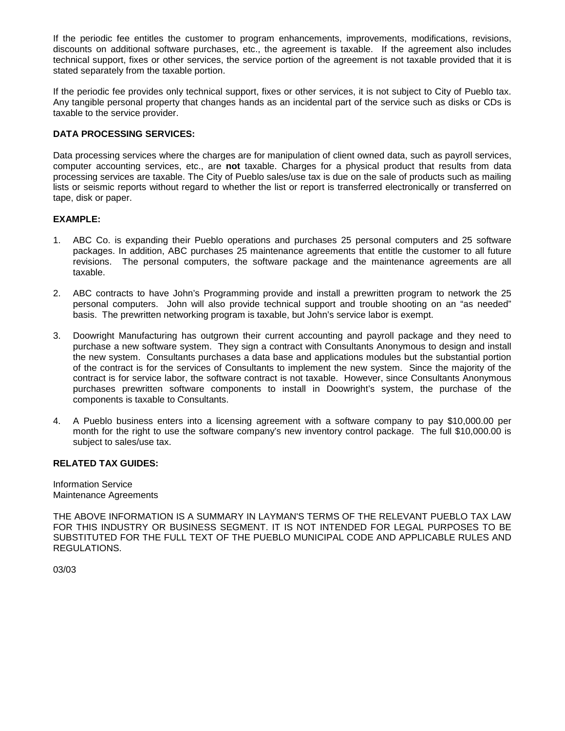If the periodic fee entitles the customer to program enhancements, improvements, modifications, revisions, discounts on additional software purchases, etc., the agreement is taxable. If the agreement also includes technical support, fixes or other services, the service portion of the agreement is not taxable provided that it is stated separately from the taxable portion.

If the periodic fee provides only technical support, fixes or other services, it is not subject to City of Pueblo tax. Any tangible personal property that changes hands as an incidental part of the service such as disks or CDs is taxable to the service provider.

#### **DATA PROCESSING SERVICES:**

Data processing services where the charges are for manipulation of client owned data, such as payroll services, computer accounting services, etc., are **not** taxable. Charges for a physical product that results from data processing services are taxable. The City of Pueblo sales/use tax is due on the sale of products such as mailing lists or seismic reports without regard to whether the list or report is transferred electronically or transferred on tape, disk or paper.

#### **EXAMPLE:**

- 1. ABC Co. is expanding their Pueblo operations and purchases 25 personal computers and 25 software packages. In addition, ABC purchases 25 maintenance agreements that entitle the customer to all future revisions. The personal computers, the software package and the maintenance agreements are all taxable.
- 2. ABC contracts to have John's Programming provide and install a prewritten program to network the 25 personal computers. John will also provide technical support and trouble shooting on an "as needed" basis. The prewritten networking program is taxable, but John's service labor is exempt.
- 3. Doowright Manufacturing has outgrown their current accounting and payroll package and they need to purchase a new software system. They sign a contract with Consultants Anonymous to design and install the new system. Consultants purchases a data base and applications modules but the substantial portion of the contract is for the services of Consultants to implement the new system. Since the majority of the contract is for service labor, the software contract is not taxable. However, since Consultants Anonymous purchases prewritten software components to install in Doowright's system, the purchase of the components is taxable to Consultants.
- 4. A Pueblo business enters into a licensing agreement with a software company to pay \$10,000.00 per month for the right to use the software company's new inventory control package. The full \$10,000.00 is subject to sales/use tax.

#### **RELATED TAX GUIDES:**

Information Service Maintenance Agreements

THE ABOVE INFORMATION IS A SUMMARY IN LAYMAN'S TERMS OF THE RELEVANT PUEBLO TAX LAW FOR THIS INDUSTRY OR BUSINESS SEGMENT. IT IS NOT INTENDED FOR LEGAL PURPOSES TO BE SUBSTITUTED FOR THE FULL TEXT OF THE PUEBLO MUNICIPAL CODE AND APPLICABLE RULES AND REGULATIONS.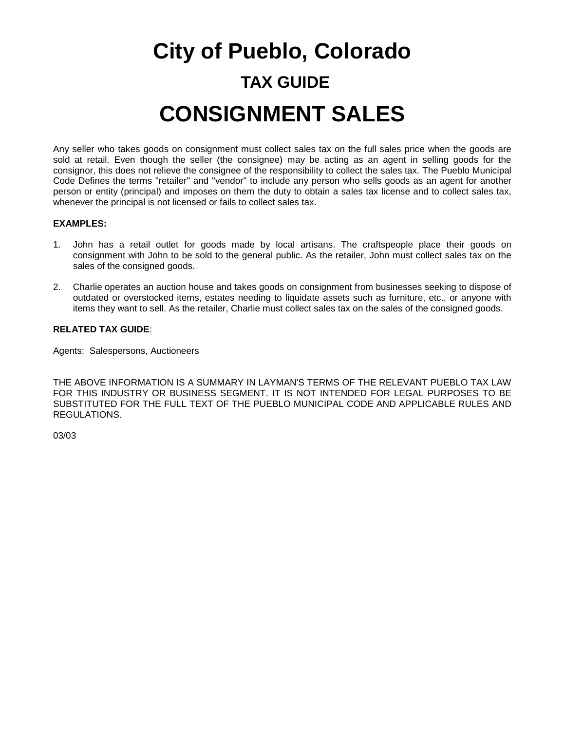# **City of Pueblo, Colorado TAX GUIDE CONSIGNMENT SALES**

Any seller who takes goods on consignment must collect sales tax on the full sales price when the goods are sold at retail. Even though the seller (the consignee) may be acting as an agent in selling goods for the consignor, this does not relieve the consignee of the responsibility to collect the sales tax. The Pueblo Municipal Code Defines the terms "retailer" and "vendor" to include any person who sells goods as an agent for another person or entity (principal) and imposes on them the duty to obtain a sales tax license and to collect sales tax, whenever the principal is not licensed or fails to collect sales tax.

#### **EXAMPLES:**

- 1. John has a retail outlet for goods made by local artisans. The craftspeople place their goods on consignment with John to be sold to the general public. As the retailer, John must collect sales tax on the sales of the consigned goods.
- 2. Charlie operates an auction house and takes goods on consignment from businesses seeking to dispose of outdated or overstocked items, estates needing to liquidate assets such as furniture, etc., or anyone with items they want to sell. As the retailer, Charlie must collect sales tax on the sales of the consigned goods.

#### **RELATED TAX GUIDE**:

Agents: Salespersons, Auctioneers

THE ABOVE INFORMATION IS A SUMMARY IN LAYMAN'S TERMS OF THE RELEVANT PUEBLO TAX LAW FOR THIS INDUSTRY OR BUSINESS SEGMENT. IT IS NOT INTENDED FOR LEGAL PURPOSES TO BE SUBSTITUTED FOR THE FULL TEXT OF THE PUEBLO MUNICIPAL CODE AND APPLICABLE RULES AND REGULATIONS.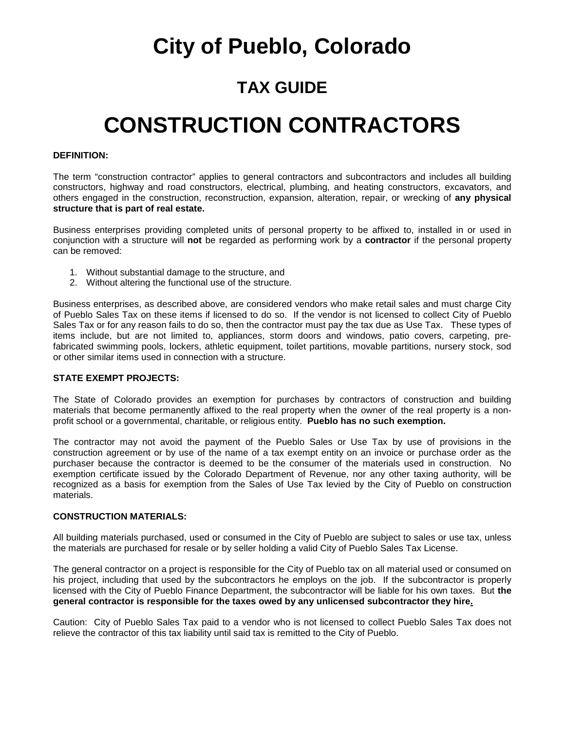## **City of Pueblo, Colorado**

### **TAX GUIDE**

## **CONSTRUCTION CONTRACTORS**

#### **DEFINITION:**

The term "construction contractor" applies to general contractors and subcontractors and includes all building constructors, highway and road constructors, electrical, plumbing, and heating constructors, excavators, and others engaged in the construction, reconstruction, expansion, alteration, repair, or wrecking of **any physical structure that is part of real estate.**

Business enterprises providing completed units of personal property to be affixed to, installed in or used in conjunction with a structure will **not** be regarded as performing work by a **contractor** if the personal property can be removed:

- 1. Without substantial damage to the structure, and
- 2. Without altering the functional use of the structure.

Business enterprises, as described above, are considered vendors who make retail sales and must charge City of Pueblo Sales Tax on these items if licensed to do so. If the vendor is not licensed to collect City of Pueblo Sales Tax or for any reason fails to do so, then the contractor must pay the tax due as Use Tax. These types of items include, but are not limited to, appliances, storm doors and windows, patio covers, carpeting, prefabricated swimming pools, lockers, athletic equipment, toilet partitions, movable partitions, nursery stock, sod or other similar items used in connection with a structure.

#### **STATE EXEMPT PROJECTS:**

The State of Colorado provides an exemption for purchases by contractors of construction and building materials that become permanently affixed to the real property when the owner of the real property is a nonprofit school or a governmental, charitable, or religious entity. **Pueblo has no such exemption.**

The contractor may not avoid the payment of the Pueblo Sales or Use Tax by use of provisions in the construction agreement or by use of the name of a tax exempt entity on an invoice or purchase order as the purchaser because the contractor is deemed to be the consumer of the materials used in construction. No exemption certificate issued by the Colorado Department of Revenue, nor any other taxing authority, will be recognized as a basis for exemption from the Sales of Use Tax levied by the City of Pueblo on construction materials.

#### **CONSTRUCTION MATERIALS:**

All building materials purchased, used or consumed in the City of Pueblo are subject to sales or use tax, unless the materials are purchased for resale or by seller holding a valid City of Pueblo Sales Tax License.

The general contractor on a project is responsible for the City of Pueblo tax on all material used or consumed on his project, including that used by the subcontractors he employs on the job. If the subcontractor is properly licensed with the City of Pueblo Finance Department, the subcontractor will be liable for his own taxes. But **the general contractor is responsible for the taxes owed by any unlicensed subcontractor they hire.**

Caution: City of Pueblo Sales Tax paid to a vendor who is not licensed to collect Pueblo Sales Tax does not relieve the contractor of this tax liability until said tax is remitted to the City of Pueblo.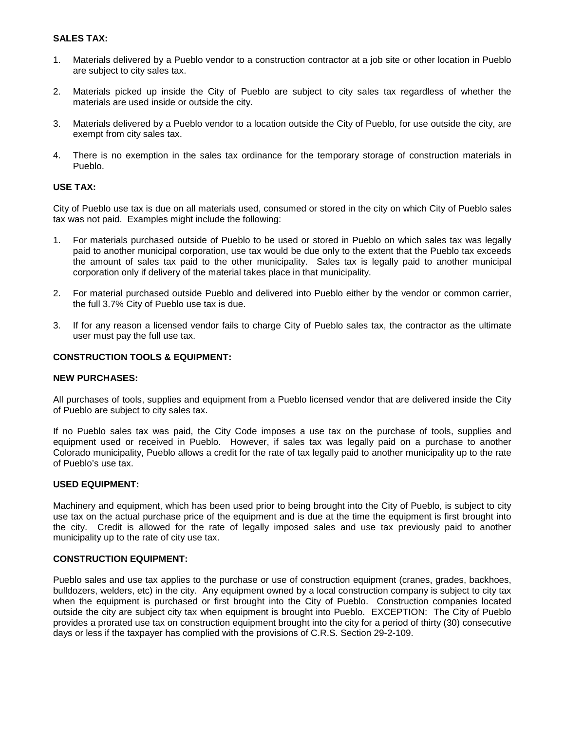#### **SALES TAX:**

- 1. Materials delivered by a Pueblo vendor to a construction contractor at a job site or other location in Pueblo are subject to city sales tax.
- 2. Materials picked up inside the City of Pueblo are subject to city sales tax regardless of whether the materials are used inside or outside the city.
- 3. Materials delivered by a Pueblo vendor to a location outside the City of Pueblo, for use outside the city, are exempt from city sales tax.
- 4. There is no exemption in the sales tax ordinance for the temporary storage of construction materials in Pueblo.

#### **USE TAX:**

City of Pueblo use tax is due on all materials used, consumed or stored in the city on which City of Pueblo sales tax was not paid. Examples might include the following:

- 1. For materials purchased outside of Pueblo to be used or stored in Pueblo on which sales tax was legally paid to another municipal corporation, use tax would be due only to the extent that the Pueblo tax exceeds the amount of sales tax paid to the other municipality. Sales tax is legally paid to another municipal corporation only if delivery of the material takes place in that municipality.
- 2. For material purchased outside Pueblo and delivered into Pueblo either by the vendor or common carrier, the full 3.7% City of Pueblo use tax is due.
- 3. If for any reason a licensed vendor fails to charge City of Pueblo sales tax, the contractor as the ultimate user must pay the full use tax.

#### **CONSTRUCTION TOOLS & EQUIPMENT:**

#### **NEW PURCHASES:**

All purchases of tools, supplies and equipment from a Pueblo licensed vendor that are delivered inside the City of Pueblo are subject to city sales tax.

If no Pueblo sales tax was paid, the City Code imposes a use tax on the purchase of tools, supplies and equipment used or received in Pueblo. However, if sales tax was legally paid on a purchase to another Colorado municipality, Pueblo allows a credit for the rate of tax legally paid to another municipality up to the rate of Pueblo's use tax.

#### **USED EQUIPMENT:**

Machinery and equipment, which has been used prior to being brought into the City of Pueblo, is subject to city use tax on the actual purchase price of the equipment and is due at the time the equipment is first brought into the city. Credit is allowed for the rate of legally imposed sales and use tax previously paid to another municipality up to the rate of city use tax.

#### **CONSTRUCTION EQUIPMENT:**

Pueblo sales and use tax applies to the purchase or use of construction equipment (cranes, grades, backhoes, bulldozers, welders, etc) in the city. Any equipment owned by a local construction company is subject to city tax when the equipment is purchased or first brought into the City of Pueblo. Construction companies located outside the city are subject city tax when equipment is brought into Pueblo. EXCEPTION: The City of Pueblo provides a prorated use tax on construction equipment brought into the city for a period of thirty (30) consecutive days or less if the taxpayer has complied with the provisions of C.R.S. Section 29-2-109.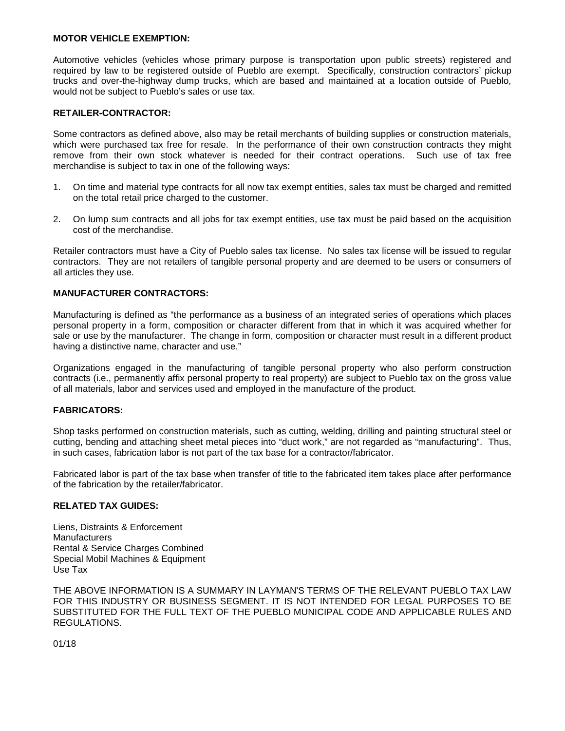#### **MOTOR VEHICLE EXEMPTION:**

Automotive vehicles (vehicles whose primary purpose is transportation upon public streets) registered and required by law to be registered outside of Pueblo are exempt. Specifically, construction contractors' pickup trucks and over-the-highway dump trucks, which are based and maintained at a location outside of Pueblo, would not be subject to Pueblo's sales or use tax.

#### **RETAILER-CONTRACTOR:**

Some contractors as defined above, also may be retail merchants of building supplies or construction materials, which were purchased tax free for resale. In the performance of their own construction contracts they might remove from their own stock whatever is needed for their contract operations. Such use of tax free merchandise is subject to tax in one of the following ways:

- 1. On time and material type contracts for all now tax exempt entities, sales tax must be charged and remitted on the total retail price charged to the customer.
- 2. On lump sum contracts and all jobs for tax exempt entities, use tax must be paid based on the acquisition cost of the merchandise.

Retailer contractors must have a City of Pueblo sales tax license. No sales tax license will be issued to regular contractors. They are not retailers of tangible personal property and are deemed to be users or consumers of all articles they use.

#### **MANUFACTURER CONTRACTORS:**

Manufacturing is defined as "the performance as a business of an integrated series of operations which places personal property in a form, composition or character different from that in which it was acquired whether for sale or use by the manufacturer. The change in form, composition or character must result in a different product having a distinctive name, character and use."

Organizations engaged in the manufacturing of tangible personal property who also perform construction contracts (i.e., permanently affix personal property to real property) are subject to Pueblo tax on the gross value of all materials, labor and services used and employed in the manufacture of the product.

#### **FABRICATORS:**

Shop tasks performed on construction materials, such as cutting, welding, drilling and painting structural steel or cutting, bending and attaching sheet metal pieces into "duct work," are not regarded as "manufacturing". Thus, in such cases, fabrication labor is not part of the tax base for a contractor/fabricator.

Fabricated labor is part of the tax base when transfer of title to the fabricated item takes place after performance of the fabrication by the retailer/fabricator.

#### **RELATED TAX GUIDES:**

Liens, Distraints & Enforcement **Manufacturers** Rental & Service Charges Combined Special Mobil Machines & Equipment Use Tax

THE ABOVE INFORMATION IS A SUMMARY IN LAYMAN'S TERMS OF THE RELEVANT PUEBLO TAX LAW FOR THIS INDUSTRY OR BUSINESS SEGMENT. IT IS NOT INTENDED FOR LEGAL PURPOSES TO BE SUBSTITUTED FOR THE FULL TEXT OF THE PUEBLO MUNICIPAL CODE AND APPLICABLE RULES AND REGULATIONS.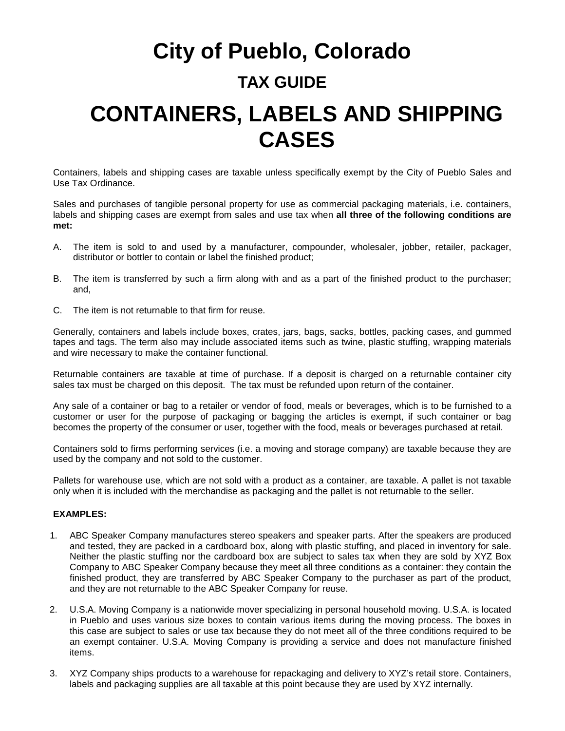## **City of Pueblo, Colorado TAX GUIDE CONTAINERS, LABELS AND SHIPPING CASES**

Containers, labels and shipping cases are taxable unless specifically exempt by the City of Pueblo Sales and Use Tax Ordinance.

Sales and purchases of tangible personal property for use as commercial packaging materials, i.e. containers, labels and shipping cases are exempt from sales and use tax when **all three of the following conditions are met:** 

- A. The item is sold to and used by a manufacturer, compounder, wholesaler, jobber, retailer, packager, distributor or bottler to contain or label the finished product;
- B. The item is transferred by such a firm along with and as a part of the finished product to the purchaser; and,
- C. The item is not returnable to that firm for reuse.

Generally, containers and labels include boxes, crates, jars, bags, sacks, bottles, packing cases, and gummed tapes and tags. The term also may include associated items such as twine, plastic stuffing, wrapping materials and wire necessary to make the container functional.

Returnable containers are taxable at time of purchase. If a deposit is charged on a returnable container city sales tax must be charged on this deposit. The tax must be refunded upon return of the container.

Any sale of a container or bag to a retailer or vendor of food, meals or beverages, which is to be furnished to a customer or user for the purpose of packaging or bagging the articles is exempt, if such container or bag becomes the property of the consumer or user, together with the food, meals or beverages purchased at retail.

Containers sold to firms performing services (i.e. a moving and storage company) are taxable because they are used by the company and not sold to the customer.

Pallets for warehouse use, which are not sold with a product as a container, are taxable. A pallet is not taxable only when it is included with the merchandise as packaging and the pallet is not returnable to the seller.

#### **EXAMPLES:**

- 1. ABC Speaker Company manufactures stereo speakers and speaker parts. After the speakers are produced and tested, they are packed in a cardboard box, along with plastic stuffing, and placed in inventory for sale. Neither the plastic stuffing nor the cardboard box are subject to sales tax when they are sold by XYZ Box Company to ABC Speaker Company because they meet all three conditions as a container: they contain the finished product, they are transferred by ABC Speaker Company to the purchaser as part of the product, and they are not returnable to the ABC Speaker Company for reuse.
- 2. U.S.A. Moving Company is a nationwide mover specializing in personal household moving. U.S.A. is located in Pueblo and uses various size boxes to contain various items during the moving process. The boxes in this case are subject to sales or use tax because they do not meet all of the three conditions required to be an exempt container. U.S.A. Moving Company is providing a service and does not manufacture finished items.
- 3. XYZ Company ships products to a warehouse for repackaging and delivery to XYZ's retail store. Containers, labels and packaging supplies are all taxable at this point because they are used by XYZ internally.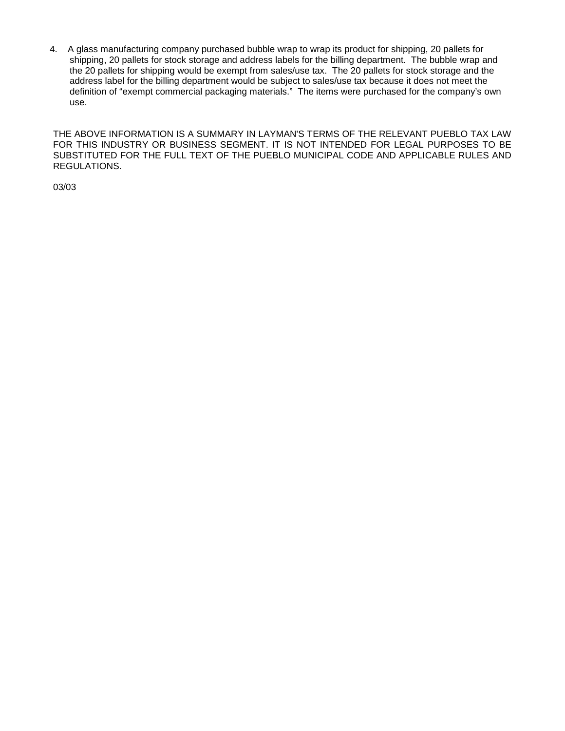4. A glass manufacturing company purchased bubble wrap to wrap its product for shipping, 20 pallets for shipping, 20 pallets for stock storage and address labels for the billing department. The bubble wrap and the 20 pallets for shipping would be exempt from sales/use tax. The 20 pallets for stock storage and the address label for the billing department would be subject to sales/use tax because it does not meet the definition of "exempt commercial packaging materials." The items were purchased for the company's own use.

THE ABOVE INFORMATION IS A SUMMARY IN LAYMAN'S TERMS OF THE RELEVANT PUEBLO TAX LAW FOR THIS INDUSTRY OR BUSINESS SEGMENT. IT IS NOT INTENDED FOR LEGAL PURPOSES TO BE SUBSTITUTED FOR THE FULL TEXT OF THE PUEBLO MUNICIPAL CODE AND APPLICABLE RULES AND REGULATIONS.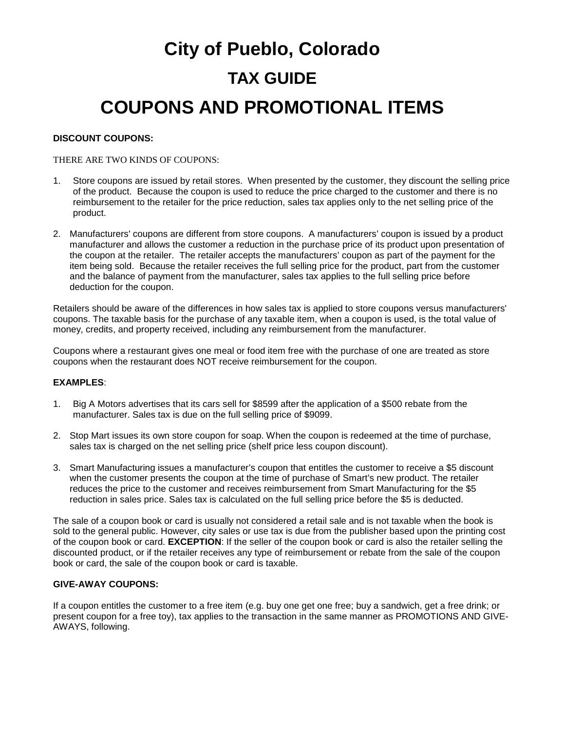## **City of Pueblo, Colorado TAX GUIDE COUPONS AND PROMOTIONAL ITEMS**

#### **DISCOUNT COUPONS:**

#### THERE ARE TWO KINDS OF COUPONS:

- 1. Store coupons are issued by retail stores. When presented by the customer, they discount the selling price of the product. Because the coupon is used to reduce the price charged to the customer and there is no reimbursement to the retailer for the price reduction, sales tax applies only to the net selling price of the product.
- 2. Manufacturers' coupons are different from store coupons. A manufacturers' coupon is issued by a product manufacturer and allows the customer a reduction in the purchase price of its product upon presentation of the coupon at the retailer. The retailer accepts the manufacturers' coupon as part of the payment for the item being sold. Because the retailer receives the full selling price for the product, part from the customer and the balance of payment from the manufacturer, sales tax applies to the full selling price before deduction for the coupon.

Retailers should be aware of the differences in how sales tax is applied to store coupons versus manufacturers' coupons. The taxable basis for the purchase of any taxable item, when a coupon is used, is the total value of money, credits, and property received, including any reimbursement from the manufacturer.

Coupons where a restaurant gives one meal or food item free with the purchase of one are treated as store coupons when the restaurant does NOT receive reimbursement for the coupon.

#### **EXAMPLES**:

- 1. Big A Motors advertises that its cars sell for \$8599 after the application of a \$500 rebate from the manufacturer. Sales tax is due on the full selling price of \$9099.
- 2. Stop Mart issues its own store coupon for soap. When the coupon is redeemed at the time of purchase, sales tax is charged on the net selling price (shelf price less coupon discount).
- 3. Smart Manufacturing issues a manufacturer's coupon that entitles the customer to receive a \$5 discount when the customer presents the coupon at the time of purchase of Smart's new product. The retailer reduces the price to the customer and receives reimbursement from Smart Manufacturing for the \$5 reduction in sales price. Sales tax is calculated on the full selling price before the \$5 is deducted.

The sale of a coupon book or card is usually not considered a retail sale and is not taxable when the book is sold to the general public. However, city sales or use tax is due from the publisher based upon the printing cost of the coupon book or card. **EXCEPTION**: If the seller of the coupon book or card is also the retailer selling the discounted product, or if the retailer receives any type of reimbursement or rebate from the sale of the coupon book or card, the sale of the coupon book or card is taxable.

#### **GIVE-AWAY COUPONS:**

If a coupon entitles the customer to a free item (e.g. buy one get one free; buy a sandwich, get a free drink; or present coupon for a free toy), tax applies to the transaction in the same manner as PROMOTIONS AND GIVE-AWAYS, following.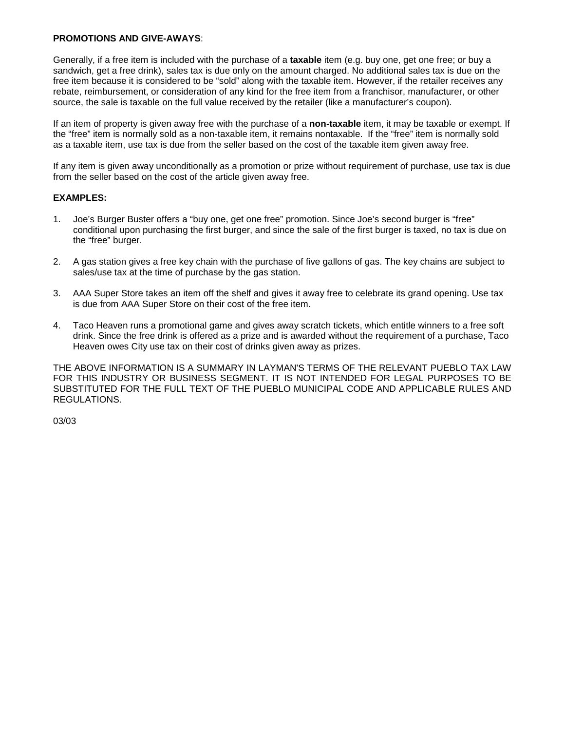#### **PROMOTIONS AND GIVE-AWAYS**:

Generally, if a free item is included with the purchase of a **taxable** item (e.g. buy one, get one free; or buy a sandwich, get a free drink), sales tax is due only on the amount charged. No additional sales tax is due on the free item because it is considered to be "sold" along with the taxable item. However, if the retailer receives any rebate, reimbursement, or consideration of any kind for the free item from a franchisor, manufacturer, or other source, the sale is taxable on the full value received by the retailer (like a manufacturer's coupon).

If an item of property is given away free with the purchase of a **non-taxable** item, it may be taxable or exempt. If the "free" item is normally sold as a non-taxable item, it remains nontaxable. If the "free" item is normally sold as a taxable item, use tax is due from the seller based on the cost of the taxable item given away free.

If any item is given away unconditionally as a promotion or prize without requirement of purchase, use tax is due from the seller based on the cost of the article given away free.

#### **EXAMPLES:**

- 1. Joe's Burger Buster offers a "buy one, get one free" promotion. Since Joe's second burger is "free" conditional upon purchasing the first burger, and since the sale of the first burger is taxed, no tax is due on the "free" burger.
- 2. A gas station gives a free key chain with the purchase of five gallons of gas. The key chains are subject to sales/use tax at the time of purchase by the gas station.
- 3. AAA Super Store takes an item off the shelf and gives it away free to celebrate its grand opening. Use tax is due from AAA Super Store on their cost of the free item.
- 4. Taco Heaven runs a promotional game and gives away scratch tickets, which entitle winners to a free soft drink. Since the free drink is offered as a prize and is awarded without the requirement of a purchase, Taco Heaven owes City use tax on their cost of drinks given away as prizes.

THE ABOVE INFORMATION IS A SUMMARY IN LAYMAN'S TERMS OF THE RELEVANT PUEBLO TAX LAW FOR THIS INDUSTRY OR BUSINESS SEGMENT. IT IS NOT INTENDED FOR LEGAL PURPOSES TO BE SUBSTITUTED FOR THE FULL TEXT OF THE PUEBLO MUNICIPAL CODE AND APPLICABLE RULES AND REGULATIONS.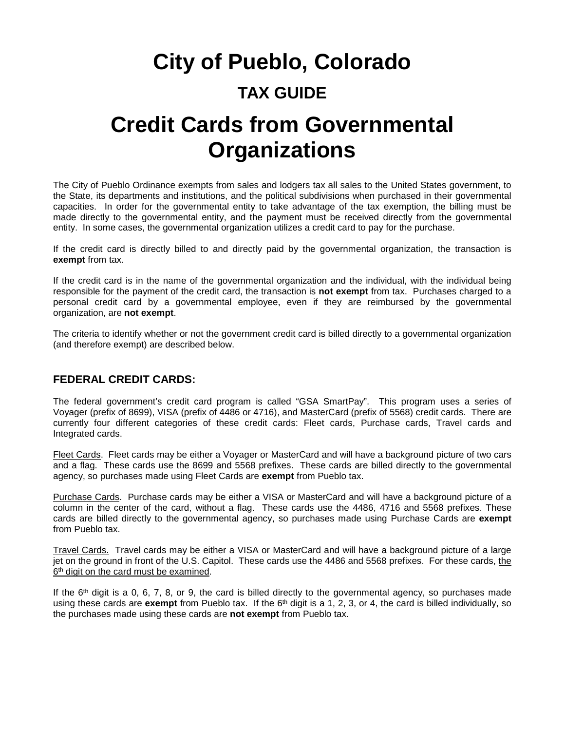## **City of Pueblo, Colorado TAX GUIDE Credit Cards from Governmental Organizations**

The City of Pueblo Ordinance exempts from sales and lodgers tax all sales to the United States government, to the State, its departments and institutions, and the political subdivisions when purchased in their governmental capacities. In order for the governmental entity to take advantage of the tax exemption, the billing must be made directly to the governmental entity, and the payment must be received directly from the governmental entity. In some cases, the governmental organization utilizes a credit card to pay for the purchase.

If the credit card is directly billed to and directly paid by the governmental organization, the transaction is **exempt** from tax.

If the credit card is in the name of the governmental organization and the individual, with the individual being responsible for the payment of the credit card, the transaction is **not exempt** from tax. Purchases charged to a personal credit card by a governmental employee, even if they are reimbursed by the governmental organization, are **not exempt**.

The criteria to identify whether or not the government credit card is billed directly to a governmental organization (and therefore exempt) are described below.

#### **FEDERAL CREDIT CARDS:**

The federal government's credit card program is called "GSA SmartPay". This program uses a series of Voyager (prefix of 8699), VISA (prefix of 4486 or 4716), and MasterCard (prefix of 5568) credit cards. There are currently four different categories of these credit cards: Fleet cards, Purchase cards, Travel cards and Integrated cards.

Fleet Cards. Fleet cards may be either a Voyager or MasterCard and will have a background picture of two cars and a flag. These cards use the 8699 and 5568 prefixes. These cards are billed directly to the governmental agency, so purchases made using Fleet Cards are **exempt** from Pueblo tax.

Purchase Cards. Purchase cards may be either a VISA or MasterCard and will have a background picture of a column in the center of the card, without a flag. These cards use the 4486, 4716 and 5568 prefixes. These cards are billed directly to the governmental agency, so purchases made using Purchase Cards are **exempt** from Pueblo tax.

Travel Cards. Travel cards may be either a VISA or MasterCard and will have a background picture of a large jet on the ground in front of the U.S. Capitol. These cards use the 4486 and 5568 prefixes. For these cards, the 6<sup>th</sup> digit on the card must be examined.

If the  $6<sup>th</sup>$  digit is a 0, 6, 7, 8, or 9, the card is billed directly to the governmental agency, so purchases made using these cards are **exempt** from Pueblo tax. If the 6<sup>th</sup> digit is a 1, 2, 3, or 4, the card is billed individually, so the purchases made using these cards are **not exempt** from Pueblo tax.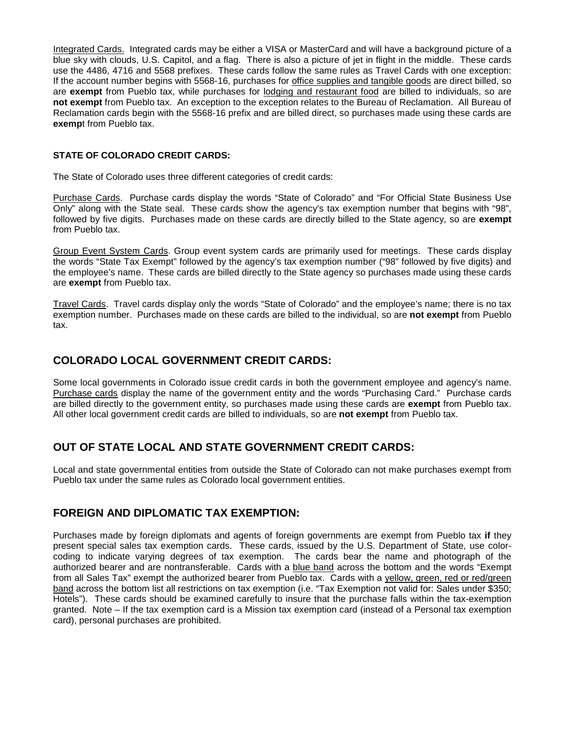Integrated Cards. Integrated cards may be either a VISA or MasterCard and will have a background picture of a blue sky with clouds, U.S. Capitol, and a flag. There is also a picture of jet in flight in the middle. These cards use the 4486, 4716 and 5568 prefixes. These cards follow the same rules as Travel Cards with one exception: If the account number begins with 5568-16, purchases for office supplies and tangible goods are direct billed, so are **exempt** from Pueblo tax, while purchases for lodging and restaurant food are billed to individuals, so are **not exempt** from Pueblo tax. An exception to the exception relates to the Bureau of Reclamation. All Bureau of Reclamation cards begin with the 5568-16 prefix and are billed direct, so purchases made using these cards are **exemp**t from Pueblo tax.

#### **STATE OF COLORADO CREDIT CARDS:**

The State of Colorado uses three different categories of credit cards:

Purchase Cards. Purchase cards display the words "State of Colorado" and "For Official State Business Use Only" along with the State seal. These cards show the agency's tax exemption number that begins with "98", followed by five digits. Purchases made on these cards are directly billed to the State agency, so are **exempt** from Pueblo tax.

Group Event System Cards. Group event system cards are primarily used for meetings. These cards display the words "State Tax Exempt" followed by the agency's tax exemption number ("98" followed by five digits) and the employee's name. These cards are billed directly to the State agency so purchases made using these cards are **exempt** from Pueblo tax.

Travel Cards. Travel cards display only the words "State of Colorado" and the employee's name; there is no tax exemption number. Purchases made on these cards are billed to the individual, so are **not exempt** from Pueblo tax.

#### **COLORADO LOCAL GOVERNMENT CREDIT CARDS:**

Some local governments in Colorado issue credit cards in both the government employee and agency's name. Purchase cards display the name of the government entity and the words "Purchasing Card." Purchase cards are billed directly to the government entity, so purchases made using these cards are **exempt** from Pueblo tax. All other local government credit cards are billed to individuals, so are **not exempt** from Pueblo tax.

#### **OUT OF STATE LOCAL AND STATE GOVERNMENT CREDIT CARDS:**

Local and state governmental entities from outside the State of Colorado can not make purchases exempt from Pueblo tax under the same rules as Colorado local government entities.

#### **FOREIGN AND DIPLOMATIC TAX EXEMPTION:**

Purchases made by foreign diplomats and agents of foreign governments are exempt from Pueblo tax **if** they present special sales tax exemption cards. These cards, issued by the U.S. Department of State, use colorcoding to indicate varying degrees of tax exemption. The cards bear the name and photograph of the authorized bearer and are nontransferable. Cards with a blue band across the bottom and the words "Exempt from all Sales Tax" exempt the authorized bearer from Pueblo tax. Cards with a yellow, green, red or red/green band across the bottom list all restrictions on tax exemption (i.e. "Tax Exemption not valid for: Sales under \$350; Hotels"). These cards should be examined carefully to insure that the purchase falls within the tax-exemption granted. Note – If the tax exemption card is a Mission tax exemption card (instead of a Personal tax exemption card), personal purchases are prohibited.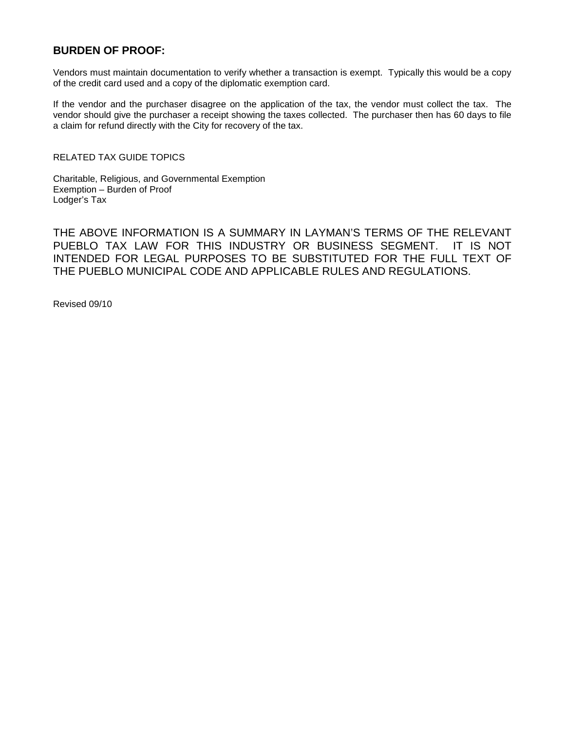#### **BURDEN OF PROOF:**

Vendors must maintain documentation to verify whether a transaction is exempt. Typically this would be a copy of the credit card used and a copy of the diplomatic exemption card.

If the vendor and the purchaser disagree on the application of the tax, the vendor must collect the tax. The vendor should give the purchaser a receipt showing the taxes collected. The purchaser then has 60 days to file a claim for refund directly with the City for recovery of the tax.

RELATED TAX GUIDE TOPICS

Charitable, Religious, and Governmental Exemption Exemption – Burden of Proof Lodger's Tax

THE ABOVE INFORMATION IS A SUMMARY IN LAYMAN'S TERMS OF THE RELEVANT PUEBLO TAX LAW FOR THIS INDUSTRY OR BUSINESS SEGMENT. IT IS NOT INTENDED FOR LEGAL PURPOSES TO BE SUBSTITUTED FOR THE FULL TEXT OF THE PUEBLO MUNICIPAL CODE AND APPLICABLE RULES AND REGULATIONS.

Revised 09/10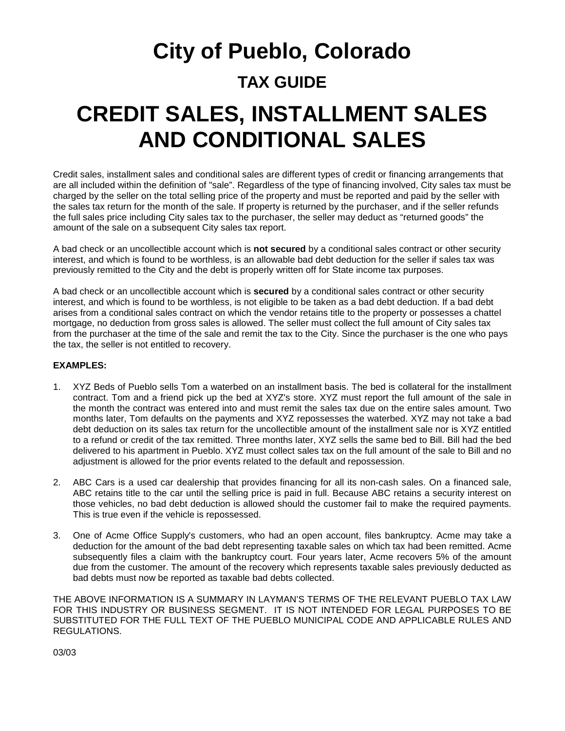## **City of Pueblo, Colorado TAX GUIDE CREDIT SALES, INSTALLMENT SALES AND CONDITIONAL SALES**

Credit sales, installment sales and conditional sales are different types of credit or financing arrangements that are all included within the definition of "sale". Regardless of the type of financing involved, City sales tax must be charged by the seller on the total selling price of the property and must be reported and paid by the seller with the sales tax return for the month of the sale. If property is returned by the purchaser, and if the seller refunds the full sales price including City sales tax to the purchaser, the seller may deduct as "returned goods" the amount of the sale on a subsequent City sales tax report.

A bad check or an uncollectible account which is **not secured** by a conditional sales contract or other security interest, and which is found to be worthless, is an allowable bad debt deduction for the seller if sales tax was previously remitted to the City and the debt is properly written off for State income tax purposes.

A bad check or an uncollectible account which is **secured** by a conditional sales contract or other security interest, and which is found to be worthless, is not eligible to be taken as a bad debt deduction. If a bad debt arises from a conditional sales contract on which the vendor retains title to the property or possesses a chattel mortgage, no deduction from gross sales is allowed. The seller must collect the full amount of City sales tax from the purchaser at the time of the sale and remit the tax to the City. Since the purchaser is the one who pays the tax, the seller is not entitled to recovery.

#### **EXAMPLES:**

- 1. XYZ Beds of Pueblo sells Tom a waterbed on an installment basis. The bed is collateral for the installment contract. Tom and a friend pick up the bed at XYZ's store. XYZ must report the full amount of the sale in the month the contract was entered into and must remit the sales tax due on the entire sales amount. Two months later, Tom defaults on the payments and XYZ repossesses the waterbed. XYZ may not take a bad debt deduction on its sales tax return for the uncollectible amount of the installment sale nor is XYZ entitled to a refund or credit of the tax remitted. Three months later, XYZ sells the same bed to Bill. Bill had the bed delivered to his apartment in Pueblo. XYZ must collect sales tax on the full amount of the sale to Bill and no adjustment is allowed for the prior events related to the default and repossession.
- 2. ABC Cars is a used car dealership that provides financing for all its non-cash sales. On a financed sale, ABC retains title to the car until the selling price is paid in full. Because ABC retains a security interest on those vehicles, no bad debt deduction is allowed should the customer fail to make the required payments. This is true even if the vehicle is repossessed.
- 3. One of Acme Office Supply's customers, who had an open account, files bankruptcy. Acme may take a deduction for the amount of the bad debt representing taxable sales on which tax had been remitted. Acme subsequently files a claim with the bankruptcy court. Four years later, Acme recovers 5% of the amount due from the customer. The amount of the recovery which represents taxable sales previously deducted as bad debts must now be reported as taxable bad debts collected.

THE ABOVE INFORMATION IS A SUMMARY IN LAYMAN'S TERMS OF THE RELEVANT PUEBLO TAX LAW FOR THIS INDUSTRY OR BUSINESS SEGMENT. IT IS NOT INTENDED FOR LEGAL PURPOSES TO BE SUBSTITUTED FOR THE FULL TEXT OF THE PUEBLO MUNICIPAL CODE AND APPLICABLE RULES AND REGULATIONS.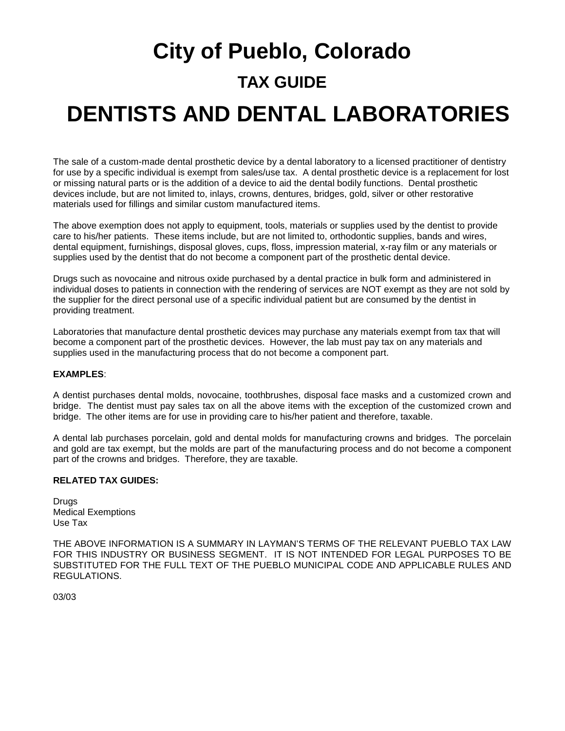# **City of Pueblo, Colorado TAX GUIDE DENTISTS AND DENTAL LABORATORIES**

The sale of a custom-made dental prosthetic device by a dental laboratory to a licensed practitioner of dentistry for use by a specific individual is exempt from sales/use tax. A dental prosthetic device is a replacement for lost or missing natural parts or is the addition of a device to aid the dental bodily functions. Dental prosthetic devices include, but are not limited to, inlays, crowns, dentures, bridges, gold, silver or other restorative materials used for fillings and similar custom manufactured items.

The above exemption does not apply to equipment, tools, materials or supplies used by the dentist to provide care to his/her patients. These items include, but are not limited to, orthodontic supplies, bands and wires, dental equipment, furnishings, disposal gloves, cups, floss, impression material, x-ray film or any materials or supplies used by the dentist that do not become a component part of the prosthetic dental device.

Drugs such as novocaine and nitrous oxide purchased by a dental practice in bulk form and administered in individual doses to patients in connection with the rendering of services are NOT exempt as they are not sold by the supplier for the direct personal use of a specific individual patient but are consumed by the dentist in providing treatment.

Laboratories that manufacture dental prosthetic devices may purchase any materials exempt from tax that will become a component part of the prosthetic devices. However, the lab must pay tax on any materials and supplies used in the manufacturing process that do not become a component part.

#### **EXAMPLES**:

A dentist purchases dental molds, novocaine, toothbrushes, disposal face masks and a customized crown and bridge. The dentist must pay sales tax on all the above items with the exception of the customized crown and bridge. The other items are for use in providing care to his/her patient and therefore, taxable.

A dental lab purchases porcelain, gold and dental molds for manufacturing crowns and bridges. The porcelain and gold are tax exempt, but the molds are part of the manufacturing process and do not become a component part of the crowns and bridges. Therefore, they are taxable.

#### **RELATED TAX GUIDES:**

Drugs Medical Exemptions Use Tax

THE ABOVE INFORMATION IS A SUMMARY IN LAYMAN'S TERMS OF THE RELEVANT PUEBLO TAX LAW FOR THIS INDUSTRY OR BUSINESS SEGMENT. IT IS NOT INTENDED FOR LEGAL PURPOSES TO BE SUBSTITUTED FOR THE FULL TEXT OF THE PUEBLO MUNICIPAL CODE AND APPLICABLE RULES AND REGULATIONS.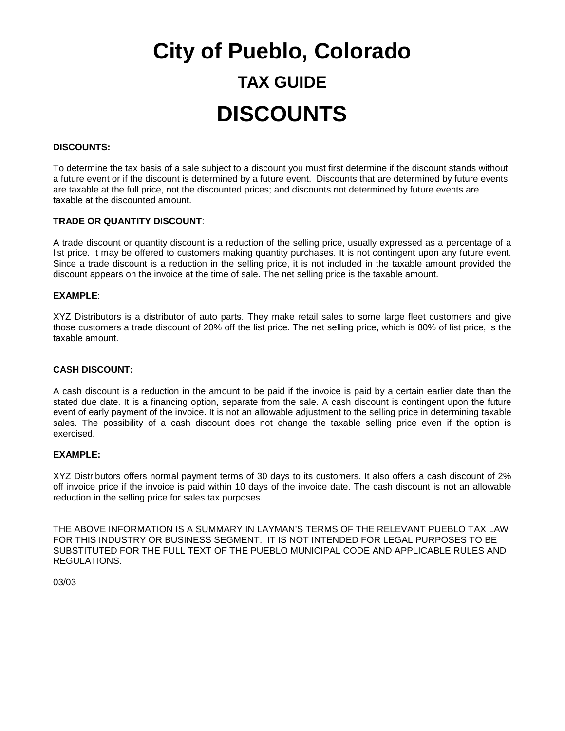# **City of Pueblo, Colorado TAX GUIDE DISCOUNTS**

#### **DISCOUNTS:**

To determine the tax basis of a sale subject to a discount you must first determine if the discount stands without a future event or if the discount is determined by a future event. Discounts that are determined by future events are taxable at the full price, not the discounted prices; and discounts not determined by future events are taxable at the discounted amount.

#### **TRADE OR QUANTITY DISCOUNT**:

A trade discount or quantity discount is a reduction of the selling price, usually expressed as a percentage of a list price. It may be offered to customers making quantity purchases. It is not contingent upon any future event. Since a trade discount is a reduction in the selling price, it is not included in the taxable amount provided the discount appears on the invoice at the time of sale. The net selling price is the taxable amount.

#### **EXAMPLE**:

XYZ Distributors is a distributor of auto parts. They make retail sales to some large fleet customers and give those customers a trade discount of 20% off the list price. The net selling price, which is 80% of list price, is the taxable amount.

#### **CASH DISCOUNT:**

A cash discount is a reduction in the amount to be paid if the invoice is paid by a certain earlier date than the stated due date. It is a financing option, separate from the sale. A cash discount is contingent upon the future event of early payment of the invoice. It is not an allowable adjustment to the selling price in determining taxable sales. The possibility of a cash discount does not change the taxable selling price even if the option is exercised.

#### **EXAMPLE:**

XYZ Distributors offers normal payment terms of 30 days to its customers. It also offers a cash discount of 2% off invoice price if the invoice is paid within 10 days of the invoice date. The cash discount is not an allowable reduction in the selling price for sales tax purposes.

THE ABOVE INFORMATION IS A SUMMARY IN LAYMAN'S TERMS OF THE RELEVANT PUEBLO TAX LAW FOR THIS INDUSTRY OR BUSINESS SEGMENT. IT IS NOT INTENDED FOR LEGAL PURPOSES TO BE SUBSTITUTED FOR THE FULL TEXT OF THE PUEBLO MUNICIPAL CODE AND APPLICABLE RULES AND REGULATIONS.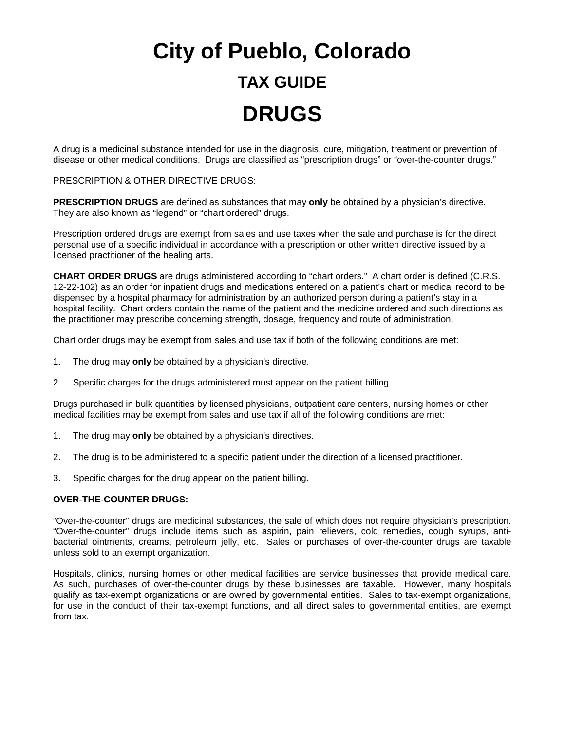# **City of Pueblo, Colorado TAX GUIDE DRUGS**

A drug is a medicinal substance intended for use in the diagnosis, cure, mitigation, treatment or prevention of disease or other medical conditions. Drugs are classified as "prescription drugs" or "over-the-counter drugs."

#### PRESCRIPTION & OTHER DIRECTIVE DRUGS:

**PRESCRIPTION DRUGS** are defined as substances that may **only** be obtained by a physician's directive. They are also known as "legend" or "chart ordered" drugs.

Prescription ordered drugs are exempt from sales and use taxes when the sale and purchase is for the direct personal use of a specific individual in accordance with a prescription or other written directive issued by a licensed practitioner of the healing arts.

**CHART ORDER DRUGS** are drugs administered according to "chart orders." A chart order is defined (C.R.S. 12-22-102) as an order for inpatient drugs and medications entered on a patient's chart or medical record to be dispensed by a hospital pharmacy for administration by an authorized person during a patient's stay in a hospital facility. Chart orders contain the name of the patient and the medicine ordered and such directions as the practitioner may prescribe concerning strength, dosage, frequency and route of administration.

Chart order drugs may be exempt from sales and use tax if both of the following conditions are met:

- 1. The drug may **only** be obtained by a physician's directive.
- 2. Specific charges for the drugs administered must appear on the patient billing.

Drugs purchased in bulk quantities by licensed physicians, outpatient care centers, nursing homes or other medical facilities may be exempt from sales and use tax if all of the following conditions are met:

- 1. The drug may **only** be obtained by a physician's directives.
- 2. The drug is to be administered to a specific patient under the direction of a licensed practitioner.
- 3. Specific charges for the drug appear on the patient billing.

#### **OVER-THE-COUNTER DRUGS:**

"Over-the-counter" drugs are medicinal substances, the sale of which does not require physician's prescription. "Over-the-counter" drugs include items such as aspirin, pain relievers, cold remedies, cough syrups, antibacterial ointments, creams, petroleum jelly, etc. Sales or purchases of over-the-counter drugs are taxable unless sold to an exempt organization.

Hospitals, clinics, nursing homes or other medical facilities are service businesses that provide medical care. As such, purchases of over-the-counter drugs by these businesses are taxable. However, many hospitals qualify as tax-exempt organizations or are owned by governmental entities. Sales to tax-exempt organizations, for use in the conduct of their tax-exempt functions, and all direct sales to governmental entities, are exempt from tax.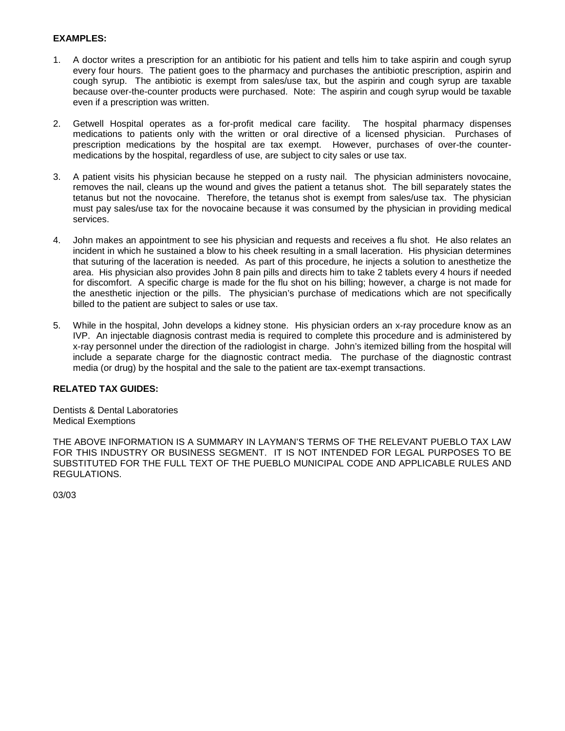#### **EXAMPLES:**

- 1. A doctor writes a prescription for an antibiotic for his patient and tells him to take aspirin and cough syrup every four hours. The patient goes to the pharmacy and purchases the antibiotic prescription, aspirin and cough syrup. The antibiotic is exempt from sales/use tax, but the aspirin and cough syrup are taxable because over-the-counter products were purchased. Note: The aspirin and cough syrup would be taxable even if a prescription was written.
- 2. Getwell Hospital operates as a for-profit medical care facility. The hospital pharmacy dispenses medications to patients only with the written or oral directive of a licensed physician. Purchases of prescription medications by the hospital are tax exempt. However, purchases of over-the countermedications by the hospital, regardless of use, are subject to city sales or use tax.
- 3. A patient visits his physician because he stepped on a rusty nail. The physician administers novocaine, removes the nail, cleans up the wound and gives the patient a tetanus shot. The bill separately states the tetanus but not the novocaine. Therefore, the tetanus shot is exempt from sales/use tax. The physician must pay sales/use tax for the novocaine because it was consumed by the physician in providing medical services.
- 4. John makes an appointment to see his physician and requests and receives a flu shot. He also relates an incident in which he sustained a blow to his cheek resulting in a small laceration. His physician determines that suturing of the laceration is needed. As part of this procedure, he injects a solution to anesthetize the area. His physician also provides John 8 pain pills and directs him to take 2 tablets every 4 hours if needed for discomfort. A specific charge is made for the flu shot on his billing; however, a charge is not made for the anesthetic injection or the pills. The physician's purchase of medications which are not specifically billed to the patient are subject to sales or use tax.
- 5. While in the hospital, John develops a kidney stone. His physician orders an x-ray procedure know as an IVP. An injectable diagnosis contrast media is required to complete this procedure and is administered by x-ray personnel under the direction of the radiologist in charge. John's itemized billing from the hospital will include a separate charge for the diagnostic contract media. The purchase of the diagnostic contrast media (or drug) by the hospital and the sale to the patient are tax-exempt transactions.

#### **RELATED TAX GUIDES:**

Dentists & Dental Laboratories Medical Exemptions

THE ABOVE INFORMATION IS A SUMMARY IN LAYMAN'S TERMS OF THE RELEVANT PUEBLO TAX LAW FOR THIS INDUSTRY OR BUSINESS SEGMENT. IT IS NOT INTENDED FOR LEGAL PURPOSES TO BE SUBSTITUTED FOR THE FULL TEXT OF THE PUEBLO MUNICIPAL CODE AND APPLICABLE RULES AND REGULATIONS.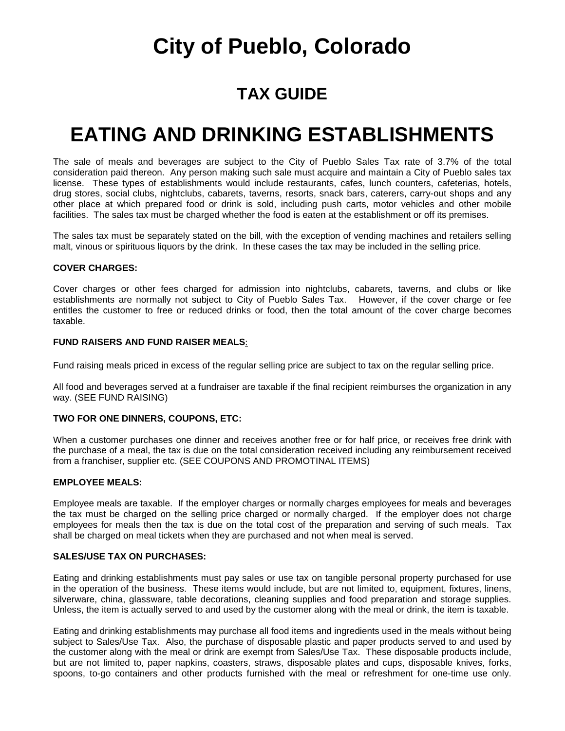### **TAX GUIDE**

### **EATING AND DRINKING ESTABLISHMENTS**

The sale of meals and beverages are subject to the City of Pueblo Sales Tax rate of 3.7% of the total consideration paid thereon. Any person making such sale must acquire and maintain a City of Pueblo sales tax license. These types of establishments would include restaurants, cafes, lunch counters, cafeterias, hotels, drug stores, social clubs, nightclubs, cabarets, taverns, resorts, snack bars, caterers, carry-out shops and any other place at which prepared food or drink is sold, including push carts, motor vehicles and other mobile facilities. The sales tax must be charged whether the food is eaten at the establishment or off its premises.

The sales tax must be separately stated on the bill, with the exception of vending machines and retailers selling malt, vinous or spirituous liquors by the drink. In these cases the tax may be included in the selling price.

#### **COVER CHARGES:**

Cover charges or other fees charged for admission into nightclubs, cabarets, taverns, and clubs or like establishments are normally not subject to City of Pueblo Sales Tax. However, if the cover charge or fee entitles the customer to free or reduced drinks or food, then the total amount of the cover charge becomes taxable.

#### **FUND RAISERS AND FUND RAISER MEALS**:

Fund raising meals priced in excess of the regular selling price are subject to tax on the regular selling price.

All food and beverages served at a fundraiser are taxable if the final recipient reimburses the organization in any way. (SEE FUND RAISING)

#### **TWO FOR ONE DINNERS, COUPONS, ETC:**

When a customer purchases one dinner and receives another free or for half price, or receives free drink with the purchase of a meal, the tax is due on the total consideration received including any reimbursement received from a franchiser, supplier etc. (SEE COUPONS AND PROMOTINAL ITEMS)

#### **EMPLOYEE MEALS:**

Employee meals are taxable. If the employer charges or normally charges employees for meals and beverages the tax must be charged on the selling price charged or normally charged. If the employer does not charge employees for meals then the tax is due on the total cost of the preparation and serving of such meals. Tax shall be charged on meal tickets when they are purchased and not when meal is served.

#### **SALES/USE TAX ON PURCHASES:**

Eating and drinking establishments must pay sales or use tax on tangible personal property purchased for use in the operation of the business. These items would include, but are not limited to, equipment, fixtures, linens, silverware, china, glassware, table decorations, cleaning supplies and food preparation and storage supplies. Unless, the item is actually served to and used by the customer along with the meal or drink, the item is taxable.

Eating and drinking establishments may purchase all food items and ingredients used in the meals without being subject to Sales/Use Tax. Also, the purchase of disposable plastic and paper products served to and used by the customer along with the meal or drink are exempt from Sales/Use Tax. These disposable products include, but are not limited to, paper napkins, coasters, straws, disposable plates and cups, disposable knives, forks, spoons, to-go containers and other products furnished with the meal or refreshment for one-time use only.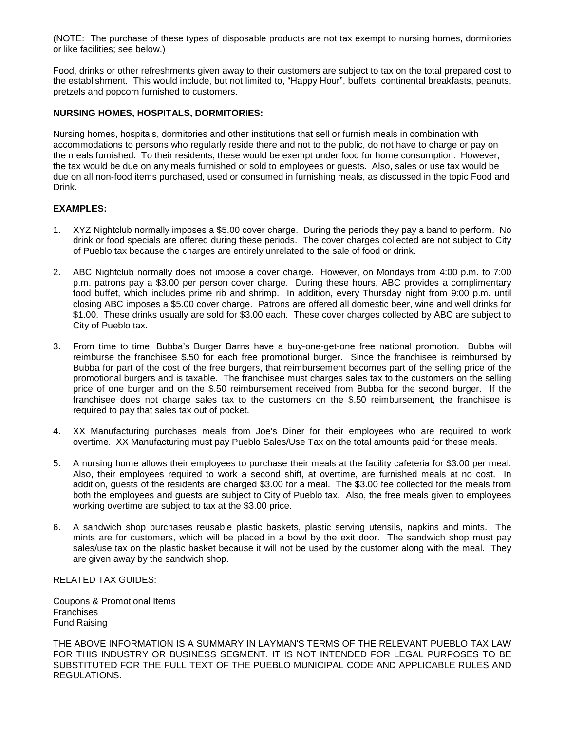(NOTE: The purchase of these types of disposable products are not tax exempt to nursing homes, dormitories or like facilities; see below.)

Food, drinks or other refreshments given away to their customers are subject to tax on the total prepared cost to the establishment. This would include, but not limited to, "Happy Hour", buffets, continental breakfasts, peanuts, pretzels and popcorn furnished to customers.

#### **NURSING HOMES, HOSPITALS, DORMITORIES:**

Nursing homes, hospitals, dormitories and other institutions that sell or furnish meals in combination with accommodations to persons who regularly reside there and not to the public, do not have to charge or pay on the meals furnished. To their residents, these would be exempt under food for home consumption. However, the tax would be due on any meals furnished or sold to employees or guests. Also, sales or use tax would be due on all non-food items purchased, used or consumed in furnishing meals, as discussed in the topic Food and Drink.

#### **EXAMPLES:**

- 1. XYZ Nightclub normally imposes a \$5.00 cover charge. During the periods they pay a band to perform. No drink or food specials are offered during these periods. The cover charges collected are not subject to City of Pueblo tax because the charges are entirely unrelated to the sale of food or drink.
- 2. ABC Nightclub normally does not impose a cover charge. However, on Mondays from 4:00 p.m. to 7:00 p.m. patrons pay a \$3.00 per person cover charge. During these hours, ABC provides a complimentary food buffet, which includes prime rib and shrimp. In addition, every Thursday night from 9:00 p.m. until closing ABC imposes a \$5.00 cover charge. Patrons are offered all domestic beer, wine and well drinks for \$1.00. These drinks usually are sold for \$3.00 each. These cover charges collected by ABC are subject to City of Pueblo tax.
- 3. From time to time, Bubba's Burger Barns have a buy-one-get-one free national promotion. Bubba will reimburse the franchisee \$.50 for each free promotional burger. Since the franchisee is reimbursed by Bubba for part of the cost of the free burgers, that reimbursement becomes part of the selling price of the promotional burgers and is taxable. The franchisee must charges sales tax to the customers on the selling price of one burger and on the \$.50 reimbursement received from Bubba for the second burger. If the franchisee does not charge sales tax to the customers on the \$.50 reimbursement, the franchisee is required to pay that sales tax out of pocket.
- 4. XX Manufacturing purchases meals from Joe's Diner for their employees who are required to work overtime. XX Manufacturing must pay Pueblo Sales/Use Tax on the total amounts paid for these meals.
- 5. A nursing home allows their employees to purchase their meals at the facility cafeteria for \$3.00 per meal. Also, their employees required to work a second shift, at overtime, are furnished meals at no cost. In addition, guests of the residents are charged \$3.00 for a meal. The \$3.00 fee collected for the meals from both the employees and guests are subject to City of Pueblo tax. Also, the free meals given to employees working overtime are subject to tax at the \$3.00 price.
- 6. A sandwich shop purchases reusable plastic baskets, plastic serving utensils, napkins and mints. The mints are for customers, which will be placed in a bowl by the exit door. The sandwich shop must pay sales/use tax on the plastic basket because it will not be used by the customer along with the meal. They are given away by the sandwich shop.

RELATED TAX GUIDES:

Coupons & Promotional Items **Franchises** Fund Raising

THE ABOVE INFORMATION IS A SUMMARY IN LAYMAN'S TERMS OF THE RELEVANT PUEBLO TAX LAW FOR THIS INDUSTRY OR BUSINESS SEGMENT. IT IS NOT INTENDED FOR LEGAL PURPOSES TO BE SUBSTITUTED FOR THE FULL TEXT OF THE PUEBLO MUNICIPAL CODE AND APPLICABLE RULES AND REGULATIONS.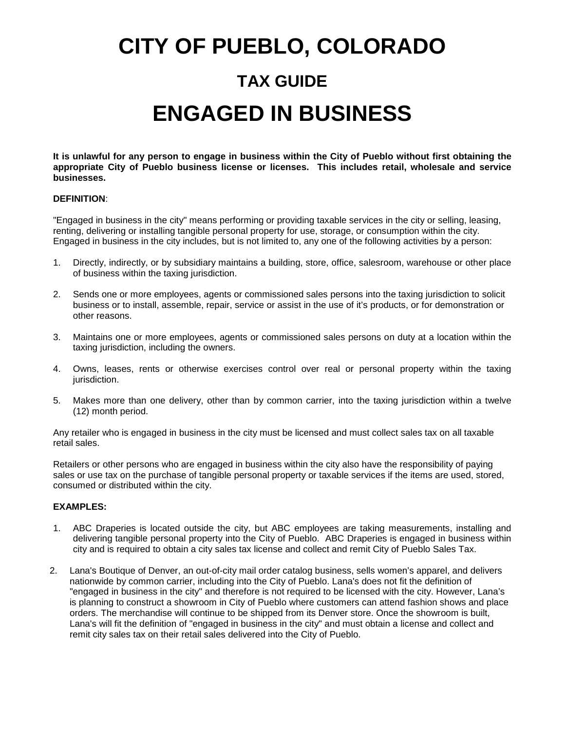# **CITY OF PUEBLO, COLORADO TAX GUIDE ENGAGED IN BUSINESS**

**It is unlawful for any person to engage in business within the City of Pueblo without first obtaining the appropriate City of Pueblo business license or licenses. This includes retail, wholesale and service businesses.**

#### **DEFINITION**:

"Engaged in business in the city" means performing or providing taxable services in the city or selling, leasing, renting, delivering or installing tangible personal property for use, storage, or consumption within the city. Engaged in business in the city includes, but is not limited to, any one of the following activities by a person:

- 1. Directly, indirectly, or by subsidiary maintains a building, store, office, salesroom, warehouse or other place of business within the taxing jurisdiction.
- 2. Sends one or more employees, agents or commissioned sales persons into the taxing jurisdiction to solicit business or to install, assemble, repair, service or assist in the use of it's products, or for demonstration or other reasons.
- 3. Maintains one or more employees, agents or commissioned sales persons on duty at a location within the taxing jurisdiction, including the owners.
- 4. Owns, leases, rents or otherwise exercises control over real or personal property within the taxing jurisdiction.
- 5. Makes more than one delivery, other than by common carrier, into the taxing jurisdiction within a twelve (12) month period.

Any retailer who is engaged in business in the city must be licensed and must collect sales tax on all taxable retail sales.

Retailers or other persons who are engaged in business within the city also have the responsibility of paying sales or use tax on the purchase of tangible personal property or taxable services if the items are used, stored, consumed or distributed within the city.

#### **EXAMPLES:**

- 1. ABC Draperies is located outside the city, but ABC employees are taking measurements, installing and delivering tangible personal property into the City of Pueblo. ABC Draperies is engaged in business within city and is required to obtain a city sales tax license and collect and remit City of Pueblo Sales Tax.
- 2. Lana's Boutique of Denver, an out-of-city mail order catalog business, sells women's apparel, and delivers nationwide by common carrier, including into the City of Pueblo. Lana's does not fit the definition of "engaged in business in the city" and therefore is not required to be licensed with the city. However, Lana's is planning to construct a showroom in City of Pueblo where customers can attend fashion shows and place orders. The merchandise will continue to be shipped from its Denver store. Once the showroom is built, Lana's will fit the definition of "engaged in business in the city" and must obtain a license and collect and remit city sales tax on their retail sales delivered into the City of Pueblo.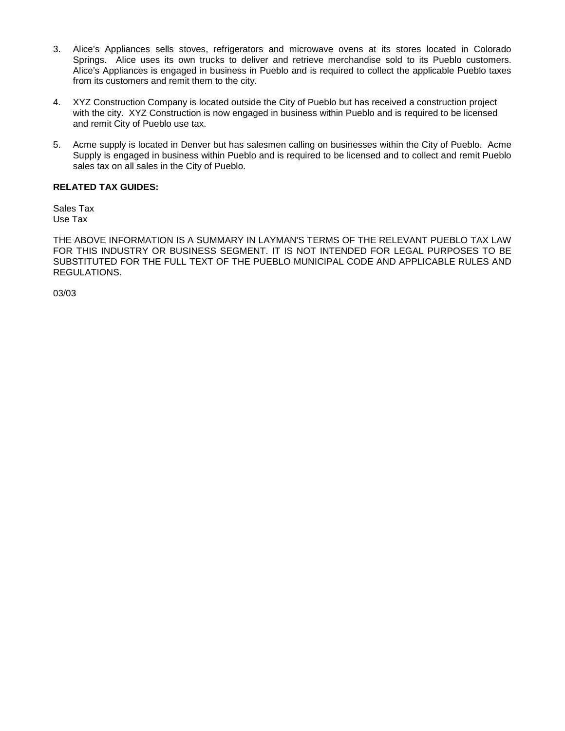- 3. Alice's Appliances sells stoves, refrigerators and microwave ovens at its stores located in Colorado Springs. Alice uses its own trucks to deliver and retrieve merchandise sold to its Pueblo customers. Alice's Appliances is engaged in business in Pueblo and is required to collect the applicable Pueblo taxes from its customers and remit them to the city.
- 4. XYZ Construction Company is located outside the City of Pueblo but has received a construction project with the city. XYZ Construction is now engaged in business within Pueblo and is required to be licensed and remit City of Pueblo use tax.
- 5. Acme supply is located in Denver but has salesmen calling on businesses within the City of Pueblo. Acme Supply is engaged in business within Pueblo and is required to be licensed and to collect and remit Pueblo sales tax on all sales in the City of Pueblo.

#### **RELATED TAX GUIDES:**

Sales Tax Use Tax

THE ABOVE INFORMATION IS A SUMMARY IN LAYMAN'S TERMS OF THE RELEVANT PUEBLO TAX LAW FOR THIS INDUSTRY OR BUSINESS SEGMENT. IT IS NOT INTENDED FOR LEGAL PURPOSES TO BE SUBSTITUTED FOR THE FULL TEXT OF THE PUEBLO MUNICIPAL CODE AND APPLICABLE RULES AND REGULATIONS.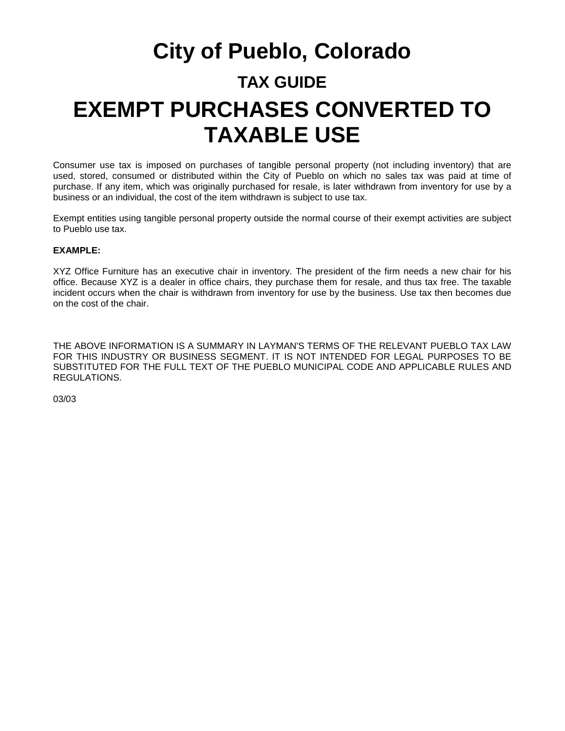# **City of Pueblo, Colorado TAX GUIDE EXEMPT PURCHASES CONVERTED TO TAXABLE USE**

Consumer use tax is imposed on purchases of tangible personal property (not including inventory) that are used, stored, consumed or distributed within the City of Pueblo on which no sales tax was paid at time of purchase. If any item, which was originally purchased for resale, is later withdrawn from inventory for use by a business or an individual, the cost of the item withdrawn is subject to use tax.

Exempt entities using tangible personal property outside the normal course of their exempt activities are subject to Pueblo use tax.

#### **EXAMPLE:**

XYZ Office Furniture has an executive chair in inventory. The president of the firm needs a new chair for his office. Because XYZ is a dealer in office chairs, they purchase them for resale, and thus tax free. The taxable incident occurs when the chair is withdrawn from inventory for use by the business. Use tax then becomes due on the cost of the chair.

THE ABOVE INFORMATION IS A SUMMARY IN LAYMAN'S TERMS OF THE RELEVANT PUEBLO TAX LAW FOR THIS INDUSTRY OR BUSINESS SEGMENT. IT IS NOT INTENDED FOR LEGAL PURPOSES TO BE SUBSTITUTED FOR THE FULL TEXT OF THE PUEBLO MUNICIPAL CODE AND APPLICABLE RULES AND REGULATIONS.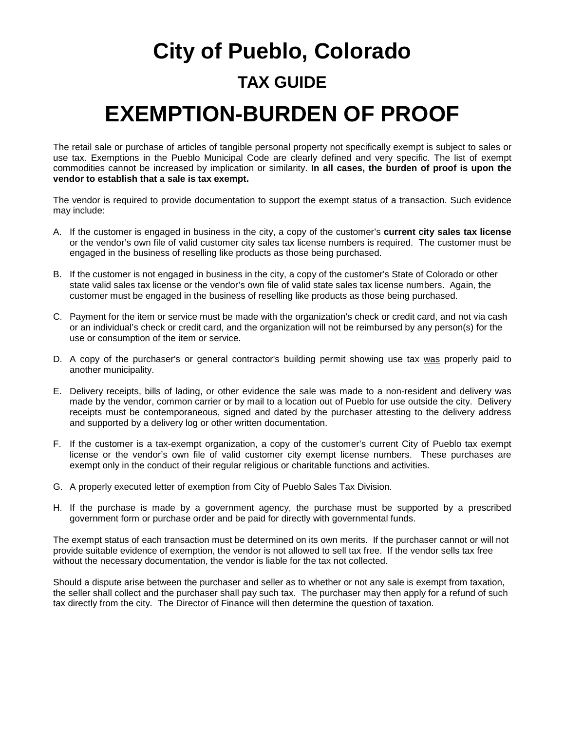# **City of Pueblo, Colorado TAX GUIDE EXEMPTION-BURDEN OF PROOF**

The retail sale or purchase of articles of tangible personal property not specifically exempt is subject to sales or use tax. Exemptions in the Pueblo Municipal Code are clearly defined and very specific. The list of exempt commodities cannot be increased by implication or similarity. **In all cases, the burden of proof is upon the vendor to establish that a sale is tax exempt.** 

The vendor is required to provide documentation to support the exempt status of a transaction. Such evidence may include:

- A. If the customer is engaged in business in the city, a copy of the customer's **current city sales tax license** or the vendor's own file of valid customer city sales tax license numbers is required. The customer must be engaged in the business of reselling like products as those being purchased.
- B. If the customer is not engaged in business in the city, a copy of the customer's State of Colorado or other state valid sales tax license or the vendor's own file of valid state sales tax license numbers. Again, the customer must be engaged in the business of reselling like products as those being purchased.
- C. Payment for the item or service must be made with the organization's check or credit card, and not via cash or an individual's check or credit card, and the organization will not be reimbursed by any person(s) for the use or consumption of the item or service.
- D. A copy of the purchaser's or general contractor's building permit showing use tax was properly paid to another municipality.
- E. Delivery receipts, bills of lading, or other evidence the sale was made to a non-resident and delivery was made by the vendor, common carrier or by mail to a location out of Pueblo for use outside the city. Delivery receipts must be contemporaneous, signed and dated by the purchaser attesting to the delivery address and supported by a delivery log or other written documentation.
- F. If the customer is a tax-exempt organization, a copy of the customer's current City of Pueblo tax exempt license or the vendor's own file of valid customer city exempt license numbers. These purchases are exempt only in the conduct of their regular religious or charitable functions and activities.
- G. A properly executed letter of exemption from City of Pueblo Sales Tax Division.
- H. If the purchase is made by a government agency, the purchase must be supported by a prescribed government form or purchase order and be paid for directly with governmental funds.

The exempt status of each transaction must be determined on its own merits. If the purchaser cannot or will not provide suitable evidence of exemption, the vendor is not allowed to sell tax free. If the vendor sells tax free without the necessary documentation, the vendor is liable for the tax not collected.

Should a dispute arise between the purchaser and seller as to whether or not any sale is exempt from taxation, the seller shall collect and the purchaser shall pay such tax. The purchaser may then apply for a refund of such tax directly from the city. The Director of Finance will then determine the question of taxation.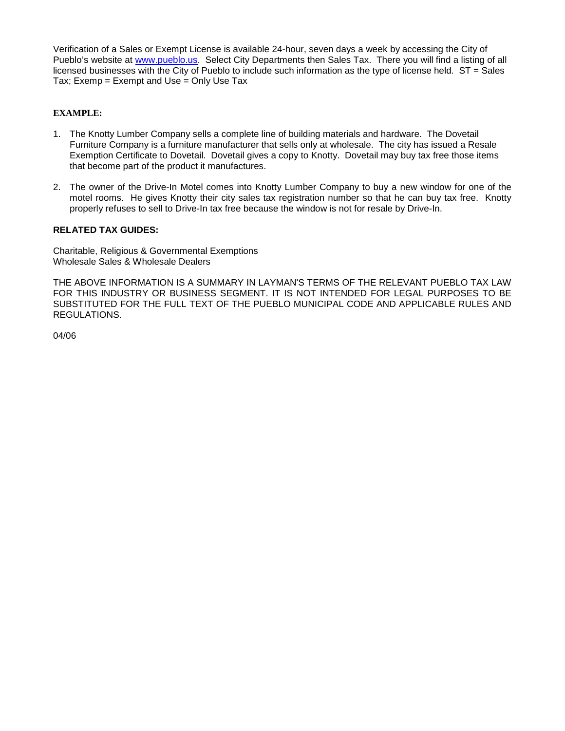Verification of a Sales or Exempt License is available 24-hour, seven days a week by accessing the City of Pueblo's website at [www.pueblo.us.](http://www.pueblo.us/) Select City Departments then Sales Tax. There you will find a listing of all licensed businesses with the City of Pueblo to include such information as the type of license held. ST = Sales Tax; Exemp = Exempt and Use = Only Use Tax

#### **EXAMPLE:**

- 1. The Knotty Lumber Company sells a complete line of building materials and hardware. The Dovetail Furniture Company is a furniture manufacturer that sells only at wholesale. The city has issued a Resale Exemption Certificate to Dovetail. Dovetail gives a copy to Knotty. Dovetail may buy tax free those items that become part of the product it manufactures.
- 2. The owner of the Drive-In Motel comes into Knotty Lumber Company to buy a new window for one of the motel rooms. He gives Knotty their city sales tax registration number so that he can buy tax free. Knotty properly refuses to sell to Drive-In tax free because the window is not for resale by Drive-In.

#### **RELATED TAX GUIDES:**

Charitable, Religious & Governmental Exemptions Wholesale Sales & Wholesale Dealers

THE ABOVE INFORMATION IS A SUMMARY IN LAYMAN'S TERMS OF THE RELEVANT PUEBLO TAX LAW FOR THIS INDUSTRY OR BUSINESS SEGMENT. IT IS NOT INTENDED FOR LEGAL PURPOSES TO BE SUBSTITUTED FOR THE FULL TEXT OF THE PUEBLO MUNICIPAL CODE AND APPLICABLE RULES AND REGULATIONS.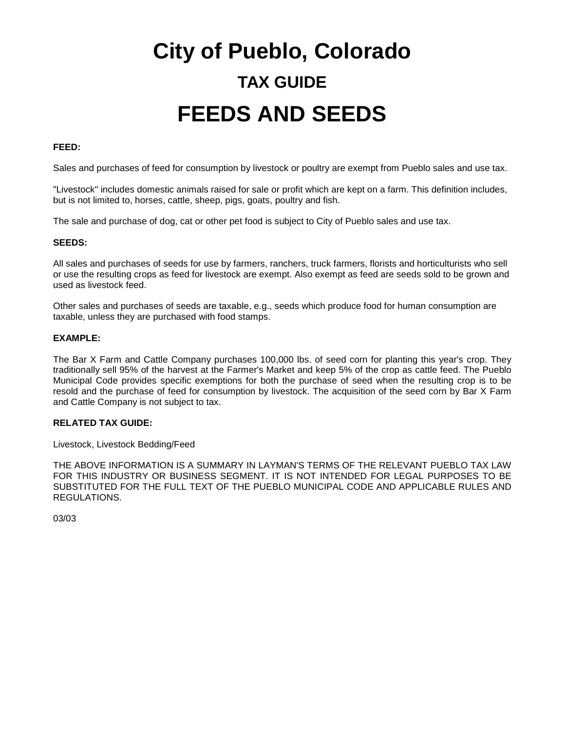# **City of Pueblo, Colorado TAX GUIDE FEEDS AND SEEDS**

#### **FEED:**

Sales and purchases of feed for consumption by livestock or poultry are exempt from Pueblo sales and use tax.

"Livestock" includes domestic animals raised for sale or profit which are kept on a farm. This definition includes, but is not limited to, horses, cattle, sheep, pigs, goats, poultry and fish.

The sale and purchase of dog, cat or other pet food is subject to City of Pueblo sales and use tax.

#### **SEEDS:**

All sales and purchases of seeds for use by farmers, ranchers, truck farmers, florists and horticulturists who sell or use the resulting crops as feed for livestock are exempt. Also exempt as feed are seeds sold to be grown and used as livestock feed.

Other sales and purchases of seeds are taxable, e.g., seeds which produce food for human consumption are taxable, unless they are purchased with food stamps.

#### **EXAMPLE:**

The Bar X Farm and Cattle Company purchases 100,000 lbs. of seed corn for planting this year's crop. They traditionally sell 95% of the harvest at the Farmer's Market and keep 5% of the crop as cattle feed. The Pueblo Municipal Code provides specific exemptions for both the purchase of seed when the resulting crop is to be resold and the purchase of feed for consumption by livestock. The acquisition of the seed corn by Bar X Farm and Cattle Company is not subject to tax.

#### **RELATED TAX GUIDE:**

Livestock, Livestock Bedding/Feed

THE ABOVE INFORMATION IS A SUMMARY IN LAYMAN'S TERMS OF THE RELEVANT PUEBLO TAX LAW FOR THIS INDUSTRY OR BUSINESS SEGMENT. IT IS NOT INTENDED FOR LEGAL PURPOSES TO BE SUBSTITUTED FOR THE FULL TEXT OF THE PUEBLO MUNICIPAL CODE AND APPLICABLE RULES AND REGULATIONS.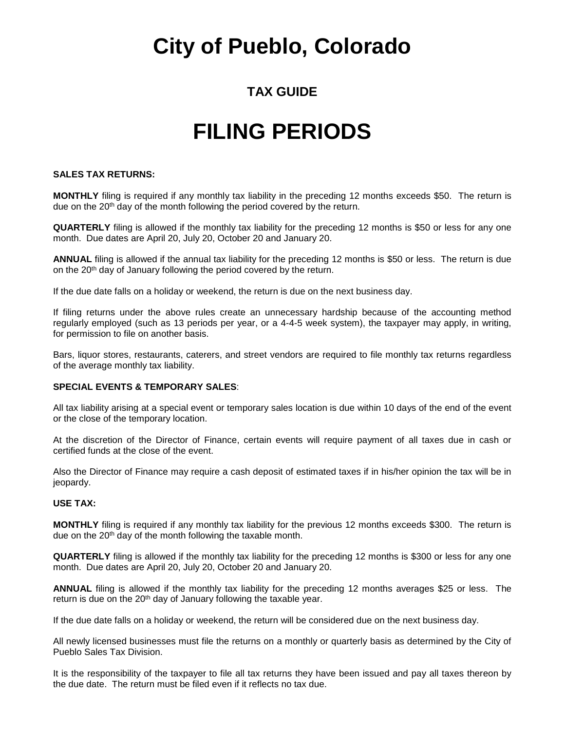### **TAX GUIDE**

## **FILING PERIODS**

#### **SALES TAX RETURNS:**

**MONTHLY** filing is required if any monthly tax liability in the preceding 12 months exceeds \$50. The return is due on the 20<sup>th</sup> day of the month following the period covered by the return.

**QUARTERLY** filing is allowed if the monthly tax liability for the preceding 12 months is \$50 or less for any one month. Due dates are April 20, July 20, October 20 and January 20.

**ANNUAL** filing is allowed if the annual tax liability for the preceding 12 months is \$50 or less. The return is due on the 20<sup>th</sup> day of January following the period covered by the return.

If the due date falls on a holiday or weekend, the return is due on the next business day.

If filing returns under the above rules create an unnecessary hardship because of the accounting method regularly employed (such as 13 periods per year, or a 4-4-5 week system), the taxpayer may apply, in writing, for permission to file on another basis.

Bars, liquor stores, restaurants, caterers, and street vendors are required to file monthly tax returns regardless of the average monthly tax liability.

#### **SPECIAL EVENTS & TEMPORARY SALES**:

All tax liability arising at a special event or temporary sales location is due within 10 days of the end of the event or the close of the temporary location.

At the discretion of the Director of Finance, certain events will require payment of all taxes due in cash or certified funds at the close of the event.

Also the Director of Finance may require a cash deposit of estimated taxes if in his/her opinion the tax will be in jeopardy.

#### **USE TAX:**

**MONTHLY** filing is required if any monthly tax liability for the previous 12 months exceeds \$300. The return is due on the 20<sup>th</sup> day of the month following the taxable month.

**QUARTERLY** filing is allowed if the monthly tax liability for the preceding 12 months is \$300 or less for any one month. Due dates are April 20, July 20, October 20 and January 20.

**ANNUAL** filing is allowed if the monthly tax liability for the preceding 12 months averages \$25 or less. The return is due on the 20<sup>th</sup> day of January following the taxable year.

If the due date falls on a holiday or weekend, the return will be considered due on the next business day.

All newly licensed businesses must file the returns on a monthly or quarterly basis as determined by the City of Pueblo Sales Tax Division.

It is the responsibility of the taxpayer to file all tax returns they have been issued and pay all taxes thereon by the due date. The return must be filed even if it reflects no tax due.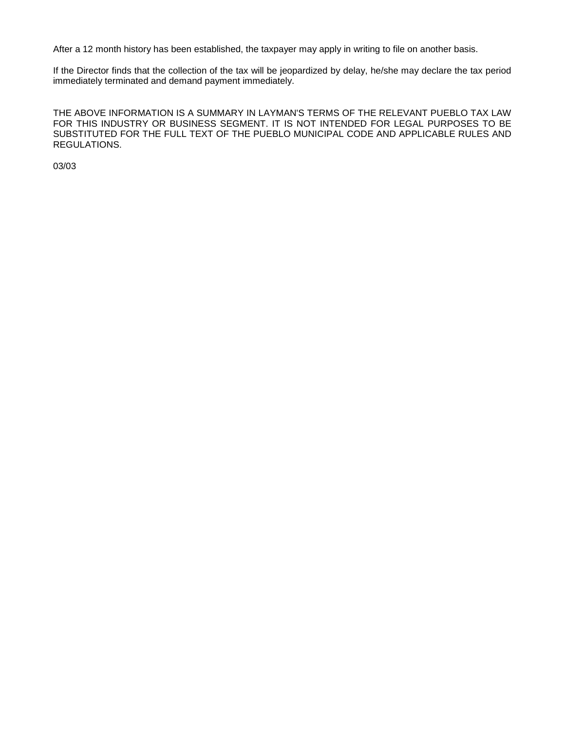After a 12 month history has been established, the taxpayer may apply in writing to file on another basis.

If the Director finds that the collection of the tax will be jeopardized by delay, he/she may declare the tax period immediately terminated and demand payment immediately.

THE ABOVE INFORMATION IS A SUMMARY IN LAYMAN'S TERMS OF THE RELEVANT PUEBLO TAX LAW FOR THIS INDUSTRY OR BUSINESS SEGMENT. IT IS NOT INTENDED FOR LEGAL PURPOSES TO BE SUBSTITUTED FOR THE FULL TEXT OF THE PUEBLO MUNICIPAL CODE AND APPLICABLE RULES AND REGULATIONS.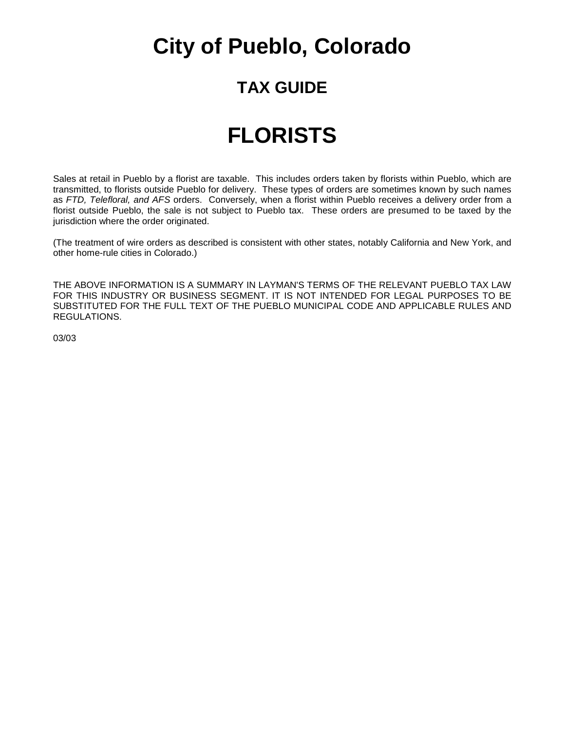### **TAX GUIDE**

### **FLORISTS**

Sales at retail in Pueblo by a florist are taxable. This includes orders taken by florists within Pueblo, which are transmitted, to florists outside Pueblo for delivery. These types of orders are sometimes known by such names as *FTD, Telefloral, and AFS* orders. Conversely, when a florist within Pueblo receives a delivery order from a florist outside Pueblo, the sale is not subject to Pueblo tax. These orders are presumed to be taxed by the jurisdiction where the order originated.

(The treatment of wire orders as described is consistent with other states, notably California and New York, and other home-rule cities in Colorado.)

THE ABOVE INFORMATION IS A SUMMARY IN LAYMAN'S TERMS OF THE RELEVANT PUEBLO TAX LAW FOR THIS INDUSTRY OR BUSINESS SEGMENT. IT IS NOT INTENDED FOR LEGAL PURPOSES TO BE SUBSTITUTED FOR THE FULL TEXT OF THE PUEBLO MUNICIPAL CODE AND APPLICABLE RULES AND REGULATIONS.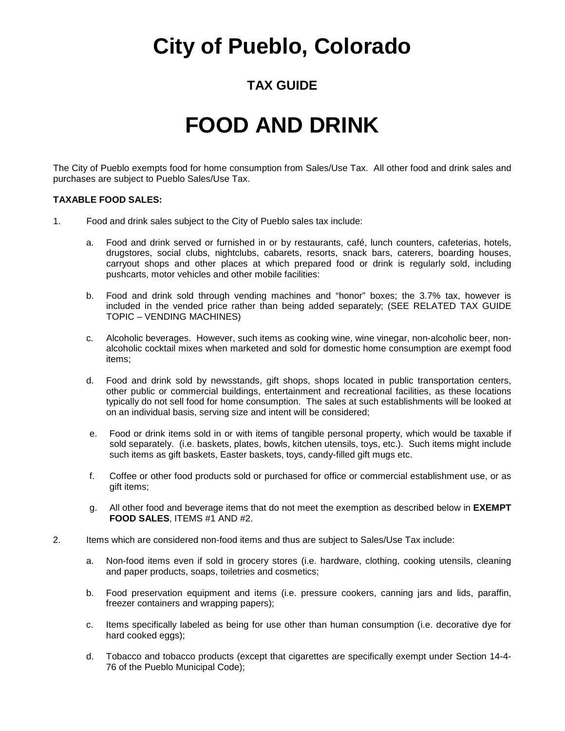### **TAX GUIDE**

## **FOOD AND DRINK**

The City of Pueblo exempts food for home consumption from Sales/Use Tax. All other food and drink sales and purchases are subject to Pueblo Sales/Use Tax.

#### **TAXABLE FOOD SALES:**

- 1. Food and drink sales subject to the City of Pueblo sales tax include:
	- a. Food and drink served or furnished in or by restaurants, café, lunch counters, cafeterias, hotels, drugstores, social clubs, nightclubs, cabarets, resorts, snack bars, caterers, boarding houses, carryout shops and other places at which prepared food or drink is regularly sold, including pushcarts, motor vehicles and other mobile facilities:
	- b. Food and drink sold through vending machines and "honor" boxes; the 3.7% tax, however is included in the vended price rather than being added separately; (SEE RELATED TAX GUIDE TOPIC – VENDING MACHINES)
	- c. Alcoholic beverages. However, such items as cooking wine, wine vinegar, non-alcoholic beer, nonalcoholic cocktail mixes when marketed and sold for domestic home consumption are exempt food items;
	- d. Food and drink sold by newsstands, gift shops, shops located in public transportation centers, other public or commercial buildings, entertainment and recreational facilities, as these locations typically do not sell food for home consumption. The sales at such establishments will be looked at on an individual basis, serving size and intent will be considered;
	- e. Food or drink items sold in or with items of tangible personal property, which would be taxable if sold separately. (i.e. baskets, plates, bowls, kitchen utensils, toys, etc.). Such items might include such items as gift baskets, Easter baskets, toys, candy-filled gift mugs etc.
	- f. Coffee or other food products sold or purchased for office or commercial establishment use, or as gift items;
	- g. All other food and beverage items that do not meet the exemption as described below in **EXEMPT FOOD SALES**, ITEMS #1 AND #2.
- 2. Items which are considered non-food items and thus are subject to Sales/Use Tax include:
	- a. Non-food items even if sold in grocery stores (i.e. hardware, clothing, cooking utensils, cleaning and paper products, soaps, toiletries and cosmetics;
	- b. Food preservation equipment and items (i.e. pressure cookers, canning jars and lids, paraffin, freezer containers and wrapping papers);
	- c. Items specifically labeled as being for use other than human consumption (i.e. decorative dye for hard cooked eggs);
	- d. Tobacco and tobacco products (except that cigarettes are specifically exempt under Section 14-4- 76 of the Pueblo Municipal Code);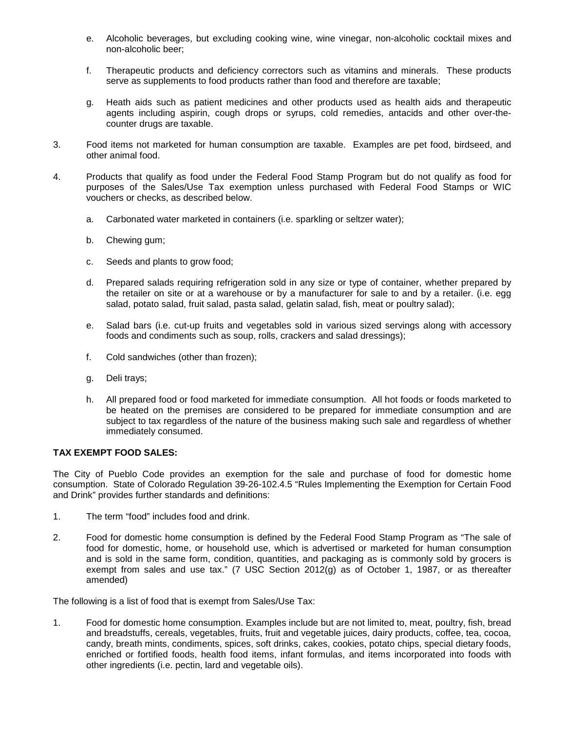- e. Alcoholic beverages, but excluding cooking wine, wine vinegar, non-alcoholic cocktail mixes and non-alcoholic beer;
- f. Therapeutic products and deficiency correctors such as vitamins and minerals. These products serve as supplements to food products rather than food and therefore are taxable;
- g. Heath aids such as patient medicines and other products used as health aids and therapeutic agents including aspirin, cough drops or syrups, cold remedies, antacids and other over-thecounter drugs are taxable.
- 3. Food items not marketed for human consumption are taxable. Examples are pet food, birdseed, and other animal food.
- 4. Products that qualify as food under the Federal Food Stamp Program but do not qualify as food for purposes of the Sales/Use Tax exemption unless purchased with Federal Food Stamps or WIC vouchers or checks, as described below.
	- a. Carbonated water marketed in containers (i.e. sparkling or seltzer water);
	- b. Chewing gum;
	- c. Seeds and plants to grow food;
	- d. Prepared salads requiring refrigeration sold in any size or type of container, whether prepared by the retailer on site or at a warehouse or by a manufacturer for sale to and by a retailer. (i.e. egg salad, potato salad, fruit salad, pasta salad, gelatin salad, fish, meat or poultry salad);
	- e. Salad bars (i.e. cut-up fruits and vegetables sold in various sized servings along with accessory foods and condiments such as soup, rolls, crackers and salad dressings);
	- f. Cold sandwiches (other than frozen);
	- g. Deli trays;
	- h. All prepared food or food marketed for immediate consumption. All hot foods or foods marketed to be heated on the premises are considered to be prepared for immediate consumption and are subject to tax regardless of the nature of the business making such sale and regardless of whether immediately consumed.

#### **TAX EXEMPT FOOD SALES:**

The City of Pueblo Code provides an exemption for the sale and purchase of food for domestic home consumption. State of Colorado Regulation 39-26-102.4.5 "Rules Implementing the Exemption for Certain Food and Drink" provides further standards and definitions:

- 1. The term "food" includes food and drink.
- 2. Food for domestic home consumption is defined by the Federal Food Stamp Program as "The sale of food for domestic, home, or household use, which is advertised or marketed for human consumption and is sold in the same form, condition, quantities, and packaging as is commonly sold by grocers is exempt from sales and use tax." (7 USC Section 2012(g) as of October 1, 1987, or as thereafter amended)

The following is a list of food that is exempt from Sales/Use Tax:

1. Food for domestic home consumption. Examples include but are not limited to, meat, poultry, fish, bread and breadstuffs, cereals, vegetables, fruits, fruit and vegetable juices, dairy products, coffee, tea, cocoa, candy, breath mints, condiments, spices, soft drinks, cakes, cookies, potato chips, special dietary foods, enriched or fortified foods, health food items, infant formulas, and items incorporated into foods with other ingredients (i.e. pectin, lard and vegetable oils).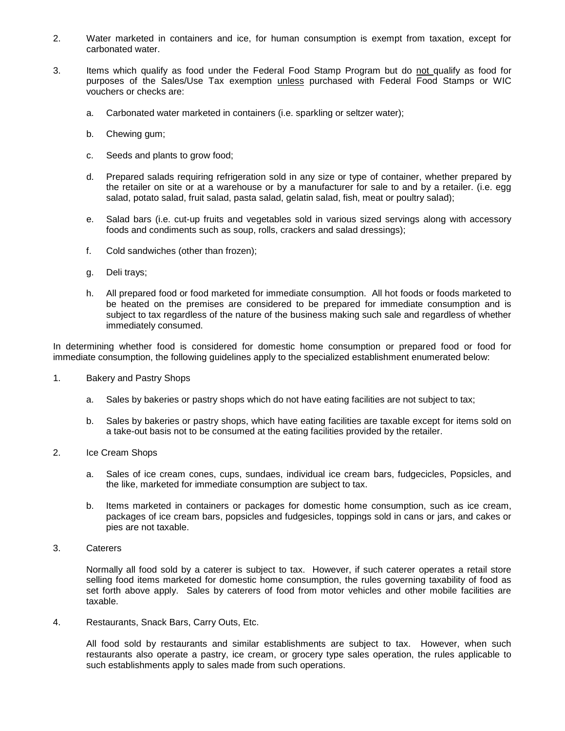- 2. Water marketed in containers and ice, for human consumption is exempt from taxation, except for carbonated water.
- 3. Items which qualify as food under the Federal Food Stamp Program but do not qualify as food for purposes of the Sales/Use Tax exemption unless purchased with Federal Food Stamps or WIC vouchers or checks are:
	- a. Carbonated water marketed in containers (i.e. sparkling or seltzer water);
	- b. Chewing gum;
	- c. Seeds and plants to grow food;
	- d. Prepared salads requiring refrigeration sold in any size or type of container, whether prepared by the retailer on site or at a warehouse or by a manufacturer for sale to and by a retailer. (i.e. egg salad, potato salad, fruit salad, pasta salad, gelatin salad, fish, meat or poultry salad);
	- e. Salad bars (i.e. cut-up fruits and vegetables sold in various sized servings along with accessory foods and condiments such as soup, rolls, crackers and salad dressings);
	- f. Cold sandwiches (other than frozen);
	- g. Deli trays;
	- h. All prepared food or food marketed for immediate consumption. All hot foods or foods marketed to be heated on the premises are considered to be prepared for immediate consumption and is subject to tax regardless of the nature of the business making such sale and regardless of whether immediately consumed.

In determining whether food is considered for domestic home consumption or prepared food or food for immediate consumption, the following guidelines apply to the specialized establishment enumerated below:

- 1. Bakery and Pastry Shops
	- a. Sales by bakeries or pastry shops which do not have eating facilities are not subject to tax;
	- b. Sales by bakeries or pastry shops, which have eating facilities are taxable except for items sold on a take-out basis not to be consumed at the eating facilities provided by the retailer.
- 2. Ice Cream Shops
	- a. Sales of ice cream cones, cups, sundaes, individual ice cream bars, fudgecicles, Popsicles, and the like, marketed for immediate consumption are subject to tax.
	- b. Items marketed in containers or packages for domestic home consumption, such as ice cream, packages of ice cream bars, popsicles and fudgesicles, toppings sold in cans or jars, and cakes or pies are not taxable.
- 3. Caterers

Normally all food sold by a caterer is subject to tax. However, if such caterer operates a retail store selling food items marketed for domestic home consumption, the rules governing taxability of food as set forth above apply. Sales by caterers of food from motor vehicles and other mobile facilities are taxable.

4. Restaurants, Snack Bars, Carry Outs, Etc.

All food sold by restaurants and similar establishments are subject to tax. However, when such restaurants also operate a pastry, ice cream, or grocery type sales operation, the rules applicable to such establishments apply to sales made from such operations.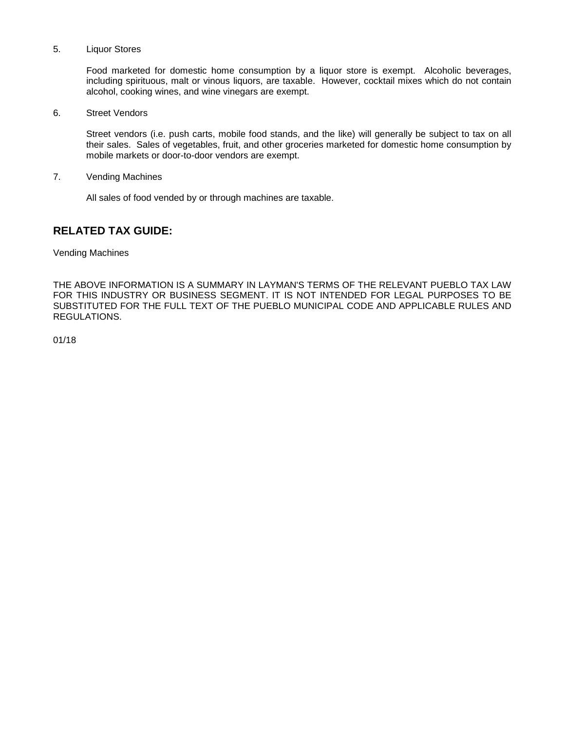#### 5. Liquor Stores

Food marketed for domestic home consumption by a liquor store is exempt. Alcoholic beverages, including spirituous, malt or vinous liquors, are taxable. However, cocktail mixes which do not contain alcohol, cooking wines, and wine vinegars are exempt.

6. Street Vendors

Street vendors (i.e. push carts, mobile food stands, and the like) will generally be subject to tax on all their sales. Sales of vegetables, fruit, and other groceries marketed for domestic home consumption by mobile markets or door-to-door vendors are exempt.

7. Vending Machines

All sales of food vended by or through machines are taxable.

#### **RELATED TAX GUIDE:**

Vending Machines

THE ABOVE INFORMATION IS A SUMMARY IN LAYMAN'S TERMS OF THE RELEVANT PUEBLO TAX LAW FOR THIS INDUSTRY OR BUSINESS SEGMENT. IT IS NOT INTENDED FOR LEGAL PURPOSES TO BE SUBSTITUTED FOR THE FULL TEXT OF THE PUEBLO MUNICIPAL CODE AND APPLICABLE RULES AND REGULATIONS.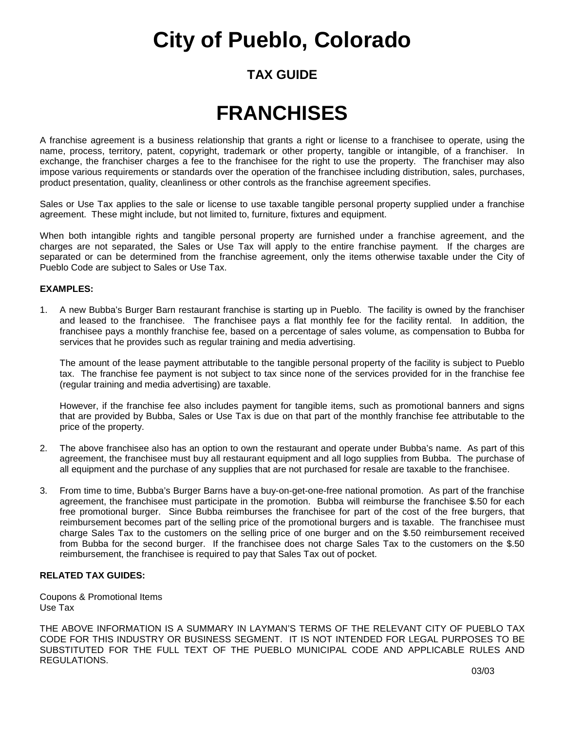### **TAX GUIDE**

### **FRANCHISES**

A franchise agreement is a business relationship that grants a right or license to a franchisee to operate, using the name, process, territory, patent, copyright, trademark or other property, tangible or intangible, of a franchiser. In exchange, the franchiser charges a fee to the franchisee for the right to use the property. The franchiser may also impose various requirements or standards over the operation of the franchisee including distribution, sales, purchases, product presentation, quality, cleanliness or other controls as the franchise agreement specifies.

Sales or Use Tax applies to the sale or license to use taxable tangible personal property supplied under a franchise agreement. These might include, but not limited to, furniture, fixtures and equipment.

When both intangible rights and tangible personal property are furnished under a franchise agreement, and the charges are not separated, the Sales or Use Tax will apply to the entire franchise payment. If the charges are separated or can be determined from the franchise agreement, only the items otherwise taxable under the City of Pueblo Code are subject to Sales or Use Tax.

#### **EXAMPLES:**

1. A new Bubba's Burger Barn restaurant franchise is starting up in Pueblo. The facility is owned by the franchiser and leased to the franchisee. The franchisee pays a flat monthly fee for the facility rental. In addition, the franchisee pays a monthly franchise fee, based on a percentage of sales volume, as compensation to Bubba for services that he provides such as regular training and media advertising.

The amount of the lease payment attributable to the tangible personal property of the facility is subject to Pueblo tax. The franchise fee payment is not subject to tax since none of the services provided for in the franchise fee (regular training and media advertising) are taxable.

However, if the franchise fee also includes payment for tangible items, such as promotional banners and signs that are provided by Bubba, Sales or Use Tax is due on that part of the monthly franchise fee attributable to the price of the property.

- 2. The above franchisee also has an option to own the restaurant and operate under Bubba's name. As part of this agreement, the franchisee must buy all restaurant equipment and all logo supplies from Bubba. The purchase of all equipment and the purchase of any supplies that are not purchased for resale are taxable to the franchisee.
- 3. From time to time, Bubba's Burger Barns have a buy-on-get-one-free national promotion. As part of the franchise agreement, the franchisee must participate in the promotion. Bubba will reimburse the franchisee \$.50 for each free promotional burger. Since Bubba reimburses the franchisee for part of the cost of the free burgers, that reimbursement becomes part of the selling price of the promotional burgers and is taxable. The franchisee must charge Sales Tax to the customers on the selling price of one burger and on the \$.50 reimbursement received from Bubba for the second burger. If the franchisee does not charge Sales Tax to the customers on the \$.50 reimbursement, the franchisee is required to pay that Sales Tax out of pocket.

#### **RELATED TAX GUIDES:**

Coupons & Promotional Items Use Tax

THE ABOVE INFORMATION IS A SUMMARY IN LAYMAN'S TERMS OF THE RELEVANT CITY OF PUEBLO TAX CODE FOR THIS INDUSTRY OR BUSINESS SEGMENT. IT IS NOT INTENDED FOR LEGAL PURPOSES TO BE SUBSTITUTED FOR THE FULL TEXT OF THE PUEBLO MUNICIPAL CODE AND APPLICABLE RULES AND REGULATIONS.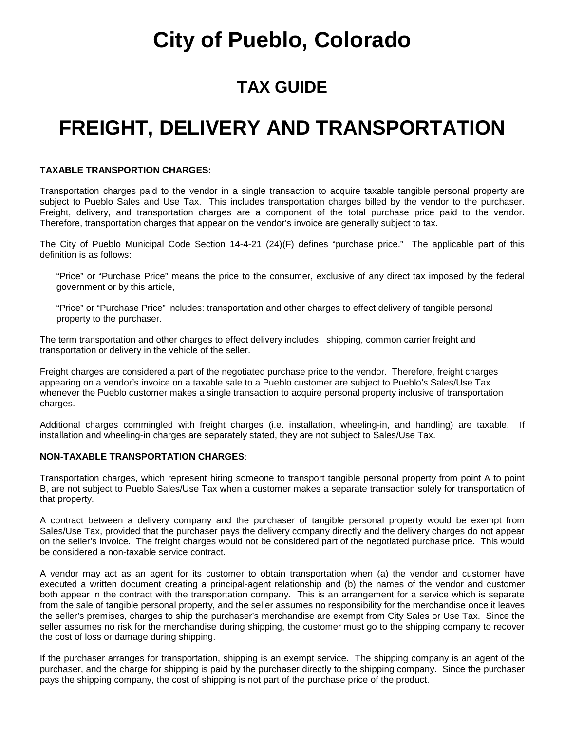### **TAX GUIDE**

### **FREIGHT, DELIVERY AND TRANSPORTATION**

#### **TAXABLE TRANSPORTION CHARGES:**

Transportation charges paid to the vendor in a single transaction to acquire taxable tangible personal property are subject to Pueblo Sales and Use Tax. This includes transportation charges billed by the vendor to the purchaser. Freight, delivery, and transportation charges are a component of the total purchase price paid to the vendor. Therefore, transportation charges that appear on the vendor's invoice are generally subject to tax.

The City of Pueblo Municipal Code Section 14-4-21 (24)(F) defines "purchase price." The applicable part of this definition is as follows:

"Price" or "Purchase Price" means the price to the consumer, exclusive of any direct tax imposed by the federal government or by this article,

"Price" or "Purchase Price" includes: transportation and other charges to effect delivery of tangible personal property to the purchaser.

The term transportation and other charges to effect delivery includes: shipping, common carrier freight and transportation or delivery in the vehicle of the seller.

Freight charges are considered a part of the negotiated purchase price to the vendor. Therefore, freight charges appearing on a vendor's invoice on a taxable sale to a Pueblo customer are subject to Pueblo's Sales/Use Tax whenever the Pueblo customer makes a single transaction to acquire personal property inclusive of transportation charges.

Additional charges commingled with freight charges (i.e. installation, wheeling-in, and handling) are taxable. If installation and wheeling-in charges are separately stated, they are not subject to Sales/Use Tax.

#### **NON-TAXABLE TRANSPORTATION CHARGES**:

Transportation charges, which represent hiring someone to transport tangible personal property from point A to point B, are not subject to Pueblo Sales/Use Tax when a customer makes a separate transaction solely for transportation of that property.

A contract between a delivery company and the purchaser of tangible personal property would be exempt from Sales/Use Tax, provided that the purchaser pays the delivery company directly and the delivery charges do not appear on the seller's invoice. The freight charges would not be considered part of the negotiated purchase price. This would be considered a non-taxable service contract.

A vendor may act as an agent for its customer to obtain transportation when (a) the vendor and customer have executed a written document creating a principal-agent relationship and (b) the names of the vendor and customer both appear in the contract with the transportation company. This is an arrangement for a service which is separate from the sale of tangible personal property, and the seller assumes no responsibility for the merchandise once it leaves the seller's premises, charges to ship the purchaser's merchandise are exempt from City Sales or Use Tax. Since the seller assumes no risk for the merchandise during shipping, the customer must go to the shipping company to recover the cost of loss or damage during shipping.

If the purchaser arranges for transportation, shipping is an exempt service. The shipping company is an agent of the purchaser, and the charge for shipping is paid by the purchaser directly to the shipping company. Since the purchaser pays the shipping company, the cost of shipping is not part of the purchase price of the product.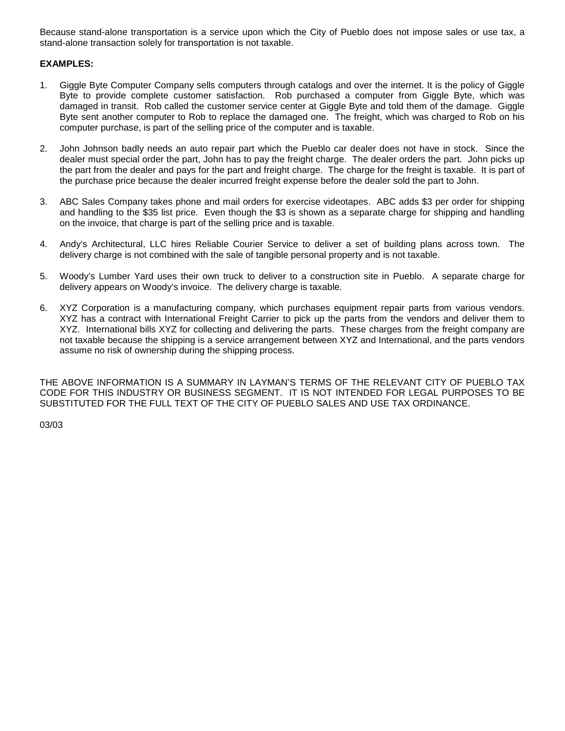Because stand-alone transportation is a service upon which the City of Pueblo does not impose sales or use tax, a stand-alone transaction solely for transportation is not taxable.

#### **EXAMPLES:**

- 1. Giggle Byte Computer Company sells computers through catalogs and over the internet. It is the policy of Giggle Byte to provide complete customer satisfaction. Rob purchased a computer from Giggle Byte, which was damaged in transit. Rob called the customer service center at Giggle Byte and told them of the damage. Giggle Byte sent another computer to Rob to replace the damaged one. The freight, which was charged to Rob on his computer purchase, is part of the selling price of the computer and is taxable.
- 2. John Johnson badly needs an auto repair part which the Pueblo car dealer does not have in stock. Since the dealer must special order the part, John has to pay the freight charge. The dealer orders the part. John picks up the part from the dealer and pays for the part and freight charge. The charge for the freight is taxable. It is part of the purchase price because the dealer incurred freight expense before the dealer sold the part to John.
- 3. ABC Sales Company takes phone and mail orders for exercise videotapes. ABC adds \$3 per order for shipping and handling to the \$35 list price. Even though the \$3 is shown as a separate charge for shipping and handling on the invoice, that charge is part of the selling price and is taxable.
- 4. Andy's Architectural, LLC hires Reliable Courier Service to deliver a set of building plans across town. The delivery charge is not combined with the sale of tangible personal property and is not taxable.
- 5. Woody's Lumber Yard uses their own truck to deliver to a construction site in Pueblo. A separate charge for delivery appears on Woody's invoice. The delivery charge is taxable.
- 6. XYZ Corporation is a manufacturing company, which purchases equipment repair parts from various vendors. XYZ has a contract with International Freight Carrier to pick up the parts from the vendors and deliver them to XYZ. International bills XYZ for collecting and delivering the parts. These charges from the freight company are not taxable because the shipping is a service arrangement between XYZ and International, and the parts vendors assume no risk of ownership during the shipping process.

THE ABOVE INFORMATION IS A SUMMARY IN LAYMAN'S TERMS OF THE RELEVANT CITY OF PUEBLO TAX CODE FOR THIS INDUSTRY OR BUSINESS SEGMENT. IT IS NOT INTENDED FOR LEGAL PURPOSES TO BE SUBSTITUTED FOR THE FULL TEXT OF THE CITY OF PUEBLO SALES AND USE TAX ORDINANCE.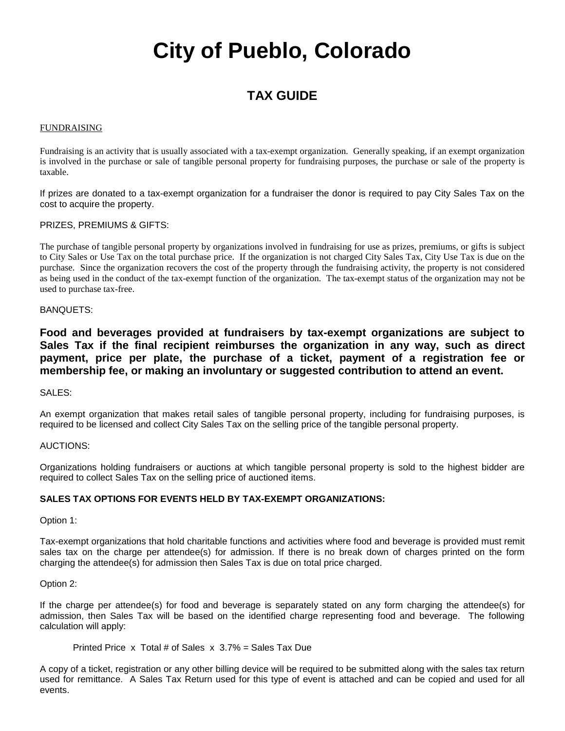### **TAX GUIDE**

#### FUNDRAISING

Fundraising is an activity that is usually associated with a tax-exempt organization. Generally speaking, if an exempt organization is involved in the purchase or sale of tangible personal property for fundraising purposes, the purchase or sale of the property is taxable.

If prizes are donated to a tax-exempt organization for a fundraiser the donor is required to pay City Sales Tax on the cost to acquire the property.

#### PRIZES, PREMIUMS & GIFTS:

The purchase of tangible personal property by organizations involved in fundraising for use as prizes, premiums, or gifts is subject to City Sales or Use Tax on the total purchase price. If the organization is not charged City Sales Tax, City Use Tax is due on the purchase. Since the organization recovers the cost of the property through the fundraising activity, the property is not considered as being used in the conduct of the tax-exempt function of the organization. The tax-exempt status of the organization may not be used to purchase tax-free.

#### BANQUETS:

**Food and beverages provided at fundraisers by tax-exempt organizations are subject to Sales Tax if the final recipient reimburses the organization in any way, such as direct payment, price per plate, the purchase of a ticket, payment of a registration fee or membership fee, or making an involuntary or suggested contribution to attend an event.**

#### SALES:

An exempt organization that makes retail sales of tangible personal property, including for fundraising purposes, is required to be licensed and collect City Sales Tax on the selling price of the tangible personal property.

#### AUCTIONS:

Organizations holding fundraisers or auctions at which tangible personal property is sold to the highest bidder are required to collect Sales Tax on the selling price of auctioned items.

#### **SALES TAX OPTIONS FOR EVENTS HELD BY TAX-EXEMPT ORGANIZATIONS:**

#### Option 1:

Tax-exempt organizations that hold charitable functions and activities where food and beverage is provided must remit sales tax on the charge per attendee(s) for admission. If there is no break down of charges printed on the form charging the attendee(s) for admission then Sales Tax is due on total price charged.

#### Option 2:

If the charge per attendee(s) for food and beverage is separately stated on any form charging the attendee(s) for admission, then Sales Tax will be based on the identified charge representing food and beverage. The following calculation will apply:

Printed Price x Total # of Sales x 3.7% = Sales Tax Due

A copy of a ticket, registration or any other billing device will be required to be submitted along with the sales tax return used for remittance. A Sales Tax Return used for this type of event is attached and can be copied and used for all events.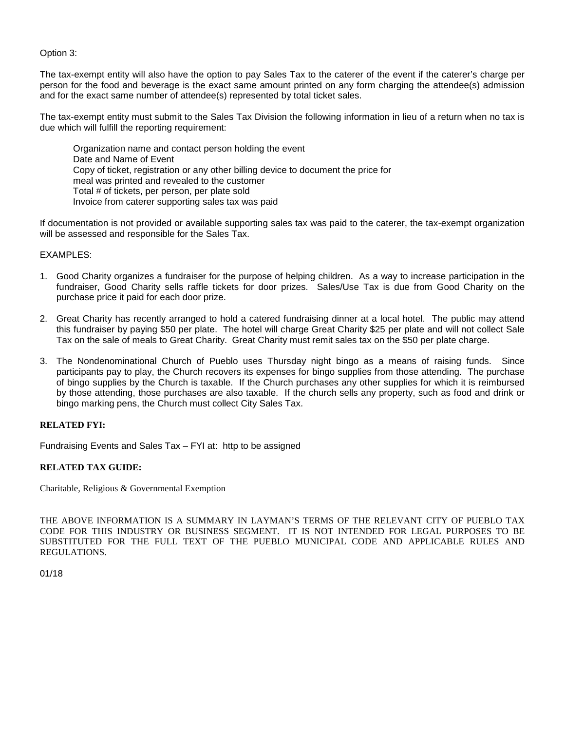Option 3:

The tax-exempt entity will also have the option to pay Sales Tax to the caterer of the event if the caterer's charge per person for the food and beverage is the exact same amount printed on any form charging the attendee(s) admission and for the exact same number of attendee(s) represented by total ticket sales.

The tax-exempt entity must submit to the Sales Tax Division the following information in lieu of a return when no tax is due which will fulfill the reporting requirement:

Organization name and contact person holding the event Date and Name of Event Copy of ticket, registration or any other billing device to document the price for meal was printed and revealed to the customer Total # of tickets, per person, per plate sold Invoice from caterer supporting sales tax was paid

If documentation is not provided or available supporting sales tax was paid to the caterer, the tax-exempt organization will be assessed and responsible for the Sales Tax.

#### EXAMPLES:

- 1. Good Charity organizes a fundraiser for the purpose of helping children. As a way to increase participation in the fundraiser, Good Charity sells raffle tickets for door prizes. Sales/Use Tax is due from Good Charity on the purchase price it paid for each door prize.
- 2. Great Charity has recently arranged to hold a catered fundraising dinner at a local hotel. The public may attend this fundraiser by paying \$50 per plate. The hotel will charge Great Charity \$25 per plate and will not collect Sale Tax on the sale of meals to Great Charity. Great Charity must remit sales tax on the \$50 per plate charge.
- 3. The Nondenominational Church of Pueblo uses Thursday night bingo as a means of raising funds. Since participants pay to play, the Church recovers its expenses for bingo supplies from those attending. The purchase of bingo supplies by the Church is taxable. If the Church purchases any other supplies for which it is reimbursed by those attending, those purchases are also taxable. If the church sells any property, such as food and drink or bingo marking pens, the Church must collect City Sales Tax.

#### **RELATED FYI:**

Fundraising Events and Sales Tax – FYI at: http to be assigned

#### **RELATED TAX GUIDE:**

Charitable, Religious & Governmental Exemption

THE ABOVE INFORMATION IS A SUMMARY IN LAYMAN'S TERMS OF THE RELEVANT CITY OF PUEBLO TAX CODE FOR THIS INDUSTRY OR BUSINESS SEGMENT. IT IS NOT INTENDED FOR LEGAL PURPOSES TO BE SUBSTITUTED FOR THE FULL TEXT OF THE PUEBLO MUNICIPAL CODE AND APPLICABLE RULES AND REGULATIONS.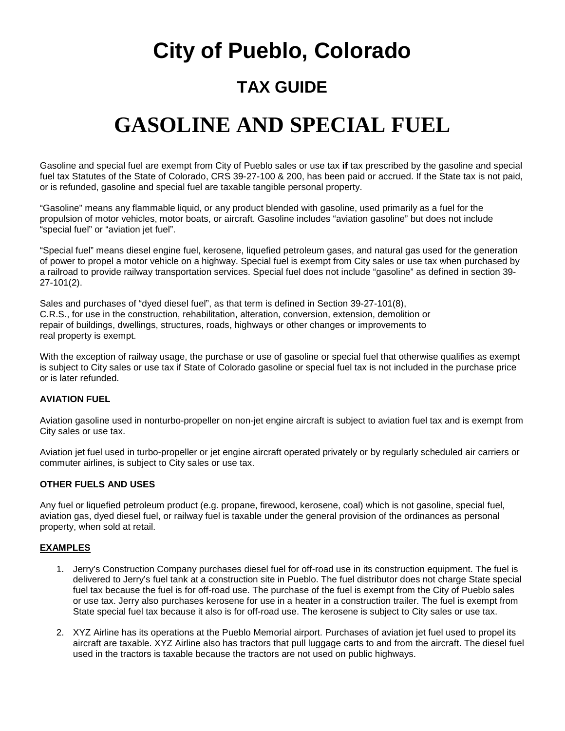# **City of Pueblo, Colorado TAX GUIDE**

### **GASOLINE AND SPECIAL FUEL**

Gasoline and special fuel are exempt from City of Pueblo sales or use tax **if** tax prescribed by the gasoline and special fuel tax Statutes of the State of Colorado, CRS 39-27-100 & 200, has been paid or accrued. If the State tax is not paid, or is refunded, gasoline and special fuel are taxable tangible personal property.

"Gasoline" means any flammable liquid, or any product blended with gasoline, used primarily as a fuel for the propulsion of motor vehicles, motor boats, or aircraft. Gasoline includes "aviation gasoline" but does not include "special fuel" or "aviation jet fuel".

"Special fuel" means diesel engine fuel, kerosene, liquefied petroleum gases, and natural gas used for the generation of power to propel a motor vehicle on a highway. Special fuel is exempt from City sales or use tax when purchased by a railroad to provide railway transportation services. Special fuel does not include "gasoline" as defined in section 39- 27-101(2).

Sales and purchases of "dyed diesel fuel", as that term is defined in Section 39-27-101(8), C.R.S., for use in the construction, rehabilitation, alteration, conversion, extension, demolition or repair of buildings, dwellings, structures, roads, highways or other changes or improvements to real property is exempt.

With the exception of railway usage, the purchase or use of gasoline or special fuel that otherwise qualifies as exempt is subject to City sales or use tax if State of Colorado gasoline or special fuel tax is not included in the purchase price or is later refunded.

#### **AVIATION FUEL**

Aviation gasoline used in nonturbo-propeller on non-jet engine aircraft is subject to aviation fuel tax and is exempt from City sales or use tax.

Aviation jet fuel used in turbo-propeller or jet engine aircraft operated privately or by regularly scheduled air carriers or commuter airlines, is subject to City sales or use tax.

#### **OTHER FUELS AND USES**

Any fuel or liquefied petroleum product (e.g. propane, firewood, kerosene, coal) which is not gasoline, special fuel, aviation gas, dyed diesel fuel, or railway fuel is taxable under the general provision of the ordinances as personal property, when sold at retail.

#### **EXAMPLES**

- 1. Jerry's Construction Company purchases diesel fuel for off-road use in its construction equipment. The fuel is delivered to Jerry's fuel tank at a construction site in Pueblo. The fuel distributor does not charge State special fuel tax because the fuel is for off-road use. The purchase of the fuel is exempt from the City of Pueblo sales or use tax. Jerry also purchases kerosene for use in a heater in a construction trailer. The fuel is exempt from State special fuel tax because it also is for off-road use. The kerosene is subject to City sales or use tax.
- 2. XYZ Airline has its operations at the Pueblo Memorial airport. Purchases of aviation jet fuel used to propel its aircraft are taxable. XYZ Airline also has tractors that pull luggage carts to and from the aircraft. The diesel fuel used in the tractors is taxable because the tractors are not used on public highways.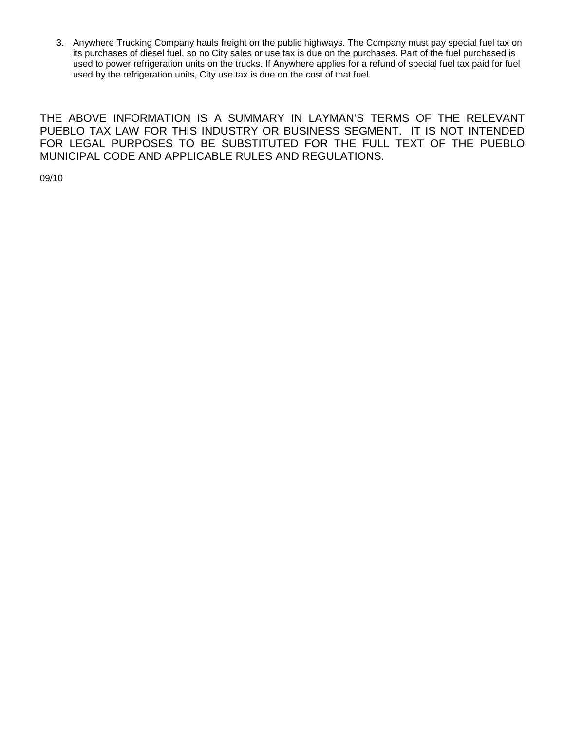3. Anywhere Trucking Company hauls freight on the public highways. The Company must pay special fuel tax on its purchases of diesel fuel, so no City sales or use tax is due on the purchases. Part of the fuel purchased is used to power refrigeration units on the trucks. If Anywhere applies for a refund of special fuel tax paid for fuel used by the refrigeration units, City use tax is due on the cost of that fuel.

THE ABOVE INFORMATION IS A SUMMARY IN LAYMAN'S TERMS OF THE RELEVANT PUEBLO TAX LAW FOR THIS INDUSTRY OR BUSINESS SEGMENT. IT IS NOT INTENDED FOR LEGAL PURPOSES TO BE SUBSTITUTED FOR THE FULL TEXT OF THE PUEBLO MUNICIPAL CODE AND APPLICABLE RULES AND REGULATIONS.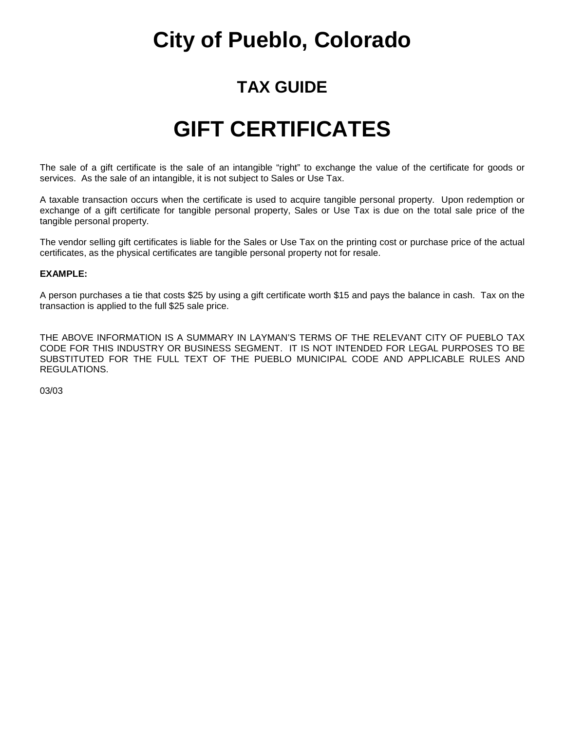### **TAX GUIDE**

### **GIFT CERTIFICATES**

The sale of a gift certificate is the sale of an intangible "right" to exchange the value of the certificate for goods or services. As the sale of an intangible, it is not subject to Sales or Use Tax.

A taxable transaction occurs when the certificate is used to acquire tangible personal property. Upon redemption or exchange of a gift certificate for tangible personal property, Sales or Use Tax is due on the total sale price of the tangible personal property.

The vendor selling gift certificates is liable for the Sales or Use Tax on the printing cost or purchase price of the actual certificates, as the physical certificates are tangible personal property not for resale.

#### **EXAMPLE:**

A person purchases a tie that costs \$25 by using a gift certificate worth \$15 and pays the balance in cash. Tax on the transaction is applied to the full \$25 sale price.

THE ABOVE INFORMATION IS A SUMMARY IN LAYMAN'S TERMS OF THE RELEVANT CITY OF PUEBLO TAX CODE FOR THIS INDUSTRY OR BUSINESS SEGMENT. IT IS NOT INTENDED FOR LEGAL PURPOSES TO BE SUBSTITUTED FOR THE FULL TEXT OF THE PUEBLO MUNICIPAL CODE AND APPLICABLE RULES AND REGULATIONS.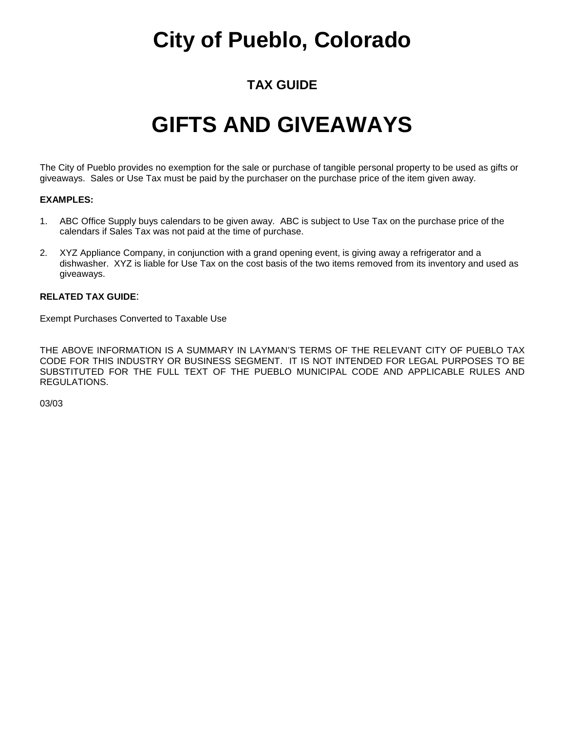### **TAX GUIDE**

## **GIFTS AND GIVEAWAYS**

The City of Pueblo provides no exemption for the sale or purchase of tangible personal property to be used as gifts or giveaways. Sales or Use Tax must be paid by the purchaser on the purchase price of the item given away.

#### **EXAMPLES:**

- 1. ABC Office Supply buys calendars to be given away. ABC is subject to Use Tax on the purchase price of the calendars if Sales Tax was not paid at the time of purchase.
- 2. XYZ Appliance Company, in conjunction with a grand opening event, is giving away a refrigerator and a dishwasher. XYZ is liable for Use Tax on the cost basis of the two items removed from its inventory and used as giveaways.

#### **RELATED TAX GUIDE**:

Exempt Purchases Converted to Taxable Use

THE ABOVE INFORMATION IS A SUMMARY IN LAYMAN'S TERMS OF THE RELEVANT CITY OF PUEBLO TAX CODE FOR THIS INDUSTRY OR BUSINESS SEGMENT. IT IS NOT INTENDED FOR LEGAL PURPOSES TO BE SUBSTITUTED FOR THE FULL TEXT OF THE PUEBLO MUNICIPAL CODE AND APPLICABLE RULES AND REGULATIONS.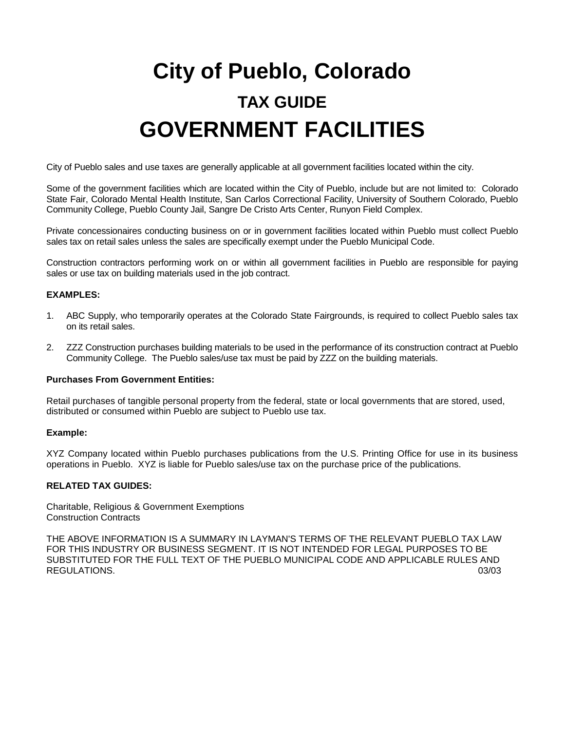# **City of Pueblo, Colorado TAX GUIDE GOVERNMENT FACILITIES**

City of Pueblo sales and use taxes are generally applicable at all government facilities located within the city.

Some of the government facilities which are located within the City of Pueblo, include but are not limited to: Colorado State Fair, Colorado Mental Health Institute, San Carlos Correctional Facility, University of Southern Colorado, Pueblo Community College, Pueblo County Jail, Sangre De Cristo Arts Center, Runyon Field Complex.

Private concessionaires conducting business on or in government facilities located within Pueblo must collect Pueblo sales tax on retail sales unless the sales are specifically exempt under the Pueblo Municipal Code.

Construction contractors performing work on or within all government facilities in Pueblo are responsible for paying sales or use tax on building materials used in the job contract.

#### **EXAMPLES:**

- 1. ABC Supply, who temporarily operates at the Colorado State Fairgrounds, is required to collect Pueblo sales tax on its retail sales.
- 2. ZZZ Construction purchases building materials to be used in the performance of its construction contract at Pueblo Community College. The Pueblo sales/use tax must be paid by ZZZ on the building materials.

#### **Purchases From Government Entities:**

Retail purchases of tangible personal property from the federal, state or local governments that are stored, used, distributed or consumed within Pueblo are subject to Pueblo use tax.

#### **Example:**

XYZ Company located within Pueblo purchases publications from the U.S. Printing Office for use in its business operations in Pueblo. XYZ is liable for Pueblo sales/use tax on the purchase price of the publications.

#### **RELATED TAX GUIDES:**

Charitable, Religious & Government Exemptions Construction Contracts

THE ABOVE INFORMATION IS A SUMMARY IN LAYMAN'S TERMS OF THE RELEVANT PUEBLO TAX LAW FOR THIS INDUSTRY OR BUSINESS SEGMENT. IT IS NOT INTENDED FOR LEGAL PURPOSES TO BE SUBSTITUTED FOR THE FULL TEXT OF THE PUEBLO MUNICIPAL CODE AND APPLICABLE RULES AND REGULATIONS. (03/03)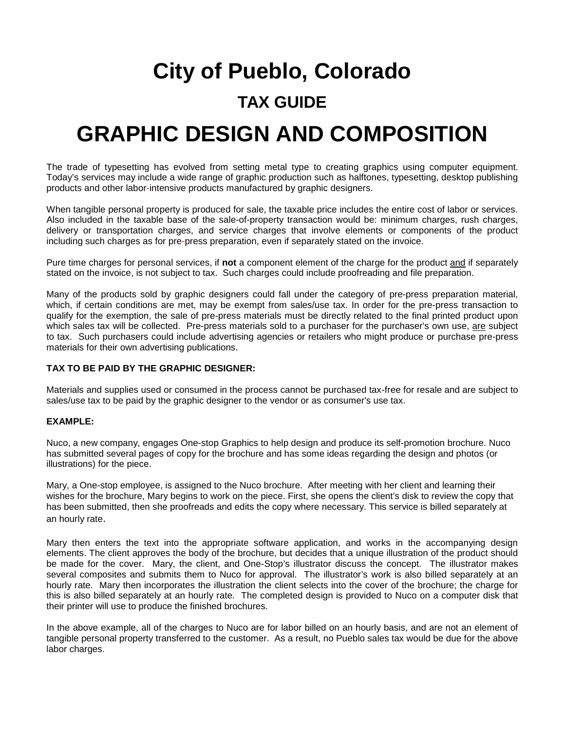# **City of Pueblo, Colorado TAX GUIDE GRAPHIC DESIGN AND COMPOSITION**

The trade of typesetting has evolved from setting metal type to creating graphics using computer equipment. Today's services may include a wide range of graphic production such as halftones, typesetting, desktop publishing products and other labor-intensive products manufactured by graphic designers.

When tangible personal property is produced for sale, the taxable price includes the entire cost of labor or services. Also included in the taxable base of the sale-of-property transaction would be: minimum charges, rush charges, delivery or transportation charges, and service charges that involve elements or components of the product including such charges as for pre-press preparation, even if separately stated on the invoice.

Pure time charges for personal services, if **not** a component element of the charge for the product and if separately stated on the invoice, is not subject to tax. Such charges could include proofreading and file preparation.

Many of the products sold by graphic designers could fall under the category of pre-press preparation material, which, if certain conditions are met, may be exempt from sales/use tax. In order for the pre-press transaction to qualify for the exemption, the sale of pre-press materials must be directly related to the final printed product upon which sales tax will be collected. Pre-press materials sold to a purchaser for the purchaser's own use, are subject to tax. Such purchasers could include advertising agencies or retailers who might produce or purchase pre-press materials for their own advertising publications.

#### **TAX TO BE PAID BY THE GRAPHIC DESIGNER:**

Materials and supplies used or consumed in the process cannot be purchased tax-free for resale and are subject to sales/use tax to be paid by the graphic designer to the vendor or as consumer's use tax.

#### **EXAMPLE:**

Nuco, a new company, engages One-stop Graphics to help design and produce its self-promotion brochure. Nuco has submitted several pages of copy for the brochure and has some ideas regarding the design and photos (or illustrations) for the piece.

Mary, a One-stop employee, is assigned to the Nuco brochure. After meeting with her client and learning their wishes for the brochure, Mary begins to work on the piece. First, she opens the client's disk to review the copy that has been submitted, then she proofreads and edits the copy where necessary. This service is billed separately at an hourly rate.

Mary then enters the text into the appropriate software application, and works in the accompanying design elements. The client approves the body of the brochure, but decides that a unique illustration of the product should be made for the cover. Mary, the client, and One-Stop's illustrator discuss the concept. The illustrator makes several composites and submits them to Nuco for approval. The illustrator's work is also billed separately at an hourly rate. Mary then incorporates the illustration the client selects into the cover of the brochure; the charge for this is also billed separately at an hourly rate. The completed design is provided to Nuco on a computer disk that their printer will use to produce the finished brochures.

In the above example, all of the charges to Nuco are for labor billed on an hourly basis, and are not an element of tangible personal property transferred to the customer. As a result, no Pueblo sales tax would be due for the above labor charges.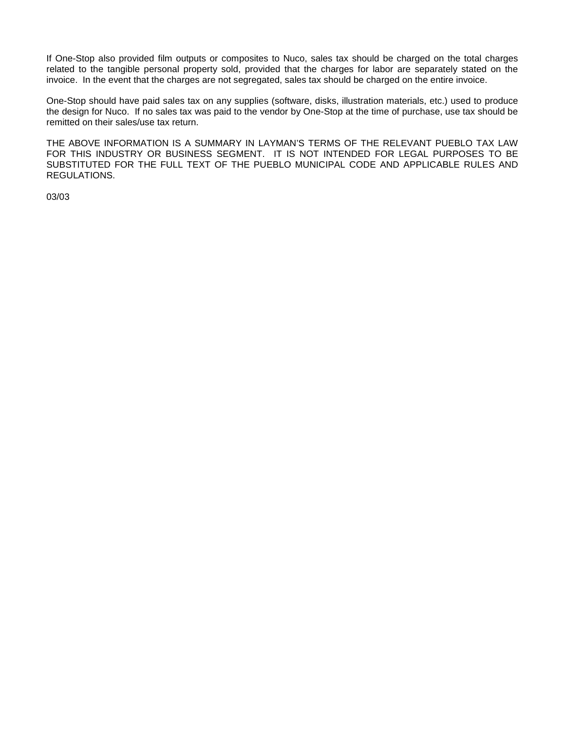If One-Stop also provided film outputs or composites to Nuco, sales tax should be charged on the total charges related to the tangible personal property sold, provided that the charges for labor are separately stated on the invoice. In the event that the charges are not segregated, sales tax should be charged on the entire invoice.

One-Stop should have paid sales tax on any supplies (software, disks, illustration materials, etc.) used to produce the design for Nuco. If no sales tax was paid to the vendor by One-Stop at the time of purchase, use tax should be remitted on their sales/use tax return.

THE ABOVE INFORMATION IS A SUMMARY IN LAYMAN'S TERMS OF THE RELEVANT PUEBLO TAX LAW FOR THIS INDUSTRY OR BUSINESS SEGMENT. IT IS NOT INTENDED FOR LEGAL PURPOSES TO BE SUBSTITUTED FOR THE FULL TEXT OF THE PUEBLO MUNICIPAL CODE AND APPLICABLE RULES AND REGULATIONS.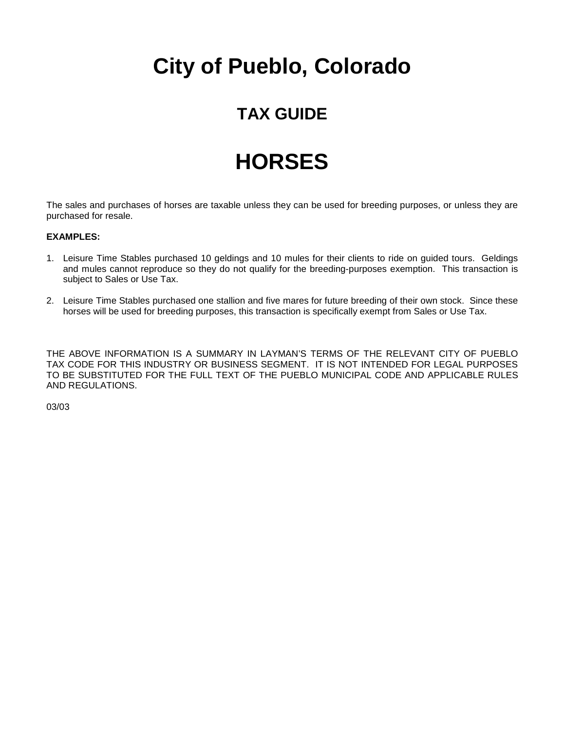### **TAX GUIDE**

## **HORSES**

The sales and purchases of horses are taxable unless they can be used for breeding purposes, or unless they are purchased for resale.

#### **EXAMPLES:**

- 1. Leisure Time Stables purchased 10 geldings and 10 mules for their clients to ride on guided tours. Geldings and mules cannot reproduce so they do not qualify for the breeding-purposes exemption. This transaction is subject to Sales or Use Tax.
- 2. Leisure Time Stables purchased one stallion and five mares for future breeding of their own stock. Since these horses will be used for breeding purposes, this transaction is specifically exempt from Sales or Use Tax.

THE ABOVE INFORMATION IS A SUMMARY IN LAYMAN'S TERMS OF THE RELEVANT CITY OF PUEBLO TAX CODE FOR THIS INDUSTRY OR BUSINESS SEGMENT. IT IS NOT INTENDED FOR LEGAL PURPOSES TO BE SUBSTITUTED FOR THE FULL TEXT OF THE PUEBLO MUNICIPAL CODE AND APPLICABLE RULES AND REGULATIONS.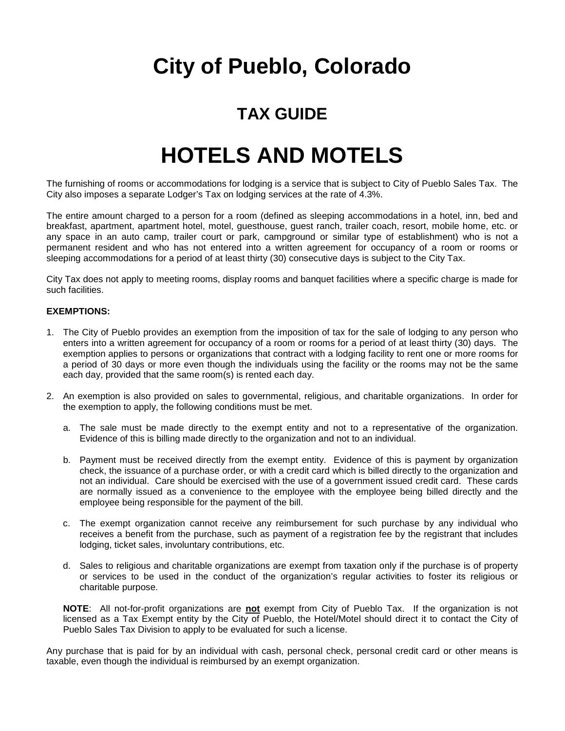### **TAX GUIDE**

### **HOTELS AND MOTELS**

The furnishing of rooms or accommodations for lodging is a service that is subject to City of Pueblo Sales Tax. The City also imposes a separate Lodger's Tax on lodging services at the rate of 4.3%.

The entire amount charged to a person for a room (defined as sleeping accommodations in a hotel, inn, bed and breakfast, apartment, apartment hotel, motel, guesthouse, guest ranch, trailer coach, resort, mobile home, etc. or any space in an auto camp, trailer court or park, campground or similar type of establishment) who is not a permanent resident and who has not entered into a written agreement for occupancy of a room or rooms or sleeping accommodations for a period of at least thirty (30) consecutive days is subject to the City Tax.

City Tax does not apply to meeting rooms, display rooms and banquet facilities where a specific charge is made for such facilities.

#### **EXEMPTIONS:**

- 1. The City of Pueblo provides an exemption from the imposition of tax for the sale of lodging to any person who enters into a written agreement for occupancy of a room or rooms for a period of at least thirty (30) days. The exemption applies to persons or organizations that contract with a lodging facility to rent one or more rooms for a period of 30 days or more even though the individuals using the facility or the rooms may not be the same each day, provided that the same room(s) is rented each day.
- 2. An exemption is also provided on sales to governmental, religious, and charitable organizations. In order for the exemption to apply, the following conditions must be met.
	- a. The sale must be made directly to the exempt entity and not to a representative of the organization. Evidence of this is billing made directly to the organization and not to an individual.
	- b. Payment must be received directly from the exempt entity. Evidence of this is payment by organization check, the issuance of a purchase order, or with a credit card which is billed directly to the organization and not an individual. Care should be exercised with the use of a government issued credit card. These cards are normally issued as a convenience to the employee with the employee being billed directly and the employee being responsible for the payment of the bill.
	- c. The exempt organization cannot receive any reimbursement for such purchase by any individual who receives a benefit from the purchase, such as payment of a registration fee by the registrant that includes lodging, ticket sales, involuntary contributions, etc.
	- d. Sales to religious and charitable organizations are exempt from taxation only if the purchase is of property or services to be used in the conduct of the organization's regular activities to foster its religious or charitable purpose.

**NOTE**: All not-for-profit organizations are **not** exempt from City of Pueblo Tax. If the organization is not licensed as a Tax Exempt entity by the City of Pueblo, the Hotel/Motel should direct it to contact the City of Pueblo Sales Tax Division to apply to be evaluated for such a license.

Any purchase that is paid for by an individual with cash, personal check, personal credit card or other means is taxable, even though the individual is reimbursed by an exempt organization.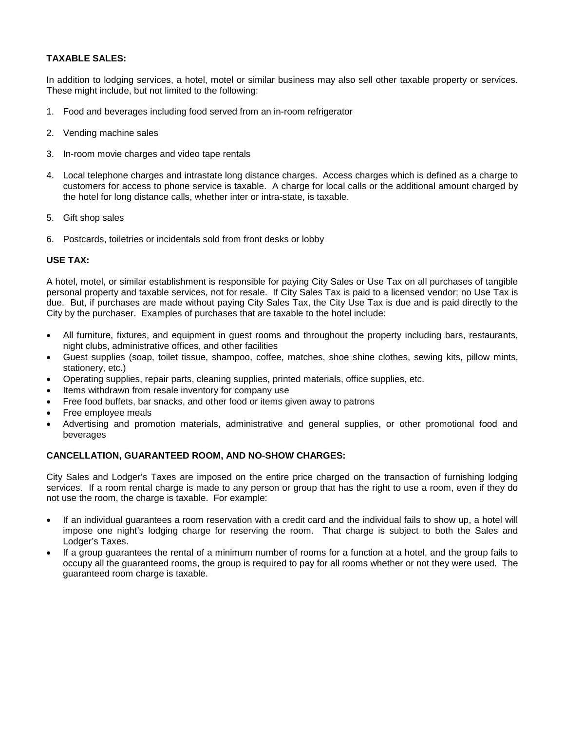#### **TAXABLE SALES:**

In addition to lodging services, a hotel, motel or similar business may also sell other taxable property or services. These might include, but not limited to the following:

- 1. Food and beverages including food served from an in-room refrigerator
- 2. Vending machine sales
- 3. In-room movie charges and video tape rentals
- 4. Local telephone charges and intrastate long distance charges. Access charges which is defined as a charge to customers for access to phone service is taxable. A charge for local calls or the additional amount charged by the hotel for long distance calls, whether inter or intra-state, is taxable.
- 5. Gift shop sales
- 6. Postcards, toiletries or incidentals sold from front desks or lobby

#### **USE TAX:**

A hotel, motel, or similar establishment is responsible for paying City Sales or Use Tax on all purchases of tangible personal property and taxable services, not for resale. If City Sales Tax is paid to a licensed vendor; no Use Tax is due. But, if purchases are made without paying City Sales Tax, the City Use Tax is due and is paid directly to the City by the purchaser. Examples of purchases that are taxable to the hotel include:

- All furniture, fixtures, and equipment in guest rooms and throughout the property including bars, restaurants, night clubs, administrative offices, and other facilities
- Guest supplies (soap, toilet tissue, shampoo, coffee, matches, shoe shine clothes, sewing kits, pillow mints, stationery, etc.)
- Operating supplies, repair parts, cleaning supplies, printed materials, office supplies, etc.
- Items withdrawn from resale inventory for company use
- Free food buffets, bar snacks, and other food or items given away to patrons
- Free employee meals
- Advertising and promotion materials, administrative and general supplies, or other promotional food and beverages

#### **CANCELLATION, GUARANTEED ROOM, AND NO-SHOW CHARGES:**

City Sales and Lodger's Taxes are imposed on the entire price charged on the transaction of furnishing lodging services. If a room rental charge is made to any person or group that has the right to use a room, even if they do not use the room, the charge is taxable. For example:

- If an individual guarantees a room reservation with a credit card and the individual fails to show up, a hotel will impose one night's lodging charge for reserving the room. That charge is subject to both the Sales and Lodger's Taxes.
- If a group guarantees the rental of a minimum number of rooms for a function at a hotel, and the group fails to occupy all the guaranteed rooms, the group is required to pay for all rooms whether or not they were used. The guaranteed room charge is taxable.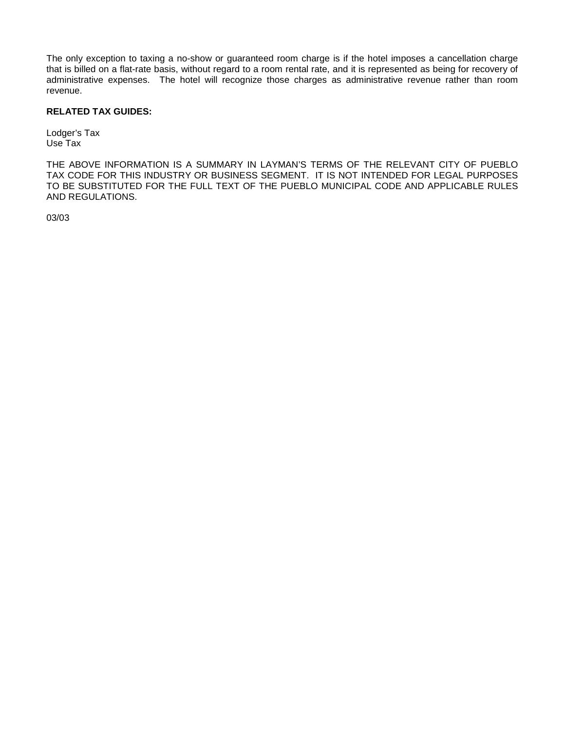The only exception to taxing a no-show or guaranteed room charge is if the hotel imposes a cancellation charge that is billed on a flat-rate basis, without regard to a room rental rate, and it is represented as being for recovery of administrative expenses. The hotel will recognize those charges as administrative revenue rather than room revenue.

#### **RELATED TAX GUIDES:**

Lodger's Tax Use Tax

THE ABOVE INFORMATION IS A SUMMARY IN LAYMAN'S TERMS OF THE RELEVANT CITY OF PUEBLO TAX CODE FOR THIS INDUSTRY OR BUSINESS SEGMENT. IT IS NOT INTENDED FOR LEGAL PURPOSES TO BE SUBSTITUTED FOR THE FULL TEXT OF THE PUEBLO MUNICIPAL CODE AND APPLICABLE RULES AND REGULATIONS.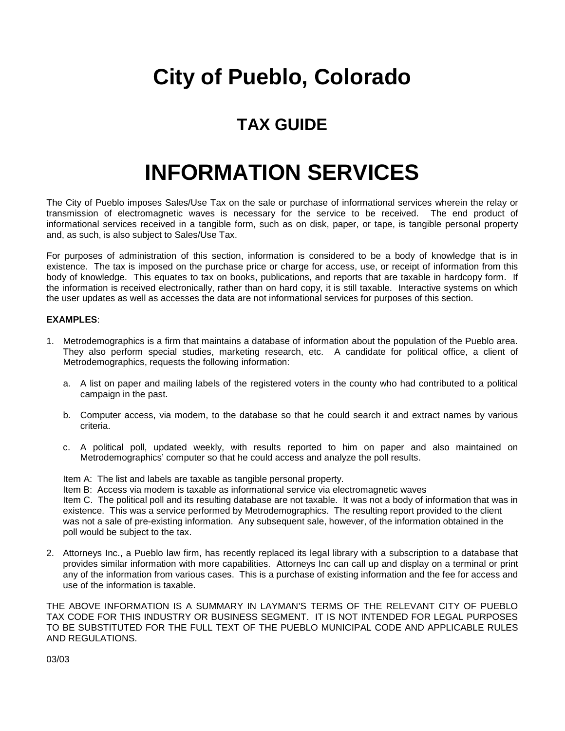### **TAX GUIDE**

### **INFORMATION SERVICES**

The City of Pueblo imposes Sales/Use Tax on the sale or purchase of informational services wherein the relay or transmission of electromagnetic waves is necessary for the service to be received. The end product of informational services received in a tangible form, such as on disk, paper, or tape, is tangible personal property and, as such, is also subject to Sales/Use Tax.

For purposes of administration of this section, information is considered to be a body of knowledge that is in existence. The tax is imposed on the purchase price or charge for access, use, or receipt of information from this body of knowledge. This equates to tax on books, publications, and reports that are taxable in hardcopy form. If the information is received electronically, rather than on hard copy, it is still taxable. Interactive systems on which the user updates as well as accesses the data are not informational services for purposes of this section.

#### **EXAMPLES**:

- 1. Metrodemographics is a firm that maintains a database of information about the population of the Pueblo area. They also perform special studies, marketing research, etc. A candidate for political office, a client of Metrodemographics, requests the following information:
	- a. A list on paper and mailing labels of the registered voters in the county who had contributed to a political campaign in the past.
	- b. Computer access, via modem, to the database so that he could search it and extract names by various criteria.
	- c. A political poll, updated weekly, with results reported to him on paper and also maintained on Metrodemographics' computer so that he could access and analyze the poll results.

Item A: The list and labels are taxable as tangible personal property.

Item B: Access via modem is taxable as informational service via electromagnetic waves

Item C. The political poll and its resulting database are not taxable. It was not a body of information that was in existence. This was a service performed by Metrodemographics. The resulting report provided to the client was not a sale of pre-existing information. Any subsequent sale, however, of the information obtained in the poll would be subject to the tax.

2. Attorneys Inc., a Pueblo law firm, has recently replaced its legal library with a subscription to a database that provides similar information with more capabilities. Attorneys Inc can call up and display on a terminal or print any of the information from various cases. This is a purchase of existing information and the fee for access and use of the information is taxable.

THE ABOVE INFORMATION IS A SUMMARY IN LAYMAN'S TERMS OF THE RELEVANT CITY OF PUEBLO TAX CODE FOR THIS INDUSTRY OR BUSINESS SEGMENT. IT IS NOT INTENDED FOR LEGAL PURPOSES TO BE SUBSTITUTED FOR THE FULL TEXT OF THE PUEBLO MUNICIPAL CODE AND APPLICABLE RULES AND REGULATIONS.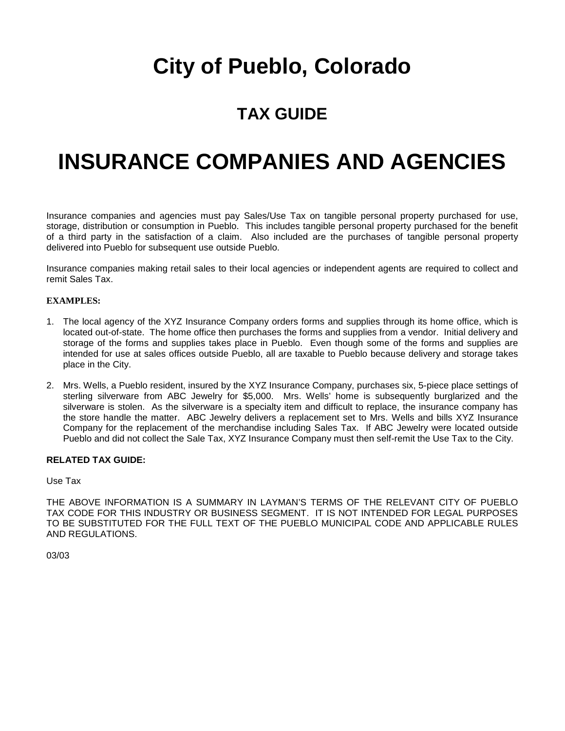### **TAX GUIDE**

### **INSURANCE COMPANIES AND AGENCIES**

Insurance companies and agencies must pay Sales/Use Tax on tangible personal property purchased for use, storage, distribution or consumption in Pueblo. This includes tangible personal property purchased for the benefit of a third party in the satisfaction of a claim. Also included are the purchases of tangible personal property delivered into Pueblo for subsequent use outside Pueblo.

Insurance companies making retail sales to their local agencies or independent agents are required to collect and remit Sales Tax.

#### **EXAMPLES:**

- 1. The local agency of the XYZ Insurance Company orders forms and supplies through its home office, which is located out-of-state. The home office then purchases the forms and supplies from a vendor. Initial delivery and storage of the forms and supplies takes place in Pueblo. Even though some of the forms and supplies are intended for use at sales offices outside Pueblo, all are taxable to Pueblo because delivery and storage takes place in the City.
- 2. Mrs. Wells, a Pueblo resident, insured by the XYZ Insurance Company, purchases six, 5-piece place settings of sterling silverware from ABC Jewelry for \$5,000. Mrs. Wells' home is subsequently burglarized and the silverware is stolen. As the silverware is a specialty item and difficult to replace, the insurance company has the store handle the matter. ABC Jewelry delivers a replacement set to Mrs. Wells and bills XYZ Insurance Company for the replacement of the merchandise including Sales Tax. If ABC Jewelry were located outside Pueblo and did not collect the Sale Tax, XYZ Insurance Company must then self-remit the Use Tax to the City.

#### **RELATED TAX GUIDE:**

Use Tax

THE ABOVE INFORMATION IS A SUMMARY IN LAYMAN'S TERMS OF THE RELEVANT CITY OF PUEBLO TAX CODE FOR THIS INDUSTRY OR BUSINESS SEGMENT. IT IS NOT INTENDED FOR LEGAL PURPOSES TO BE SUBSTITUTED FOR THE FULL TEXT OF THE PUEBLO MUNICIPAL CODE AND APPLICABLE RULES AND REGULATIONS.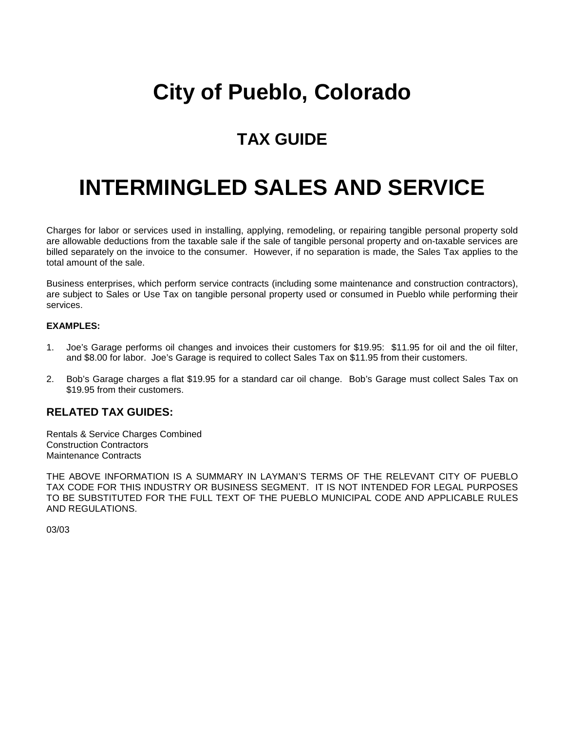### **TAX GUIDE**

## **INTERMINGLED SALES AND SERVICE**

Charges for labor or services used in installing, applying, remodeling, or repairing tangible personal property sold are allowable deductions from the taxable sale if the sale of tangible personal property and on-taxable services are billed separately on the invoice to the consumer. However, if no separation is made, the Sales Tax applies to the total amount of the sale.

Business enterprises, which perform service contracts (including some maintenance and construction contractors), are subject to Sales or Use Tax on tangible personal property used or consumed in Pueblo while performing their services.

### **EXAMPLES:**

- 1. Joe's Garage performs oil changes and invoices their customers for \$19.95: \$11.95 for oil and the oil filter, and \$8.00 for labor. Joe's Garage is required to collect Sales Tax on \$11.95 from their customers.
- 2. Bob's Garage charges a flat \$19.95 for a standard car oil change. Bob's Garage must collect Sales Tax on \$19.95 from their customers.

### **RELATED TAX GUIDES:**

Rentals & Service Charges Combined Construction Contractors Maintenance Contracts

THE ABOVE INFORMATION IS A SUMMARY IN LAYMAN'S TERMS OF THE RELEVANT CITY OF PUEBLO TAX CODE FOR THIS INDUSTRY OR BUSINESS SEGMENT. IT IS NOT INTENDED FOR LEGAL PURPOSES TO BE SUBSTITUTED FOR THE FULL TEXT OF THE PUEBLO MUNICIPAL CODE AND APPLICABLE RULES AND REGULATIONS.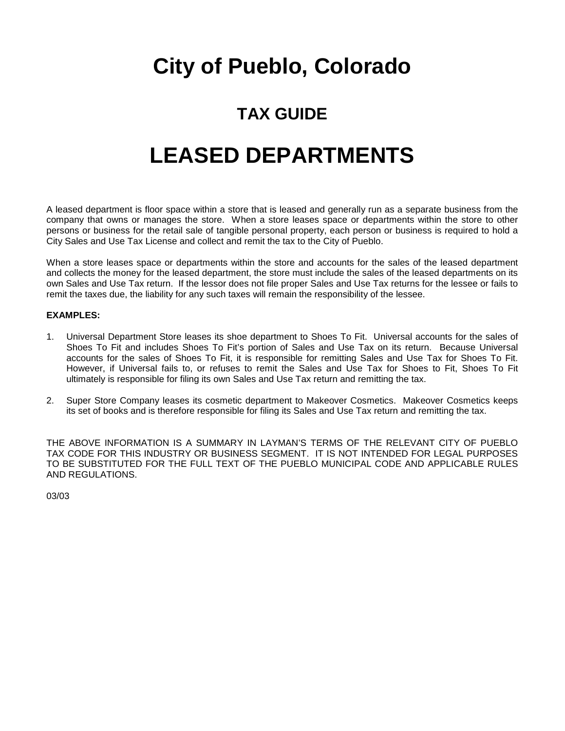### **TAX GUIDE**

## **LEASED DEPARTMENTS**

A leased department is floor space within a store that is leased and generally run as a separate business from the company that owns or manages the store. When a store leases space or departments within the store to other persons or business for the retail sale of tangible personal property, each person or business is required to hold a City Sales and Use Tax License and collect and remit the tax to the City of Pueblo.

When a store leases space or departments within the store and accounts for the sales of the leased department and collects the money for the leased department, the store must include the sales of the leased departments on its own Sales and Use Tax return. If the lessor does not file proper Sales and Use Tax returns for the lessee or fails to remit the taxes due, the liability for any such taxes will remain the responsibility of the lessee.

#### **EXAMPLES:**

- 1. Universal Department Store leases its shoe department to Shoes To Fit. Universal accounts for the sales of Shoes To Fit and includes Shoes To Fit's portion of Sales and Use Tax on its return. Because Universal accounts for the sales of Shoes To Fit, it is responsible for remitting Sales and Use Tax for Shoes To Fit. However, if Universal fails to, or refuses to remit the Sales and Use Tax for Shoes to Fit, Shoes To Fit ultimately is responsible for filing its own Sales and Use Tax return and remitting the tax.
- 2. Super Store Company leases its cosmetic department to Makeover Cosmetics. Makeover Cosmetics keeps its set of books and is therefore responsible for filing its Sales and Use Tax return and remitting the tax.

THE ABOVE INFORMATION IS A SUMMARY IN LAYMAN'S TERMS OF THE RELEVANT CITY OF PUEBLO TAX CODE FOR THIS INDUSTRY OR BUSINESS SEGMENT. IT IS NOT INTENDED FOR LEGAL PURPOSES TO BE SUBSTITUTED FOR THE FULL TEXT OF THE PUEBLO MUNICIPAL CODE AND APPLICABLE RULES AND REGULATIONS.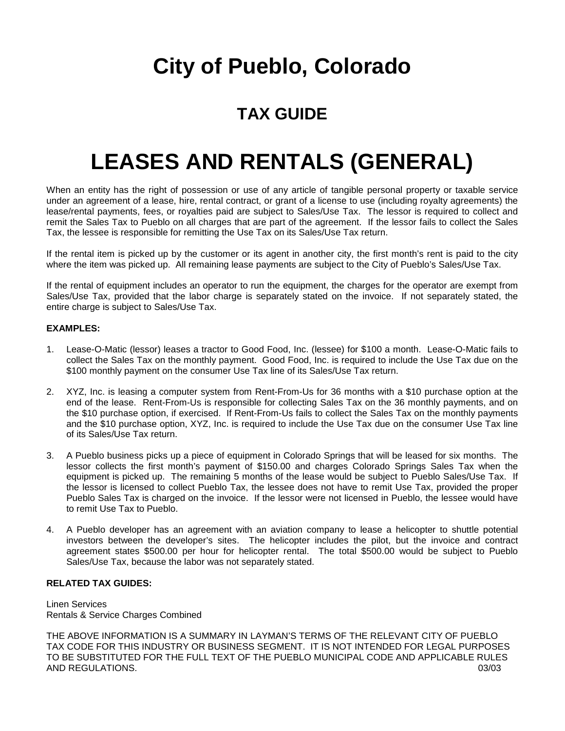### **TAX GUIDE**

## **LEASES AND RENTALS (GENERAL)**

When an entity has the right of possession or use of any article of tangible personal property or taxable service under an agreement of a lease, hire, rental contract, or grant of a license to use (including royalty agreements) the lease/rental payments, fees, or royalties paid are subject to Sales/Use Tax. The lessor is required to collect and remit the Sales Tax to Pueblo on all charges that are part of the agreement. If the lessor fails to collect the Sales Tax, the lessee is responsible for remitting the Use Tax on its Sales/Use Tax return.

If the rental item is picked up by the customer or its agent in another city, the first month's rent is paid to the city where the item was picked up. All remaining lease payments are subject to the City of Pueblo's Sales/Use Tax.

If the rental of equipment includes an operator to run the equipment, the charges for the operator are exempt from Sales/Use Tax, provided that the labor charge is separately stated on the invoice. If not separately stated, the entire charge is subject to Sales/Use Tax.

### **EXAMPLES:**

- 1. Lease-O-Matic (lessor) leases a tractor to Good Food, Inc. (lessee) for \$100 a month. Lease-O-Matic fails to collect the Sales Tax on the monthly payment. Good Food, Inc. is required to include the Use Tax due on the \$100 monthly payment on the consumer Use Tax line of its Sales/Use Tax return.
- 2. XYZ, Inc. is leasing a computer system from Rent-From-Us for 36 months with a \$10 purchase option at the end of the lease. Rent-From-Us is responsible for collecting Sales Tax on the 36 monthly payments, and on the \$10 purchase option, if exercised. If Rent-From-Us fails to collect the Sales Tax on the monthly payments and the \$10 purchase option, XYZ, Inc. is required to include the Use Tax due on the consumer Use Tax line of its Sales/Use Tax return.
- 3. A Pueblo business picks up a piece of equipment in Colorado Springs that will be leased for six months. The lessor collects the first month's payment of \$150.00 and charges Colorado Springs Sales Tax when the equipment is picked up. The remaining 5 months of the lease would be subject to Pueblo Sales/Use Tax. If the lessor is licensed to collect Pueblo Tax, the lessee does not have to remit Use Tax, provided the proper Pueblo Sales Tax is charged on the invoice. If the lessor were not licensed in Pueblo, the lessee would have to remit Use Tax to Pueblo.
- 4. A Pueblo developer has an agreement with an aviation company to lease a helicopter to shuttle potential investors between the developer's sites. The helicopter includes the pilot, but the invoice and contract agreement states \$500.00 per hour for helicopter rental. The total \$500.00 would be subject to Pueblo Sales/Use Tax, because the labor was not separately stated.

#### **RELATED TAX GUIDES:**

Linen Services Rentals & Service Charges Combined

THE ABOVE INFORMATION IS A SUMMARY IN LAYMAN'S TERMS OF THE RELEVANT CITY OF PUEBLO TAX CODE FOR THIS INDUSTRY OR BUSINESS SEGMENT. IT IS NOT INTENDED FOR LEGAL PURPOSES TO BE SUBSTITUTED FOR THE FULL TEXT OF THE PUEBLO MUNICIPAL CODE AND APPLICABLE RULES AND REGULATIONS. 03/03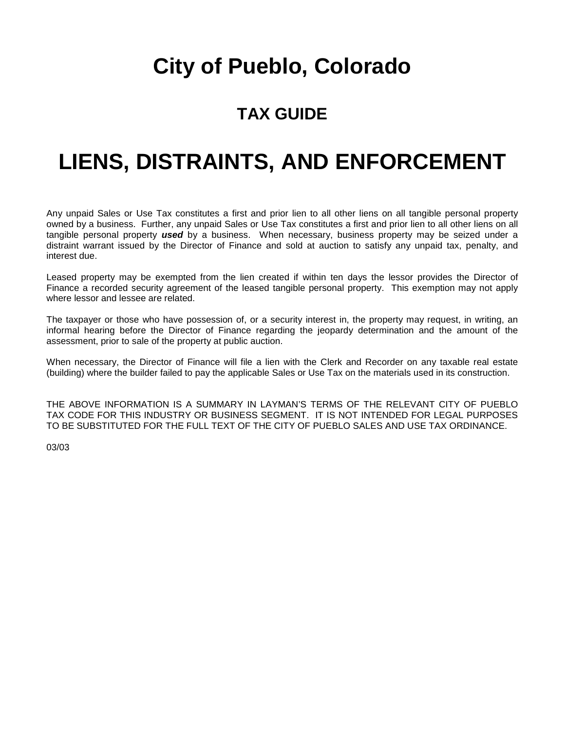### **TAX GUIDE**

## **LIENS, DISTRAINTS, AND ENFORCEMENT**

Any unpaid Sales or Use Tax constitutes a first and prior lien to all other liens on all tangible personal property owned by a business. Further, any unpaid Sales or Use Tax constitutes a first and prior lien to all other liens on all tangible personal property *used* by a business. When necessary, business property may be seized under a distraint warrant issued by the Director of Finance and sold at auction to satisfy any unpaid tax, penalty, and interest due.

Leased property may be exempted from the lien created if within ten days the lessor provides the Director of Finance a recorded security agreement of the leased tangible personal property. This exemption may not apply where lessor and lessee are related.

The taxpayer or those who have possession of, or a security interest in, the property may request, in writing, an informal hearing before the Director of Finance regarding the jeopardy determination and the amount of the assessment, prior to sale of the property at public auction.

When necessary, the Director of Finance will file a lien with the Clerk and Recorder on any taxable real estate (building) where the builder failed to pay the applicable Sales or Use Tax on the materials used in its construction.

THE ABOVE INFORMATION IS A SUMMARY IN LAYMAN'S TERMS OF THE RELEVANT CITY OF PUEBLO TAX CODE FOR THIS INDUSTRY OR BUSINESS SEGMENT. IT IS NOT INTENDED FOR LEGAL PURPOSES TO BE SUBSTITUTED FOR THE FULL TEXT OF THE CITY OF PUEBLO SALES AND USE TAX ORDINANCE.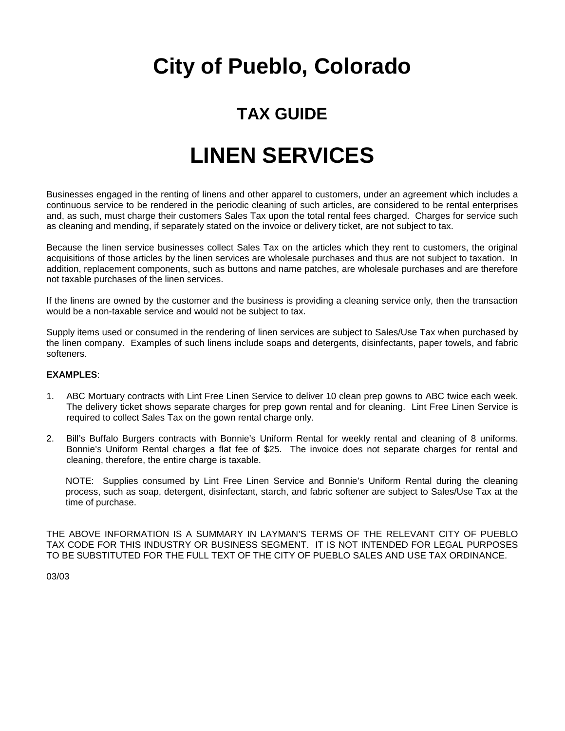### **TAX GUIDE**

## **LINEN SERVICES**

Businesses engaged in the renting of linens and other apparel to customers, under an agreement which includes a continuous service to be rendered in the periodic cleaning of such articles, are considered to be rental enterprises and, as such, must charge their customers Sales Tax upon the total rental fees charged. Charges for service such as cleaning and mending, if separately stated on the invoice or delivery ticket, are not subject to tax.

Because the linen service businesses collect Sales Tax on the articles which they rent to customers, the original acquisitions of those articles by the linen services are wholesale purchases and thus are not subject to taxation. In addition, replacement components, such as buttons and name patches, are wholesale purchases and are therefore not taxable purchases of the linen services.

If the linens are owned by the customer and the business is providing a cleaning service only, then the transaction would be a non-taxable service and would not be subject to tax.

Supply items used or consumed in the rendering of linen services are subject to Sales/Use Tax when purchased by the linen company. Examples of such linens include soaps and detergents, disinfectants, paper towels, and fabric softeners.

### **EXAMPLES**:

- 1. ABC Mortuary contracts with Lint Free Linen Service to deliver 10 clean prep gowns to ABC twice each week. The delivery ticket shows separate charges for prep gown rental and for cleaning. Lint Free Linen Service is required to collect Sales Tax on the gown rental charge only.
- 2. Bill's Buffalo Burgers contracts with Bonnie's Uniform Rental for weekly rental and cleaning of 8 uniforms. Bonnie's Uniform Rental charges a flat fee of \$25. The invoice does not separate charges for rental and cleaning, therefore, the entire charge is taxable.

NOTE: Supplies consumed by Lint Free Linen Service and Bonnie's Uniform Rental during the cleaning process, such as soap, detergent, disinfectant, starch, and fabric softener are subject to Sales/Use Tax at the time of purchase.

THE ABOVE INFORMATION IS A SUMMARY IN LAYMAN'S TERMS OF THE RELEVANT CITY OF PUEBLO TAX CODE FOR THIS INDUSTRY OR BUSINESS SEGMENT. IT IS NOT INTENDED FOR LEGAL PURPOSES TO BE SUBSTITUTED FOR THE FULL TEXT OF THE CITY OF PUEBLO SALES AND USE TAX ORDINANCE.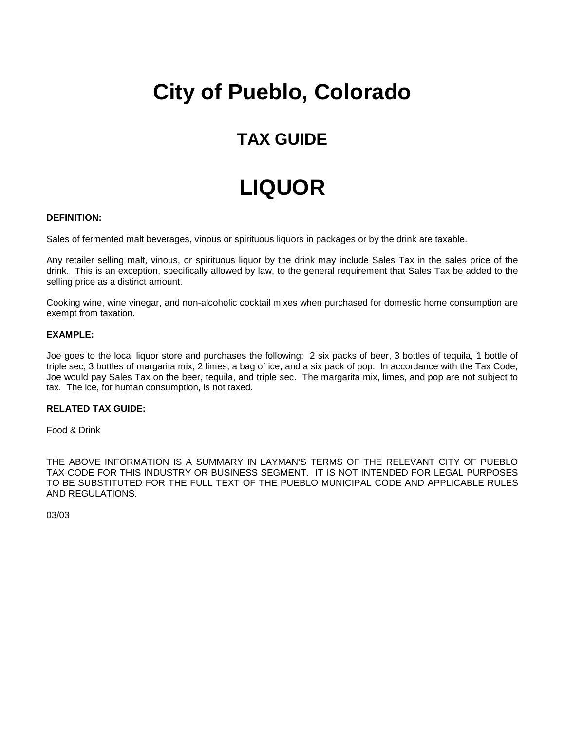### **TAX GUIDE**

## **LIQUOR**

#### **DEFINITION:**

Sales of fermented malt beverages, vinous or spirituous liquors in packages or by the drink are taxable.

Any retailer selling malt, vinous, or spirituous liquor by the drink may include Sales Tax in the sales price of the drink. This is an exception, specifically allowed by law, to the general requirement that Sales Tax be added to the selling price as a distinct amount.

Cooking wine, wine vinegar, and non-alcoholic cocktail mixes when purchased for domestic home consumption are exempt from taxation.

#### **EXAMPLE:**

Joe goes to the local liquor store and purchases the following: 2 six packs of beer, 3 bottles of tequila, 1 bottle of triple sec, 3 bottles of margarita mix, 2 limes, a bag of ice, and a six pack of pop. In accordance with the Tax Code, Joe would pay Sales Tax on the beer, tequila, and triple sec. The margarita mix, limes, and pop are not subject to tax. The ice, for human consumption, is not taxed.

### **RELATED TAX GUIDE:**

Food & Drink

THE ABOVE INFORMATION IS A SUMMARY IN LAYMAN'S TERMS OF THE RELEVANT CITY OF PUEBLO TAX CODE FOR THIS INDUSTRY OR BUSINESS SEGMENT. IT IS NOT INTENDED FOR LEGAL PURPOSES TO BE SUBSTITUTED FOR THE FULL TEXT OF THE PUEBLO MUNICIPAL CODE AND APPLICABLE RULES AND REGULATIONS.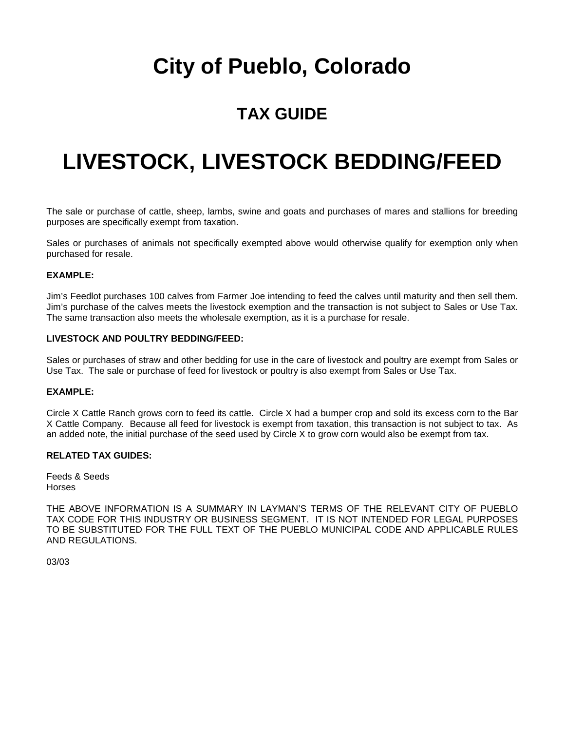### **TAX GUIDE**

## **LIVESTOCK, LIVESTOCK BEDDING/FEED**

The sale or purchase of cattle, sheep, lambs, swine and goats and purchases of mares and stallions for breeding purposes are specifically exempt from taxation.

Sales or purchases of animals not specifically exempted above would otherwise qualify for exemption only when purchased for resale.

### **EXAMPLE:**

Jim's Feedlot purchases 100 calves from Farmer Joe intending to feed the calves until maturity and then sell them. Jim's purchase of the calves meets the livestock exemption and the transaction is not subject to Sales or Use Tax. The same transaction also meets the wholesale exemption, as it is a purchase for resale.

#### **LIVESTOCK AND POULTRY BEDDING/FEED:**

Sales or purchases of straw and other bedding for use in the care of livestock and poultry are exempt from Sales or Use Tax. The sale or purchase of feed for livestock or poultry is also exempt from Sales or Use Tax.

#### **EXAMPLE:**

Circle X Cattle Ranch grows corn to feed its cattle. Circle X had a bumper crop and sold its excess corn to the Bar X Cattle Company. Because all feed for livestock is exempt from taxation, this transaction is not subject to tax. As an added note, the initial purchase of the seed used by Circle X to grow corn would also be exempt from tax.

#### **RELATED TAX GUIDES:**

Feeds & Seeds Horses

THE ABOVE INFORMATION IS A SUMMARY IN LAYMAN'S TERMS OF THE RELEVANT CITY OF PUEBLO TAX CODE FOR THIS INDUSTRY OR BUSINESS SEGMENT. IT IS NOT INTENDED FOR LEGAL PURPOSES TO BE SUBSTITUTED FOR THE FULL TEXT OF THE PUEBLO MUNICIPAL CODE AND APPLICABLE RULES AND REGULATIONS.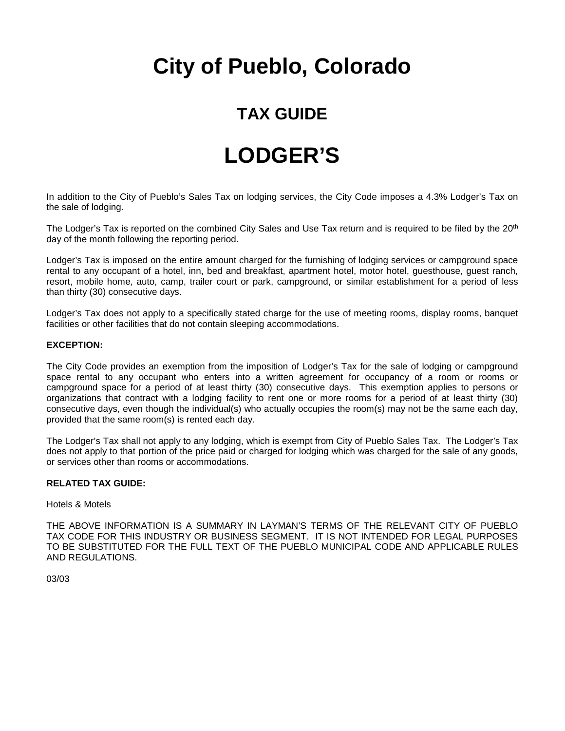### **TAX GUIDE**

### **LODGER'S**

In addition to the City of Pueblo's Sales Tax on lodging services, the City Code imposes a 4.3% Lodger's Tax on the sale of lodging.

The Lodger's Tax is reported on the combined City Sales and Use Tax return and is required to be filed by the 20<sup>th</sup> day of the month following the reporting period.

Lodger's Tax is imposed on the entire amount charged for the furnishing of lodging services or campground space rental to any occupant of a hotel, inn, bed and breakfast, apartment hotel, motor hotel, guesthouse, guest ranch, resort, mobile home, auto, camp, trailer court or park, campground, or similar establishment for a period of less than thirty (30) consecutive days.

Lodger's Tax does not apply to a specifically stated charge for the use of meeting rooms, display rooms, banquet facilities or other facilities that do not contain sleeping accommodations.

### **EXCEPTION:**

The City Code provides an exemption from the imposition of Lodger's Tax for the sale of lodging or campground space rental to any occupant who enters into a written agreement for occupancy of a room or rooms or campground space for a period of at least thirty (30) consecutive days. This exemption applies to persons or organizations that contract with a lodging facility to rent one or more rooms for a period of at least thirty (30) consecutive days, even though the individual(s) who actually occupies the room(s) may not be the same each day, provided that the same room(s) is rented each day.

The Lodger's Tax shall not apply to any lodging, which is exempt from City of Pueblo Sales Tax. The Lodger's Tax does not apply to that portion of the price paid or charged for lodging which was charged for the sale of any goods, or services other than rooms or accommodations.

#### **RELATED TAX GUIDE:**

#### Hotels & Motels

THE ABOVE INFORMATION IS A SUMMARY IN LAYMAN'S TERMS OF THE RELEVANT CITY OF PUEBLO TAX CODE FOR THIS INDUSTRY OR BUSINESS SEGMENT. IT IS NOT INTENDED FOR LEGAL PURPOSES TO BE SUBSTITUTED FOR THE FULL TEXT OF THE PUEBLO MUNICIPAL CODE AND APPLICABLE RULES AND REGULATIONS.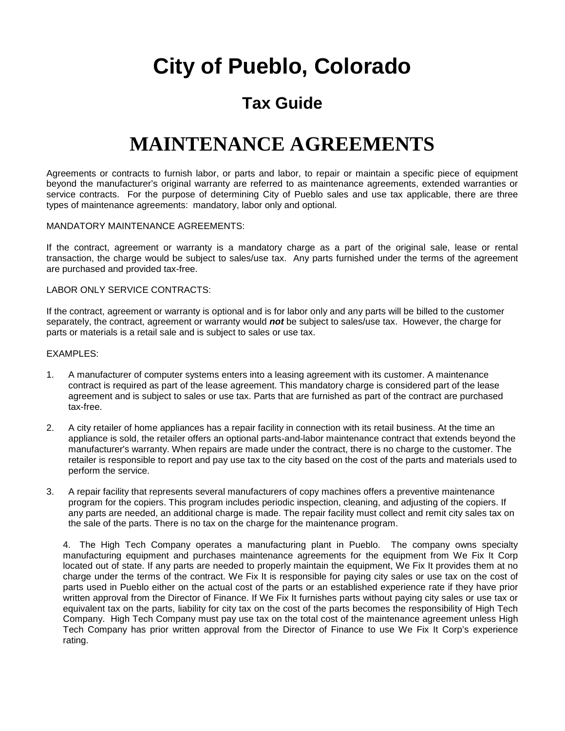### **Tax Guide**

### **MAINTENANCE AGREEMENTS**

Agreements or contracts to furnish labor, or parts and labor, to repair or maintain a specific piece of equipment beyond the manufacturer's original warranty are referred to as maintenance agreements, extended warranties or service contracts. For the purpose of determining City of Pueblo sales and use tax applicable, there are three types of maintenance agreements: mandatory, labor only and optional.

#### MANDATORY MAINTENANCE AGREEMENTS:

If the contract, agreement or warranty is a mandatory charge as a part of the original sale, lease or rental transaction, the charge would be subject to sales/use tax. Any parts furnished under the terms of the agreement are purchased and provided tax-free.

#### LABOR ONLY SERVICE CONTRACTS:

If the contract, agreement or warranty is optional and is for labor only and any parts will be billed to the customer separately, the contract, agreement or warranty would *not* be subject to sales/use tax. However, the charge for parts or materials is a retail sale and is subject to sales or use tax.

#### EXAMPLES:

- 1. A manufacturer of computer systems enters into a leasing agreement with its customer. A maintenance contract is required as part of the lease agreement. This mandatory charge is considered part of the lease agreement and is subject to sales or use tax. Parts that are furnished as part of the contract are purchased tax-free.
- 2. A city retailer of home appliances has a repair facility in connection with its retail business. At the time an appliance is sold, the retailer offers an optional parts-and-labor maintenance contract that extends beyond the manufacturer's warranty. When repairs are made under the contract, there is no charge to the customer. The retailer is responsible to report and pay use tax to the city based on the cost of the parts and materials used to perform the service.
- 3. A repair facility that represents several manufacturers of copy machines offers a preventive maintenance program for the copiers. This program includes periodic inspection, cleaning, and adjusting of the copiers. If any parts are needed, an additional charge is made. The repair facility must collect and remit city sales tax on the sale of the parts. There is no tax on the charge for the maintenance program.

4. The High Tech Company operates a manufacturing plant in Pueblo. The company owns specialty manufacturing equipment and purchases maintenance agreements for the equipment from We Fix It Corp located out of state. If any parts are needed to properly maintain the equipment, We Fix It provides them at no charge under the terms of the contract. We Fix It is responsible for paying city sales or use tax on the cost of parts used in Pueblo either on the actual cost of the parts or an established experience rate if they have prior written approval from the Director of Finance. If We Fix It furnishes parts without paying city sales or use tax or equivalent tax on the parts, liability for city tax on the cost of the parts becomes the responsibility of High Tech Company. High Tech Company must pay use tax on the total cost of the maintenance agreement unless High Tech Company has prior written approval from the Director of Finance to use We Fix It Corp's experience rating.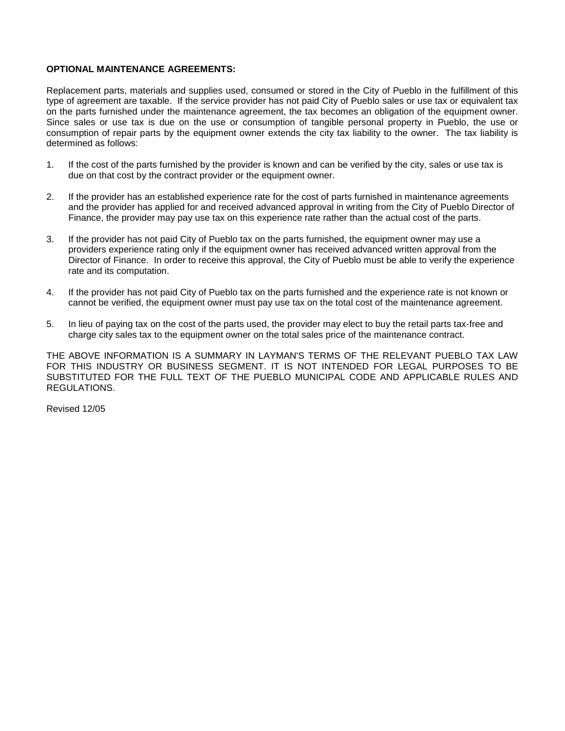#### **OPTIONAL MAINTENANCE AGREEMENTS:**

Replacement parts, materials and supplies used, consumed or stored in the City of Pueblo in the fulfillment of this type of agreement are taxable. If the service provider has not paid City of Pueblo sales or use tax or equivalent tax on the parts furnished under the maintenance agreement, the tax becomes an obligation of the equipment owner. Since sales or use tax is due on the use or consumption of tangible personal property in Pueblo, the use or consumption of repair parts by the equipment owner extends the city tax liability to the owner. The tax liability is determined as follows:

- 1. If the cost of the parts furnished by the provider is known and can be verified by the city, sales or use tax is due on that cost by the contract provider or the equipment owner.
- 2. If the provider has an established experience rate for the cost of parts furnished in maintenance agreements and the provider has applied for and received advanced approval in writing from the City of Pueblo Director of Finance, the provider may pay use tax on this experience rate rather than the actual cost of the parts.
- 3. If the provider has not paid City of Pueblo tax on the parts furnished, the equipment owner may use a providers experience rating only if the equipment owner has received advanced written approval from the Director of Finance. In order to receive this approval, the City of Pueblo must be able to verify the experience rate and its computation.
- 4. If the provider has not paid City of Pueblo tax on the parts furnished and the experience rate is not known or cannot be verified, the equipment owner must pay use tax on the total cost of the maintenance agreement.
- 5. In lieu of paying tax on the cost of the parts used, the provider may elect to buy the retail parts tax-free and charge city sales tax to the equipment owner on the total sales price of the maintenance contract.

THE ABOVE INFORMATION IS A SUMMARY IN LAYMAN'S TERMS OF THE RELEVANT PUEBLO TAX LAW FOR THIS INDUSTRY OR BUSINESS SEGMENT. IT IS NOT INTENDED FOR LEGAL PURPOSES TO BE SUBSTITUTED FOR THE FULL TEXT OF THE PUEBLO MUNICIPAL CODE AND APPLICABLE RULES AND REGULATIONS.

Revised 12/05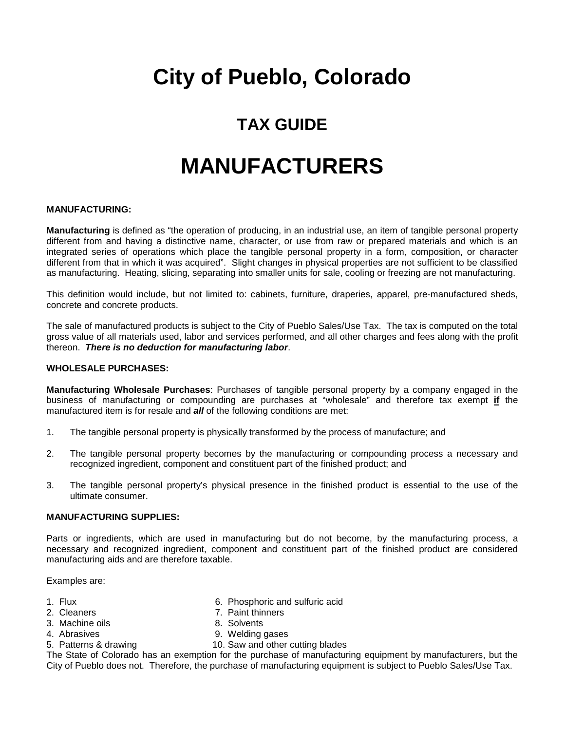### **TAX GUIDE**

## **MANUFACTURERS**

#### **MANUFACTURING:**

**Manufacturing** is defined as "the operation of producing, in an industrial use, an item of tangible personal property different from and having a distinctive name, character, or use from raw or prepared materials and which is an integrated series of operations which place the tangible personal property in a form, composition, or character different from that in which it was acquired". Slight changes in physical properties are not sufficient to be classified as manufacturing. Heating, slicing, separating into smaller units for sale, cooling or freezing are not manufacturing.

This definition would include, but not limited to: cabinets, furniture, draperies, apparel, pre-manufactured sheds, concrete and concrete products.

The sale of manufactured products is subject to the City of Pueblo Sales/Use Tax. The tax is computed on the total gross value of all materials used, labor and services performed, and all other charges and fees along with the profit thereon. *There is no deduction for manufacturing labor*.

#### **WHOLESALE PURCHASES:**

**Manufacturing Wholesale Purchases**: Purchases of tangible personal property by a company engaged in the business of manufacturing or compounding are purchases at "wholesale" and therefore tax exempt **if** the manufactured item is for resale and *all* of the following conditions are met:

- 1. The tangible personal property is physically transformed by the process of manufacture; and
- 2. The tangible personal property becomes by the manufacturing or compounding process a necessary and recognized ingredient, component and constituent part of the finished product; and
- 3. The tangible personal property's physical presence in the finished product is essential to the use of the ultimate consumer.

#### **MANUFACTURING SUPPLIES:**

Parts or ingredients, which are used in manufacturing but do not become, by the manufacturing process, a necessary and recognized ingredient, component and constituent part of the finished product are considered manufacturing aids and are therefore taxable.

Examples are:

- 
- 
- 
- 
- 1. Flux 6. Phosphoric and sulfuric acid
- 2. Cleaners 2. Cleaners 2. Paint thinners
	-
- 3. Machine oils 6. Solvents<br>4. Abrasives 6. Solvents 9. Welding 9. Welding gases
- 
- 5. Patterns & drawing 10. Saw and other cutting blades

The State of Colorado has an exemption for the purchase of manufacturing equipment by manufacturers, but the City of Pueblo does not. Therefore, the purchase of manufacturing equipment is subject to Pueblo Sales/Use Tax.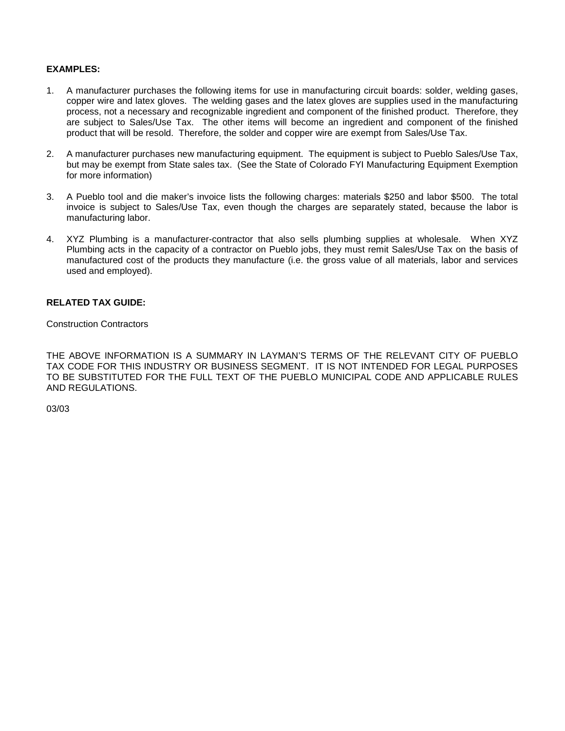### **EXAMPLES:**

- 1. A manufacturer purchases the following items for use in manufacturing circuit boards: solder, welding gases, copper wire and latex gloves. The welding gases and the latex gloves are supplies used in the manufacturing process, not a necessary and recognizable ingredient and component of the finished product. Therefore, they are subject to Sales/Use Tax. The other items will become an ingredient and component of the finished product that will be resold. Therefore, the solder and copper wire are exempt from Sales/Use Tax.
- 2. A manufacturer purchases new manufacturing equipment. The equipment is subject to Pueblo Sales/Use Tax, but may be exempt from State sales tax. (See the State of Colorado FYI Manufacturing Equipment Exemption for more information)
- 3. A Pueblo tool and die maker's invoice lists the following charges: materials \$250 and labor \$500. The total invoice is subject to Sales/Use Tax, even though the charges are separately stated, because the labor is manufacturing labor.
- 4. XYZ Plumbing is a manufacturer-contractor that also sells plumbing supplies at wholesale. When XYZ Plumbing acts in the capacity of a contractor on Pueblo jobs, they must remit Sales/Use Tax on the basis of manufactured cost of the products they manufacture (i.e. the gross value of all materials, labor and services used and employed).

### **RELATED TAX GUIDE:**

Construction Contractors

THE ABOVE INFORMATION IS A SUMMARY IN LAYMAN'S TERMS OF THE RELEVANT CITY OF PUEBLO TAX CODE FOR THIS INDUSTRY OR BUSINESS SEGMENT. IT IS NOT INTENDED FOR LEGAL PURPOSES TO BE SUBSTITUTED FOR THE FULL TEXT OF THE PUEBLO MUNICIPAL CODE AND APPLICABLE RULES AND REGULATIONS.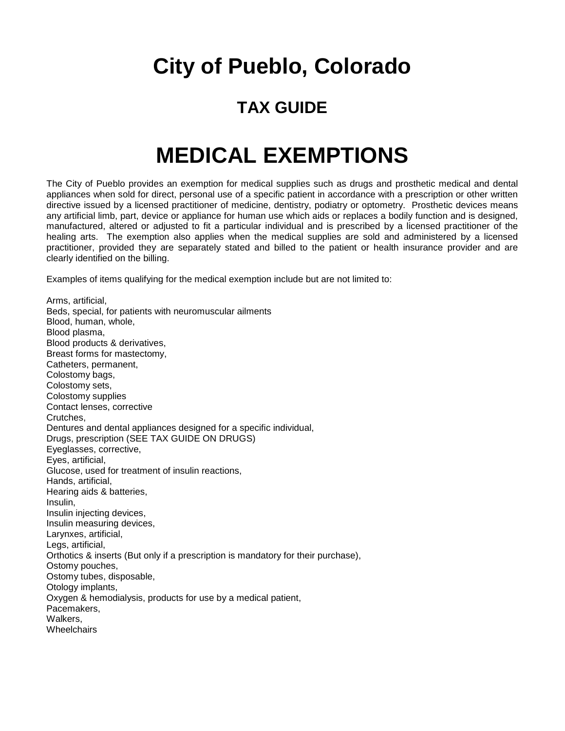### **TAX GUIDE**

### **MEDICAL EXEMPTIONS**

The City of Pueblo provides an exemption for medical supplies such as drugs and prosthetic medical and dental appliances when sold for direct, personal use of a specific patient in accordance with a prescription or other written directive issued by a licensed practitioner of medicine, dentistry, podiatry or optometry. Prosthetic devices means any artificial limb, part, device or appliance for human use which aids or replaces a bodily function and is designed, manufactured, altered or adjusted to fit a particular individual and is prescribed by a licensed practitioner of the healing arts. The exemption also applies when the medical supplies are sold and administered by a licensed practitioner, provided they are separately stated and billed to the patient or health insurance provider and are clearly identified on the billing.

Examples of items qualifying for the medical exemption include but are not limited to:

Arms, artificial, Beds, special, for patients with neuromuscular ailments Blood, human, whole, Blood plasma, Blood products & derivatives, Breast forms for mastectomy, Catheters, permanent, Colostomy bags, Colostomy sets, Colostomy supplies Contact lenses, corrective Crutches, Dentures and dental appliances designed for a specific individual, Drugs, prescription (SEE TAX GUIDE ON DRUGS) Eyeglasses, corrective, Eyes, artificial, Glucose, used for treatment of insulin reactions, Hands, artificial, Hearing aids & batteries, Insulin, Insulin injecting devices, Insulin measuring devices, Larynxes, artificial, Legs, artificial, Orthotics & inserts (But only if a prescription is mandatory for their purchase), Ostomy pouches, Ostomy tubes, disposable, Otology implants, Oxygen & hemodialysis, products for use by a medical patient, Pacemakers, Walkers, **Wheelchairs**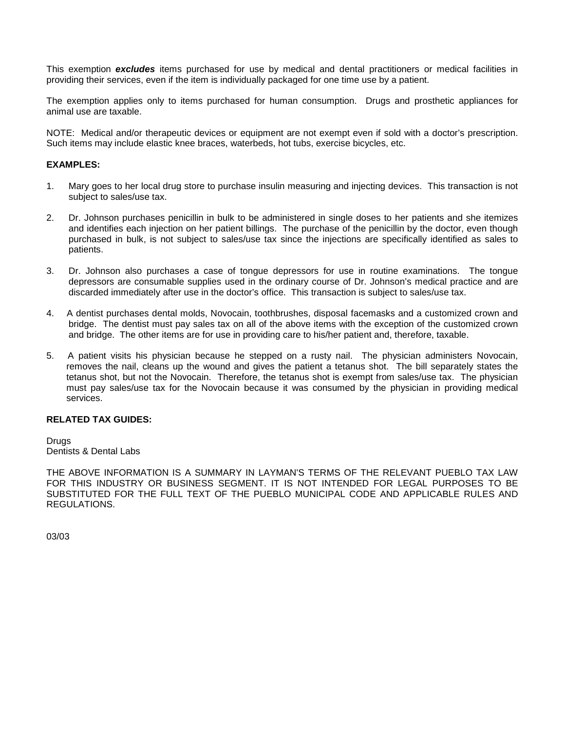This exemption *excludes* items purchased for use by medical and dental practitioners or medical facilities in providing their services, even if the item is individually packaged for one time use by a patient.

The exemption applies only to items purchased for human consumption. Drugs and prosthetic appliances for animal use are taxable.

NOTE: Medical and/or therapeutic devices or equipment are not exempt even if sold with a doctor's prescription. Such items may include elastic knee braces, waterbeds, hot tubs, exercise bicycles, etc.

#### **EXAMPLES:**

- 1. Mary goes to her local drug store to purchase insulin measuring and injecting devices. This transaction is not subject to sales/use tax.
- 2. Dr. Johnson purchases penicillin in bulk to be administered in single doses to her patients and she itemizes and identifies each injection on her patient billings. The purchase of the penicillin by the doctor, even though purchased in bulk, is not subject to sales/use tax since the injections are specifically identified as sales to patients.
- 3. Dr. Johnson also purchases a case of tongue depressors for use in routine examinations. The tongue depressors are consumable supplies used in the ordinary course of Dr. Johnson's medical practice and are discarded immediately after use in the doctor's office. This transaction is subject to sales/use tax.
- 4. A dentist purchases dental molds, Novocain, toothbrushes, disposal facemasks and a customized crown and bridge. The dentist must pay sales tax on all of the above items with the exception of the customized crown and bridge. The other items are for use in providing care to his/her patient and, therefore, taxable.
- 5. A patient visits his physician because he stepped on a rusty nail. The physician administers Novocain, removes the nail, cleans up the wound and gives the patient a tetanus shot. The bill separately states the tetanus shot, but not the Novocain. Therefore, the tetanus shot is exempt from sales/use tax. The physician must pay sales/use tax for the Novocain because it was consumed by the physician in providing medical services.

#### **RELATED TAX GUIDES:**

**Drugs** Dentists & Dental Labs

THE ABOVE INFORMATION IS A SUMMARY IN LAYMAN'S TERMS OF THE RELEVANT PUEBLO TAX LAW FOR THIS INDUSTRY OR BUSINESS SEGMENT. IT IS NOT INTENDED FOR LEGAL PURPOSES TO BE SUBSTITUTED FOR THE FULL TEXT OF THE PUEBLO MUNICIPAL CODE AND APPLICABLE RULES AND REGULATIONS.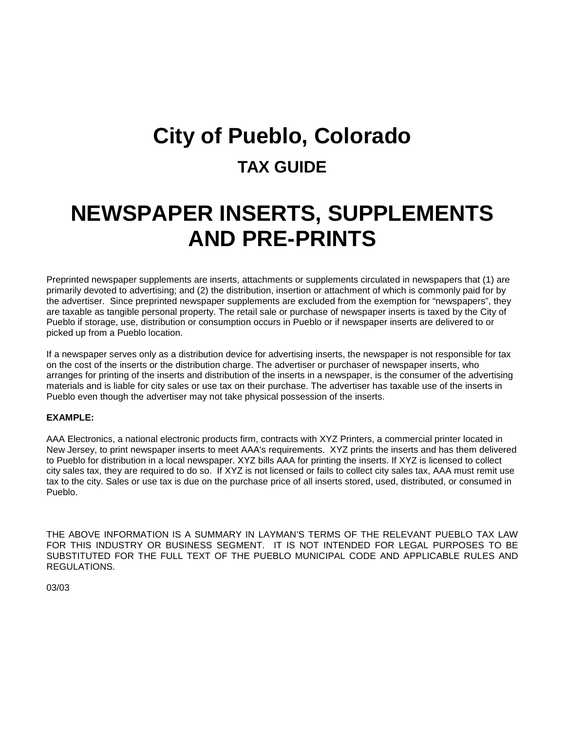## **City of Pueblo, Colorado TAX GUIDE**

### **NEWSPAPER INSERTS, SUPPLEMENTS AND PRE-PRINTS**

Preprinted newspaper supplements are inserts, attachments or supplements circulated in newspapers that (1) are primarily devoted to advertising; and (2) the distribution, insertion or attachment of which is commonly paid for by the advertiser. Since preprinted newspaper supplements are excluded from the exemption for "newspapers", they are taxable as tangible personal property. The retail sale or purchase of newspaper inserts is taxed by the City of Pueblo if storage, use, distribution or consumption occurs in Pueblo or if newspaper inserts are delivered to or picked up from a Pueblo location.

If a newspaper serves only as a distribution device for advertising inserts, the newspaper is not responsible for tax on the cost of the inserts or the distribution charge. The advertiser or purchaser of newspaper inserts, who arranges for printing of the inserts and distribution of the inserts in a newspaper, is the consumer of the advertising materials and is liable for city sales or use tax on their purchase. The advertiser has taxable use of the inserts in Pueblo even though the advertiser may not take physical possession of the inserts.

#### **EXAMPLE:**

AAA Electronics, a national electronic products firm, contracts with XYZ Printers, a commercial printer located in New Jersey, to print newspaper inserts to meet AAA's requirements. XYZ prints the inserts and has them delivered to Pueblo for distribution in a local newspaper. XYZ bills AAA for printing the inserts. If XYZ is licensed to collect city sales tax, they are required to do so. If XYZ is not licensed or fails to collect city sales tax, AAA must remit use tax to the city. Sales or use tax is due on the purchase price of all inserts stored, used, distributed, or consumed in Pueblo.

THE ABOVE INFORMATION IS A SUMMARY IN LAYMAN'S TERMS OF THE RELEVANT PUEBLO TAX LAW FOR THIS INDUSTRY OR BUSINESS SEGMENT. IT IS NOT INTENDED FOR LEGAL PURPOSES TO BE SUBSTITUTED FOR THE FULL TEXT OF THE PUEBLO MUNICIPAL CODE AND APPLICABLE RULES AND REGULATIONS.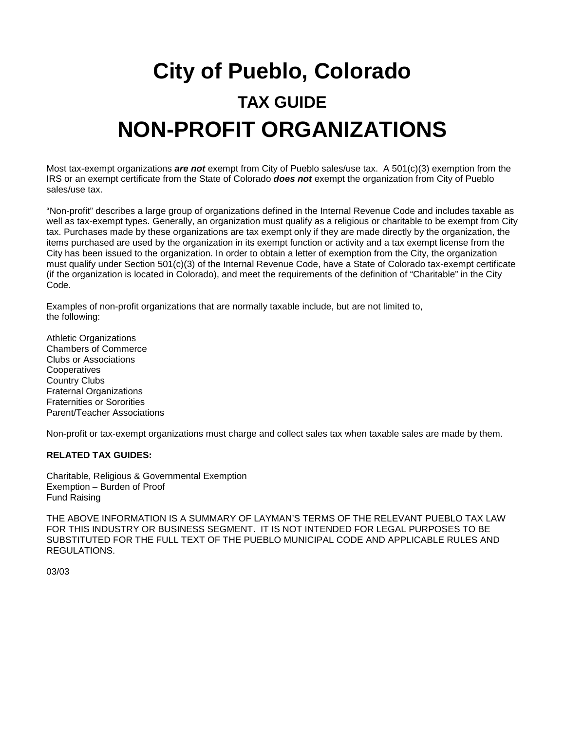# **City of Pueblo, Colorado TAX GUIDE NON-PROFIT ORGANIZATIONS**

Most tax-exempt organizations *are not* exempt from City of Pueblo sales/use tax. A 501(c)(3) exemption from the IRS or an exempt certificate from the State of Colorado *does not* exempt the organization from City of Pueblo sales/use tax.

"Non-profit" describes a large group of organizations defined in the Internal Revenue Code and includes taxable as well as tax-exempt types. Generally, an organization must qualify as a religious or charitable to be exempt from City tax. Purchases made by these organizations are tax exempt only if they are made directly by the organization, the items purchased are used by the organization in its exempt function or activity and a tax exempt license from the City has been issued to the organization. In order to obtain a letter of exemption from the City, the organization must qualify under Section 501(c)(3) of the Internal Revenue Code, have a State of Colorado tax-exempt certificate (if the organization is located in Colorado), and meet the requirements of the definition of "Charitable" in the City Code.

Examples of non-profit organizations that are normally taxable include, but are not limited to, the following:

Athletic Organizations Chambers of Commerce Clubs or Associations **Cooperatives** Country Clubs Fraternal Organizations Fraternities or Sororities Parent/Teacher Associations

Non-profit or tax-exempt organizations must charge and collect sales tax when taxable sales are made by them.

#### **RELATED TAX GUIDES:**

Charitable, Religious & Governmental Exemption Exemption – Burden of Proof Fund Raising

THE ABOVE INFORMATION IS A SUMMARY OF LAYMAN'S TERMS OF THE RELEVANT PUEBLO TAX LAW FOR THIS INDUSTRY OR BUSINESS SEGMENT. IT IS NOT INTENDED FOR LEGAL PURPOSES TO BE SUBSTITUTED FOR THE FULL TEXT OF THE PUEBLO MUNICIPAL CODE AND APPLICABLE RULES AND REGULATIONS.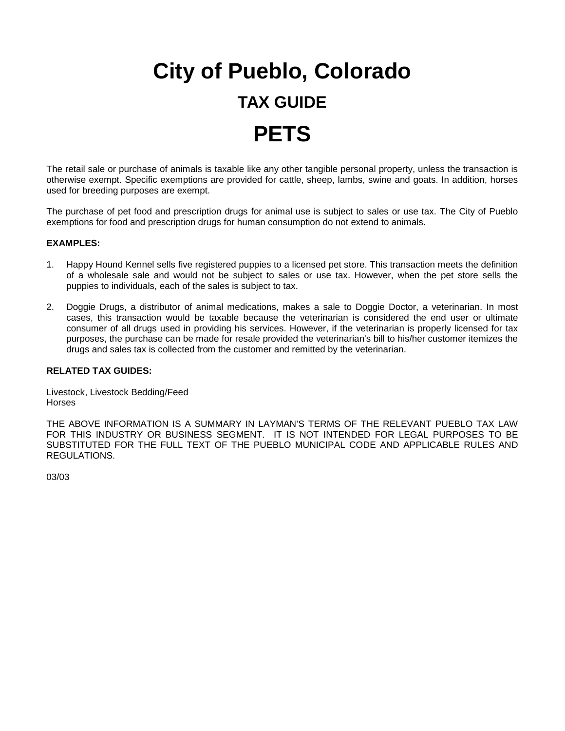# **City of Pueblo, Colorado TAX GUIDE PETS**

The retail sale or purchase of animals is taxable like any other tangible personal property, unless the transaction is otherwise exempt. Specific exemptions are provided for cattle, sheep, lambs, swine and goats. In addition, horses used for breeding purposes are exempt.

The purchase of pet food and prescription drugs for animal use is subject to sales or use tax. The City of Pueblo exemptions for food and prescription drugs for human consumption do not extend to animals.

### **EXAMPLES:**

- 1. Happy Hound Kennel sells five registered puppies to a licensed pet store. This transaction meets the definition of a wholesale sale and would not be subject to sales or use tax. However, when the pet store sells the puppies to individuals, each of the sales is subject to tax.
- 2. Doggie Drugs, a distributor of animal medications, makes a sale to Doggie Doctor, a veterinarian. In most cases, this transaction would be taxable because the veterinarian is considered the end user or ultimate consumer of all drugs used in providing his services. However, if the veterinarian is properly licensed for tax purposes, the purchase can be made for resale provided the veterinarian's bill to his/her customer itemizes the drugs and sales tax is collected from the customer and remitted by the veterinarian.

#### **RELATED TAX GUIDES:**

Livestock, Livestock Bedding/Feed **Horses** 

THE ABOVE INFORMATION IS A SUMMARY IN LAYMAN'S TERMS OF THE RELEVANT PUEBLO TAX LAW FOR THIS INDUSTRY OR BUSINESS SEGMENT. IT IS NOT INTENDED FOR LEGAL PURPOSES TO BE SUBSTITUTED FOR THE FULL TEXT OF THE PUEBLO MUNICIPAL CODE AND APPLICABLE RULES AND REGULATIONS.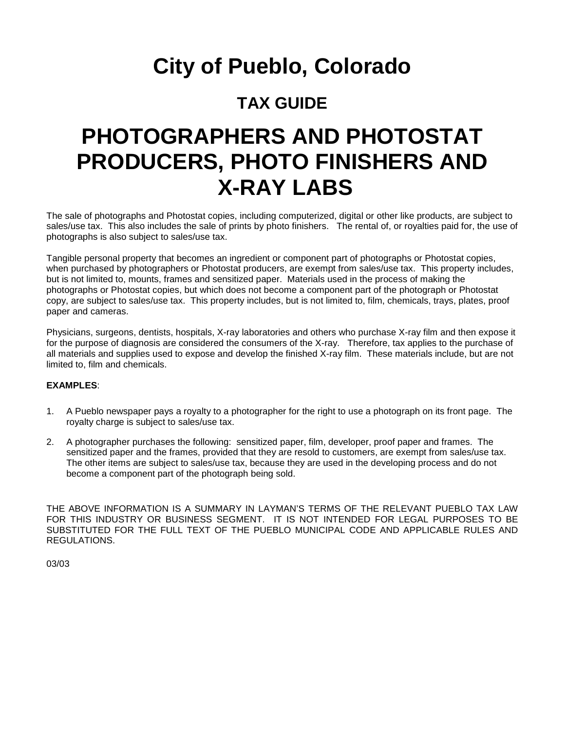### **TAX GUIDE**

### **PHOTOGRAPHERS AND PHOTOSTAT PRODUCERS, PHOTO FINISHERS AND X-RAY LABS**

The sale of photographs and Photostat copies, including computerized, digital or other like products, are subject to sales/use tax. This also includes the sale of prints by photo finishers. The rental of, or royalties paid for, the use of photographs is also subject to sales/use tax.

Tangible personal property that becomes an ingredient or component part of photographs or Photostat copies, when purchased by photographers or Photostat producers, are exempt from sales/use tax. This property includes, but is not limited to, mounts, frames and sensitized paper. Materials used in the process of making the photographs or Photostat copies, but which does not become a component part of the photograph or Photostat copy, are subject to sales/use tax. This property includes, but is not limited to, film, chemicals, trays, plates, proof paper and cameras.

Physicians, surgeons, dentists, hospitals, X-ray laboratories and others who purchase X-ray film and then expose it for the purpose of diagnosis are considered the consumers of the X-ray. Therefore, tax applies to the purchase of all materials and supplies used to expose and develop the finished X-ray film. These materials include, but are not limited to, film and chemicals.

### **EXAMPLES**:

- 1. A Pueblo newspaper pays a royalty to a photographer for the right to use a photograph on its front page. The royalty charge is subject to sales/use tax.
- 2. A photographer purchases the following: sensitized paper, film, developer, proof paper and frames. The sensitized paper and the frames, provided that they are resold to customers, are exempt from sales/use tax. The other items are subject to sales/use tax, because they are used in the developing process and do not become a component part of the photograph being sold.

THE ABOVE INFORMATION IS A SUMMARY IN LAYMAN'S TERMS OF THE RELEVANT PUEBLO TAX LAW FOR THIS INDUSTRY OR BUSINESS SEGMENT. IT IS NOT INTENDED FOR LEGAL PURPOSES TO BE SUBSTITUTED FOR THE FULL TEXT OF THE PUEBLO MUNICIPAL CODE AND APPLICABLE RULES AND REGULATIONS.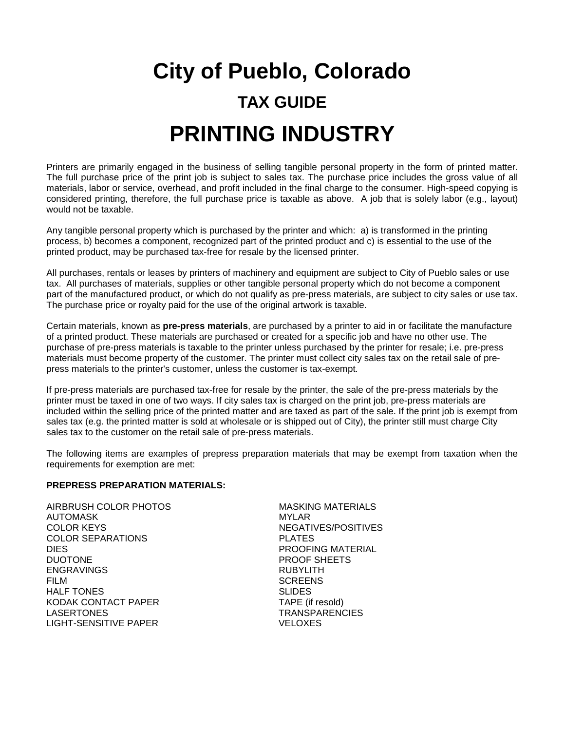# **City of Pueblo, Colorado TAX GUIDE PRINTING INDUSTRY**

Printers are primarily engaged in the business of selling tangible personal property in the form of printed matter. The full purchase price of the print job is subject to sales tax. The purchase price includes the gross value of all materials, labor or service, overhead, and profit included in the final charge to the consumer. High-speed copying is considered printing, therefore, the full purchase price is taxable as above. A job that is solely labor (e.g., layout) would not be taxable.

Any tangible personal property which is purchased by the printer and which: a) is transformed in the printing process, b) becomes a component, recognized part of the printed product and c) is essential to the use of the printed product, may be purchased tax-free for resale by the licensed printer.

All purchases, rentals or leases by printers of machinery and equipment are subject to City of Pueblo sales or use tax. All purchases of materials, supplies or other tangible personal property which do not become a component part of the manufactured product, or which do not qualify as pre-press materials, are subject to city sales or use tax. The purchase price or royalty paid for the use of the original artwork is taxable.

Certain materials, known as **pre-press materials**, are purchased by a printer to aid in or facilitate the manufacture of a printed product. These materials are purchased or created for a specific job and have no other use. The purchase of pre-press materials is taxable to the printer unless purchased by the printer for resale; i.e. pre-press materials must become property of the customer. The printer must collect city sales tax on the retail sale of prepress materials to the printer's customer, unless the customer is tax-exempt.

If pre-press materials are purchased tax-free for resale by the printer, the sale of the pre-press materials by the printer must be taxed in one of two ways. If city sales tax is charged on the print job, pre-press materials are included within the selling price of the printed matter and are taxed as part of the sale. If the print job is exempt from sales tax (e.g. the printed matter is sold at wholesale or is shipped out of City), the printer still must charge City sales tax to the customer on the retail sale of pre-press materials.

The following items are examples of prepress preparation materials that may be exempt from taxation when the requirements for exemption are met:

#### **PREPRESS PREPARATION MATERIALS:**

AUTOMASK MYLAR MYLAR<br>COLOR KEYS MEGATI COLOR SEPARATIONS PLATES DIES PROOFING MATERIAL ENGRAVINGS RUBYLITH FILM SCREENS HALF TONES SUDES KODAK CONTACT PAPER TAPE (if resold) LASERTONES TRANSPARENCIES LIGHT-SENSITIVE PAPER

AIRBRUSH COLOR PHOTOS MASKING MATERIALS NEGATIVES/POSITIVES PROOF SHEETS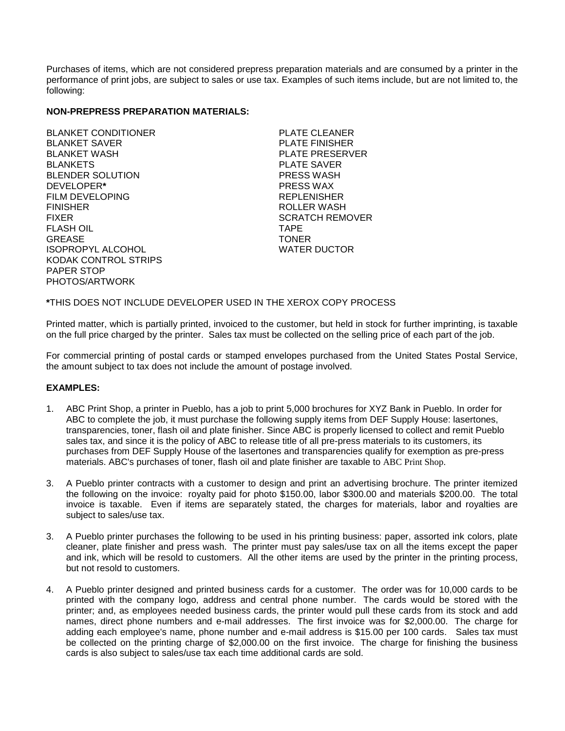Purchases of items, which are not considered prepress preparation materials and are consumed by a printer in the performance of print jobs, are subject to sales or use tax. Examples of such items include, but are not limited to, the following:

### **NON-PREPRESS PREPARATION MATERIALS:**

BLANKET CONDITIONER PLATE CLEANER BLANKET SAVER PLATE FINISHER BLANKETS PLATE SAVER BLENDER SOLUTION<br>DEVELOPER\* FILM DEVELOPING THE REPLENISHER FINISHER ROLLER WASH **FLASH OIL** GREASE TONER ISOPROPYL ALCOHOL KODAK CONTROL STRIPS PAPER STOP PHOTOS/ARTWORK

PLATE PRESERVER DEVELOPER**\*** PRESS WAX SCRATCH REMOVER<br>TAPE

#### **\***THIS DOES NOT INCLUDE DEVELOPER USED IN THE XEROX COPY PROCESS

Printed matter, which is partially printed, invoiced to the customer, but held in stock for further imprinting, is taxable on the full price charged by the printer. Sales tax must be collected on the selling price of each part of the job.

For commercial printing of postal cards or stamped envelopes purchased from the United States Postal Service, the amount subject to tax does not include the amount of postage involved.

#### **EXAMPLES:**

- 1. ABC Print Shop, a printer in Pueblo, has a job to print 5,000 brochures for XYZ Bank in Pueblo. In order for ABC to complete the job, it must purchase the following supply items from DEF Supply House: lasertones, transparencies, toner, flash oil and plate finisher. Since ABC is properly licensed to collect and remit Pueblo sales tax, and since it is the policy of ABC to release title of all pre-press materials to its customers, its purchases from DEF Supply House of the lasertones and transparencies qualify for exemption as pre-press materials. ABC's purchases of toner, flash oil and plate finisher are taxable to ABC Print Shop.
- 3. A Pueblo printer contracts with a customer to design and print an advertising brochure. The printer itemized the following on the invoice: royalty paid for photo \$150.00, labor \$300.00 and materials \$200.00. The total invoice is taxable. Even if items are separately stated, the charges for materials, labor and royalties are subject to sales/use tax.
- 3. A Pueblo printer purchases the following to be used in his printing business: paper, assorted ink colors, plate cleaner, plate finisher and press wash. The printer must pay sales/use tax on all the items except the paper and ink, which will be resold to customers. All the other items are used by the printer in the printing process, but not resold to customers.
- 4. A Pueblo printer designed and printed business cards for a customer. The order was for 10,000 cards to be printed with the company logo, address and central phone number. The cards would be stored with the printer; and, as employees needed business cards, the printer would pull these cards from its stock and add names, direct phone numbers and e-mail addresses. The first invoice was for \$2,000.00. The charge for adding each employee's name, phone number and e-mail address is \$15.00 per 100 cards. Sales tax must be collected on the printing charge of \$2,000.00 on the first invoice. The charge for finishing the business cards is also subject to sales/use tax each time additional cards are sold.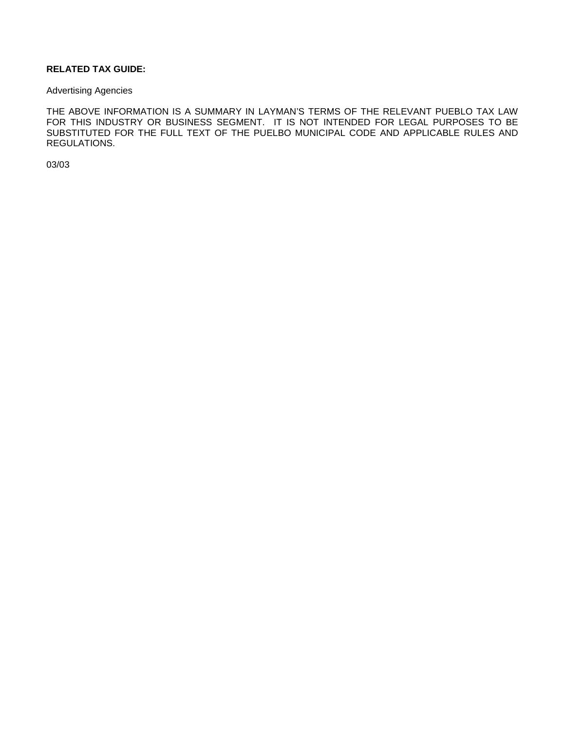### **RELATED TAX GUIDE:**

#### Advertising Agencies

THE ABOVE INFORMATION IS A SUMMARY IN LAYMAN'S TERMS OF THE RELEVANT PUEBLO TAX LAW FOR THIS INDUSTRY OR BUSINESS SEGMENT. IT IS NOT INTENDED FOR LEGAL PURPOSES TO BE SUBSTITUTED FOR THE FULL TEXT OF THE PUELBO MUNICIPAL CODE AND APPLICABLE RULES AND REGULATIONS.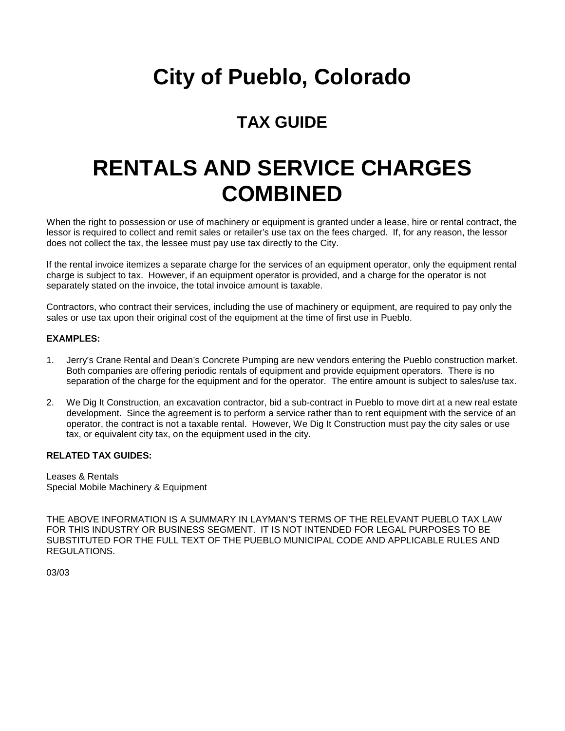### **TAX GUIDE**

## **RENTALS AND SERVICE CHARGES COMBINED**

When the right to possession or use of machinery or equipment is granted under a lease, hire or rental contract, the lessor is required to collect and remit sales or retailer's use tax on the fees charged. If, for any reason, the lessor does not collect the tax, the lessee must pay use tax directly to the City.

If the rental invoice itemizes a separate charge for the services of an equipment operator, only the equipment rental charge is subject to tax. However, if an equipment operator is provided, and a charge for the operator is not separately stated on the invoice, the total invoice amount is taxable.

Contractors, who contract their services, including the use of machinery or equipment, are required to pay only the sales or use tax upon their original cost of the equipment at the time of first use in Pueblo.

#### **EXAMPLES:**

- 1. Jerry's Crane Rental and Dean's Concrete Pumping are new vendors entering the Pueblo construction market. Both companies are offering periodic rentals of equipment and provide equipment operators. There is no separation of the charge for the equipment and for the operator. The entire amount is subject to sales/use tax.
- 2. We Dig It Construction, an excavation contractor, bid a sub-contract in Pueblo to move dirt at a new real estate development. Since the agreement is to perform a service rather than to rent equipment with the service of an operator, the contract is not a taxable rental. However, We Dig It Construction must pay the city sales or use tax, or equivalent city tax, on the equipment used in the city.

#### **RELATED TAX GUIDES:**

Leases & Rentals Special Mobile Machinery & Equipment

THE ABOVE INFORMATION IS A SUMMARY IN LAYMAN'S TERMS OF THE RELEVANT PUEBLO TAX LAW FOR THIS INDUSTRY OR BUSINESS SEGMENT. IT IS NOT INTENDED FOR LEGAL PURPOSES TO BE SUBSTITUTED FOR THE FULL TEXT OF THE PUEBLO MUNICIPAL CODE AND APPLICABLE RULES AND REGULATIONS.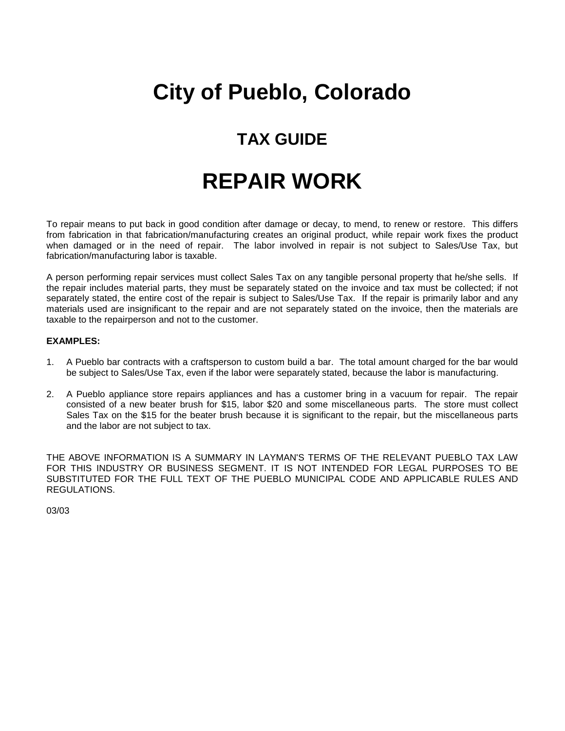### **TAX GUIDE**

### **REPAIR WORK**

To repair means to put back in good condition after damage or decay, to mend, to renew or restore. This differs from fabrication in that fabrication/manufacturing creates an original product, while repair work fixes the product when damaged or in the need of repair. The labor involved in repair is not subject to Sales/Use Tax, but fabrication/manufacturing labor is taxable.

A person performing repair services must collect Sales Tax on any tangible personal property that he/she sells. If the repair includes material parts, they must be separately stated on the invoice and tax must be collected; if not separately stated, the entire cost of the repair is subject to Sales/Use Tax. If the repair is primarily labor and any materials used are insignificant to the repair and are not separately stated on the invoice, then the materials are taxable to the repairperson and not to the customer.

#### **EXAMPLES:**

- 1. A Pueblo bar contracts with a craftsperson to custom build a bar. The total amount charged for the bar would be subject to Sales/Use Tax, even if the labor were separately stated, because the labor is manufacturing.
- 2. A Pueblo appliance store repairs appliances and has a customer bring in a vacuum for repair. The repair consisted of a new beater brush for \$15, labor \$20 and some miscellaneous parts. The store must collect Sales Tax on the \$15 for the beater brush because it is significant to the repair, but the miscellaneous parts and the labor are not subject to tax.

THE ABOVE INFORMATION IS A SUMMARY IN LAYMAN'S TERMS OF THE RELEVANT PUEBLO TAX LAW FOR THIS INDUSTRY OR BUSINESS SEGMENT. IT IS NOT INTENDED FOR LEGAL PURPOSES TO BE SUBSTITUTED FOR THE FULL TEXT OF THE PUEBLO MUNICIPAL CODE AND APPLICABLE RULES AND REGULATIONS.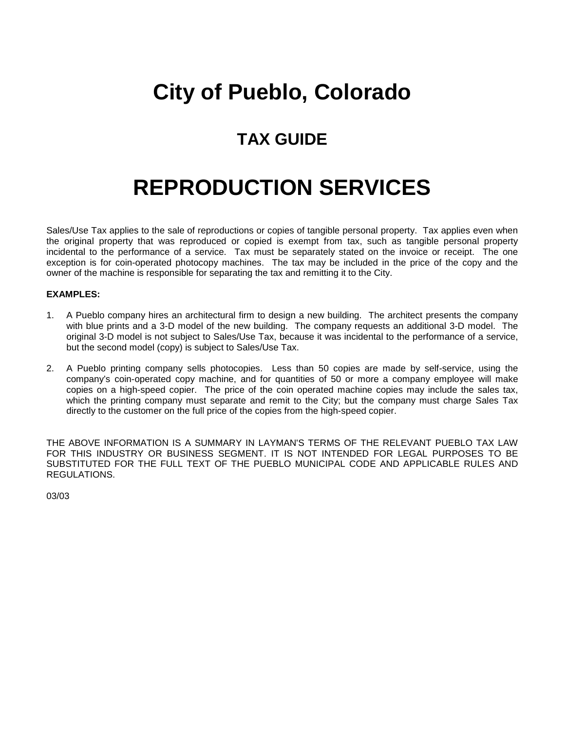### **TAX GUIDE**

## **REPRODUCTION SERVICES**

Sales/Use Tax applies to the sale of reproductions or copies of tangible personal property. Tax applies even when the original property that was reproduced or copied is exempt from tax, such as tangible personal property incidental to the performance of a service. Tax must be separately stated on the invoice or receipt. The one exception is for coin-operated photocopy machines. The tax may be included in the price of the copy and the owner of the machine is responsible for separating the tax and remitting it to the City.

### **EXAMPLES:**

- 1. A Pueblo company hires an architectural firm to design a new building. The architect presents the company with blue prints and a 3-D model of the new building. The company requests an additional 3-D model. The original 3-D model is not subject to Sales/Use Tax, because it was incidental to the performance of a service, but the second model (copy) is subject to Sales/Use Tax.
- 2. A Pueblo printing company sells photocopies. Less than 50 copies are made by self-service, using the company's coin-operated copy machine, and for quantities of 50 or more a company employee will make copies on a high-speed copier. The price of the coin operated machine copies may include the sales tax, which the printing company must separate and remit to the City; but the company must charge Sales Tax directly to the customer on the full price of the copies from the high-speed copier.

THE ABOVE INFORMATION IS A SUMMARY IN LAYMAN'S TERMS OF THE RELEVANT PUEBLO TAX LAW FOR THIS INDUSTRY OR BUSINESS SEGMENT. IT IS NOT INTENDED FOR LEGAL PURPOSES TO BE SUBSTITUTED FOR THE FULL TEXT OF THE PUEBLO MUNICIPAL CODE AND APPLICABLE RULES AND REGULATIONS.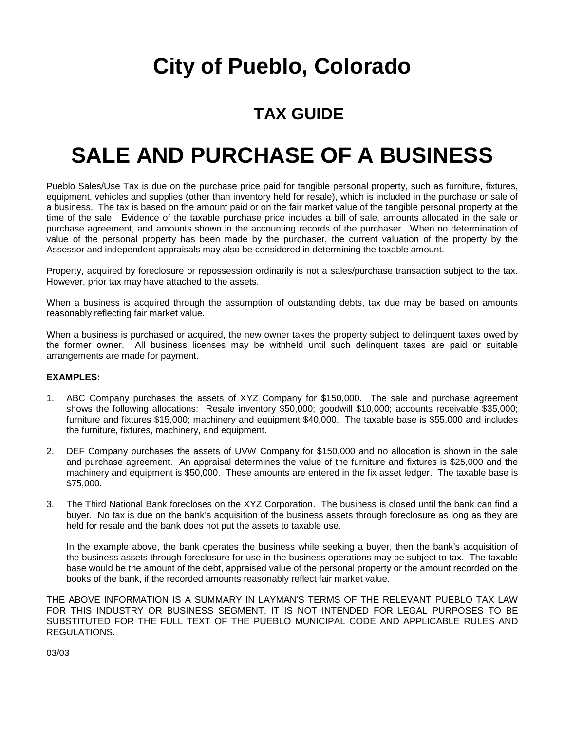### **TAX GUIDE**

## **SALE AND PURCHASE OF A BUSINESS**

Pueblo Sales/Use Tax is due on the purchase price paid for tangible personal property, such as furniture, fixtures, equipment, vehicles and supplies (other than inventory held for resale), which is included in the purchase or sale of a business. The tax is based on the amount paid or on the fair market value of the tangible personal property at the time of the sale. Evidence of the taxable purchase price includes a bill of sale, amounts allocated in the sale or purchase agreement, and amounts shown in the accounting records of the purchaser. When no determination of value of the personal property has been made by the purchaser, the current valuation of the property by the Assessor and independent appraisals may also be considered in determining the taxable amount.

Property, acquired by foreclosure or repossession ordinarily is not a sales/purchase transaction subject to the tax. However, prior tax may have attached to the assets.

When a business is acquired through the assumption of outstanding debts, tax due may be based on amounts reasonably reflecting fair market value.

When a business is purchased or acquired, the new owner takes the property subject to delinquent taxes owed by the former owner. All business licenses may be withheld until such delinquent taxes are paid or suitable arrangements are made for payment.

#### **EXAMPLES:**

- 1. ABC Company purchases the assets of XYZ Company for \$150,000. The sale and purchase agreement shows the following allocations: Resale inventory \$50,000; goodwill \$10,000; accounts receivable \$35,000; furniture and fixtures \$15,000; machinery and equipment \$40,000. The taxable base is \$55,000 and includes the furniture, fixtures, machinery, and equipment.
- 2. DEF Company purchases the assets of UVW Company for \$150,000 and no allocation is shown in the sale and purchase agreement. An appraisal determines the value of the furniture and fixtures is \$25,000 and the machinery and equipment is \$50,000. These amounts are entered in the fix asset ledger. The taxable base is \$75,000.
- 3. The Third National Bank forecloses on the XYZ Corporation. The business is closed until the bank can find a buyer. No tax is due on the bank's acquisition of the business assets through foreclosure as long as they are held for resale and the bank does not put the assets to taxable use.

In the example above, the bank operates the business while seeking a buyer, then the bank's acquisition of the business assets through foreclosure for use in the business operations may be subject to tax. The taxable base would be the amount of the debt, appraised value of the personal property or the amount recorded on the books of the bank, if the recorded amounts reasonably reflect fair market value.

THE ABOVE INFORMATION IS A SUMMARY IN LAYMAN'S TERMS OF THE RELEVANT PUEBLO TAX LAW FOR THIS INDUSTRY OR BUSINESS SEGMENT. IT IS NOT INTENDED FOR LEGAL PURPOSES TO BE SUBSTITUTED FOR THE FULL TEXT OF THE PUEBLO MUNICIPAL CODE AND APPLICABLE RULES AND REGULATIONS.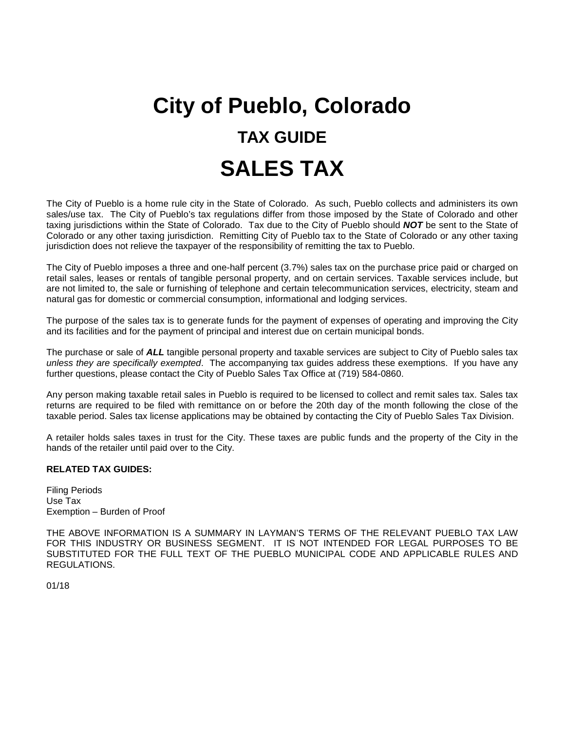# **City of Pueblo, Colorado TAX GUIDE SALES TAX**

The City of Pueblo is a home rule city in the State of Colorado. As such, Pueblo collects and administers its own sales/use tax. The City of Pueblo's tax regulations differ from those imposed by the State of Colorado and other taxing jurisdictions within the State of Colorado. Tax due to the City of Pueblo should *NOT* be sent to the State of Colorado or any other taxing jurisdiction. Remitting City of Pueblo tax to the State of Colorado or any other taxing jurisdiction does not relieve the taxpayer of the responsibility of remitting the tax to Pueblo.

The City of Pueblo imposes a three and one-half percent (3.7%) sales tax on the purchase price paid or charged on retail sales, leases or rentals of tangible personal property, and on certain services. Taxable services include, but are not limited to, the sale or furnishing of telephone and certain telecommunication services, electricity, steam and natural gas for domestic or commercial consumption, informational and lodging services.

The purpose of the sales tax is to generate funds for the payment of expenses of operating and improving the City and its facilities and for the payment of principal and interest due on certain municipal bonds.

The purchase or sale of *ALL* tangible personal property and taxable services are subject to City of Pueblo sales tax *unless they are specifically exempted*. The accompanying tax guides address these exemptions. If you have any further questions, please contact the City of Pueblo Sales Tax Office at (719) 584-0860.

Any person making taxable retail sales in Pueblo is required to be licensed to collect and remit sales tax. Sales tax returns are required to be filed with remittance on or before the 20th day of the month following the close of the taxable period. Sales tax license applications may be obtained by contacting the City of Pueblo Sales Tax Division.

A retailer holds sales taxes in trust for the City. These taxes are public funds and the property of the City in the hands of the retailer until paid over to the City.

#### **RELATED TAX GUIDES:**

Filing Periods Use Tax Exemption – Burden of Proof

THE ABOVE INFORMATION IS A SUMMARY IN LAYMAN'S TERMS OF THE RELEVANT PUEBLO TAX LAW FOR THIS INDUSTRY OR BUSINESS SEGMENT. IT IS NOT INTENDED FOR LEGAL PURPOSES TO BE SUBSTITUTED FOR THE FULL TEXT OF THE PUEBLO MUNICIPAL CODE AND APPLICABLE RULES AND REGULATIONS.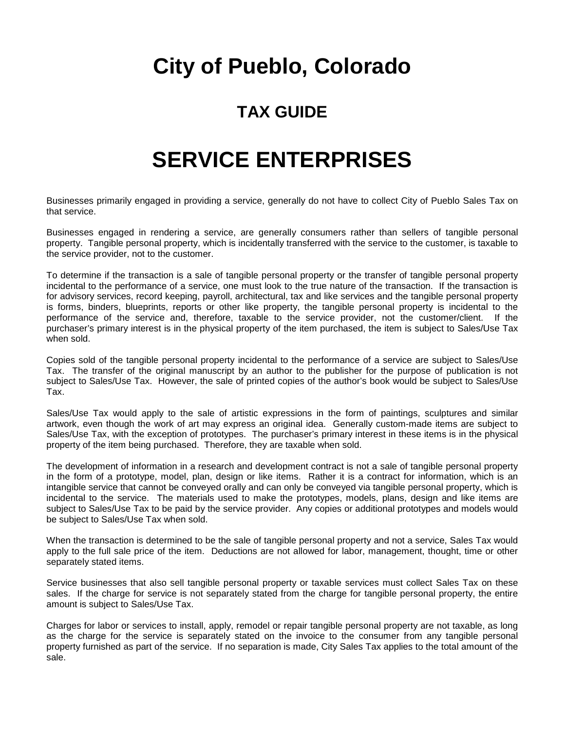### **TAX GUIDE**

### **SERVICE ENTERPRISES**

Businesses primarily engaged in providing a service, generally do not have to collect City of Pueblo Sales Tax on that service.

Businesses engaged in rendering a service, are generally consumers rather than sellers of tangible personal property. Tangible personal property, which is incidentally transferred with the service to the customer, is taxable to the service provider, not to the customer.

To determine if the transaction is a sale of tangible personal property or the transfer of tangible personal property incidental to the performance of a service, one must look to the true nature of the transaction. If the transaction is for advisory services, record keeping, payroll, architectural, tax and like services and the tangible personal property is forms, binders, blueprints, reports or other like property, the tangible personal property is incidental to the performance of the service and, therefore, taxable to the service provider, not the customer/client. If the purchaser's primary interest is in the physical property of the item purchased, the item is subject to Sales/Use Tax when sold.

Copies sold of the tangible personal property incidental to the performance of a service are subject to Sales/Use Tax. The transfer of the original manuscript by an author to the publisher for the purpose of publication is not subject to Sales/Use Tax. However, the sale of printed copies of the author's book would be subject to Sales/Use Tax.

Sales/Use Tax would apply to the sale of artistic expressions in the form of paintings, sculptures and similar artwork, even though the work of art may express an original idea. Generally custom-made items are subject to Sales/Use Tax, with the exception of prototypes. The purchaser's primary interest in these items is in the physical property of the item being purchased. Therefore, they are taxable when sold.

The development of information in a research and development contract is not a sale of tangible personal property in the form of a prototype, model, plan, design or like items. Rather it is a contract for information, which is an intangible service that cannot be conveyed orally and can only be conveyed via tangible personal property, which is incidental to the service. The materials used to make the prototypes, models, plans, design and like items are subject to Sales/Use Tax to be paid by the service provider. Any copies or additional prototypes and models would be subject to Sales/Use Tax when sold.

When the transaction is determined to be the sale of tangible personal property and not a service, Sales Tax would apply to the full sale price of the item. Deductions are not allowed for labor, management, thought, time or other separately stated items.

Service businesses that also sell tangible personal property or taxable services must collect Sales Tax on these sales. If the charge for service is not separately stated from the charge for tangible personal property, the entire amount is subject to Sales/Use Tax.

Charges for labor or services to install, apply, remodel or repair tangible personal property are not taxable, as long as the charge for the service is separately stated on the invoice to the consumer from any tangible personal property furnished as part of the service. If no separation is made, City Sales Tax applies to the total amount of the sale.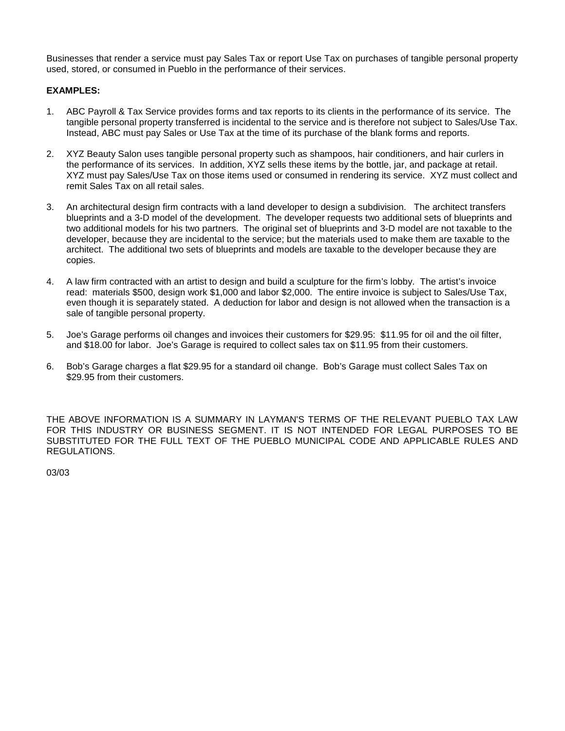Businesses that render a service must pay Sales Tax or report Use Tax on purchases of tangible personal property used, stored, or consumed in Pueblo in the performance of their services.

### **EXAMPLES:**

- 1. ABC Payroll & Tax Service provides forms and tax reports to its clients in the performance of its service. The tangible personal property transferred is incidental to the service and is therefore not subject to Sales/Use Tax. Instead, ABC must pay Sales or Use Tax at the time of its purchase of the blank forms and reports.
- 2. XYZ Beauty Salon uses tangible personal property such as shampoos, hair conditioners, and hair curlers in the performance of its services. In addition, XYZ sells these items by the bottle, jar, and package at retail. XYZ must pay Sales/Use Tax on those items used or consumed in rendering its service. XYZ must collect and remit Sales Tax on all retail sales.
- 3. An architectural design firm contracts with a land developer to design a subdivision. The architect transfers blueprints and a 3-D model of the development. The developer requests two additional sets of blueprints and two additional models for his two partners. The original set of blueprints and 3-D model are not taxable to the developer, because they are incidental to the service; but the materials used to make them are taxable to the architect. The additional two sets of blueprints and models are taxable to the developer because they are copies.
- 4. A law firm contracted with an artist to design and build a sculpture for the firm's lobby. The artist's invoice read: materials \$500, design work \$1,000 and labor \$2,000. The entire invoice is subject to Sales/Use Tax, even though it is separately stated. A deduction for labor and design is not allowed when the transaction is a sale of tangible personal property.
- 5. Joe's Garage performs oil changes and invoices their customers for \$29.95: \$11.95 for oil and the oil filter, and \$18.00 for labor. Joe's Garage is required to collect sales tax on \$11.95 from their customers.
- 6. Bob's Garage charges a flat \$29.95 for a standard oil change. Bob's Garage must collect Sales Tax on \$29.95 from their customers.

THE ABOVE INFORMATION IS A SUMMARY IN LAYMAN'S TERMS OF THE RELEVANT PUEBLO TAX LAW FOR THIS INDUSTRY OR BUSINESS SEGMENT. IT IS NOT INTENDED FOR LEGAL PURPOSES TO BE SUBSTITUTED FOR THE FULL TEXT OF THE PUEBLO MUNICIPAL CODE AND APPLICABLE RULES AND REGULATIONS.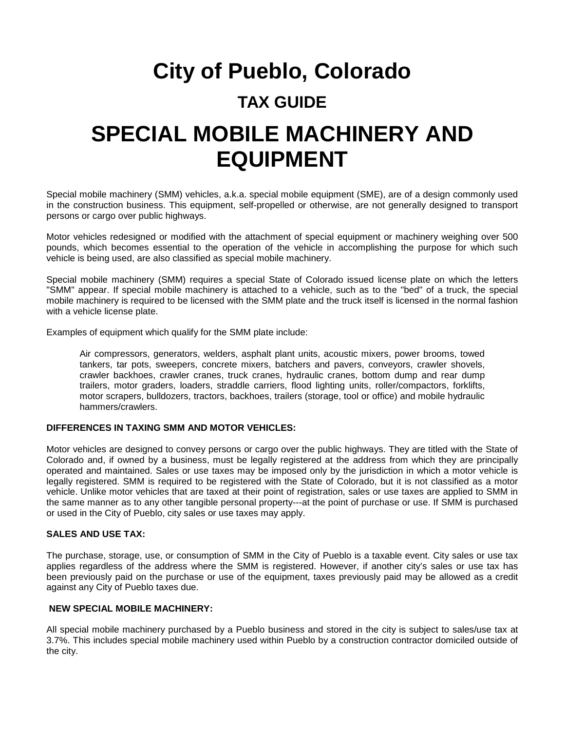### **TAX GUIDE**

### **SPECIAL MOBILE MACHINERY AND EQUIPMENT**

Special mobile machinery (SMM) vehicles, a.k.a. special mobile equipment (SME), are of a design commonly used in the construction business. This equipment, self-propelled or otherwise, are not generally designed to transport persons or cargo over public highways.

Motor vehicles redesigned or modified with the attachment of special equipment or machinery weighing over 500 pounds, which becomes essential to the operation of the vehicle in accomplishing the purpose for which such vehicle is being used, are also classified as special mobile machinery.

Special mobile machinery (SMM) requires a special State of Colorado issued license plate on which the letters "SMM" appear. If special mobile machinery is attached to a vehicle, such as to the "bed" of a truck, the special mobile machinery is required to be licensed with the SMM plate and the truck itself is licensed in the normal fashion with a vehicle license plate.

Examples of equipment which qualify for the SMM plate include:

Air compressors, generators, welders, asphalt plant units, acoustic mixers, power brooms, towed tankers, tar pots, sweepers, concrete mixers, batchers and pavers, conveyors, crawler shovels, crawler backhoes, crawler cranes, truck cranes, hydraulic cranes, bottom dump and rear dump trailers, motor graders, loaders, straddle carriers, flood lighting units, roller/compactors, forklifts, motor scrapers, bulldozers, tractors, backhoes, trailers (storage, tool or office) and mobile hydraulic hammers/crawlers.

### **DIFFERENCES IN TAXING SMM AND MOTOR VEHICLES:**

Motor vehicles are designed to convey persons or cargo over the public highways. They are titled with the State of Colorado and, if owned by a business, must be legally registered at the address from which they are principally operated and maintained. Sales or use taxes may be imposed only by the jurisdiction in which a motor vehicle is legally registered. SMM is required to be registered with the State of Colorado, but it is not classified as a motor vehicle. Unlike motor vehicles that are taxed at their point of registration, sales or use taxes are applied to SMM in the same manner as to any other tangible personal property---at the point of purchase or use. If SMM is purchased or used in the City of Pueblo, city sales or use taxes may apply.

#### **SALES AND USE TAX:**

The purchase, storage, use, or consumption of SMM in the City of Pueblo is a taxable event. City sales or use tax applies regardless of the address where the SMM is registered. However, if another city's sales or use tax has been previously paid on the purchase or use of the equipment, taxes previously paid may be allowed as a credit against any City of Pueblo taxes due.

### **NEW SPECIAL MOBILE MACHINERY:**

All special mobile machinery purchased by a Pueblo business and stored in the city is subject to sales/use tax at 3.7%. This includes special mobile machinery used within Pueblo by a construction contractor domiciled outside of the city.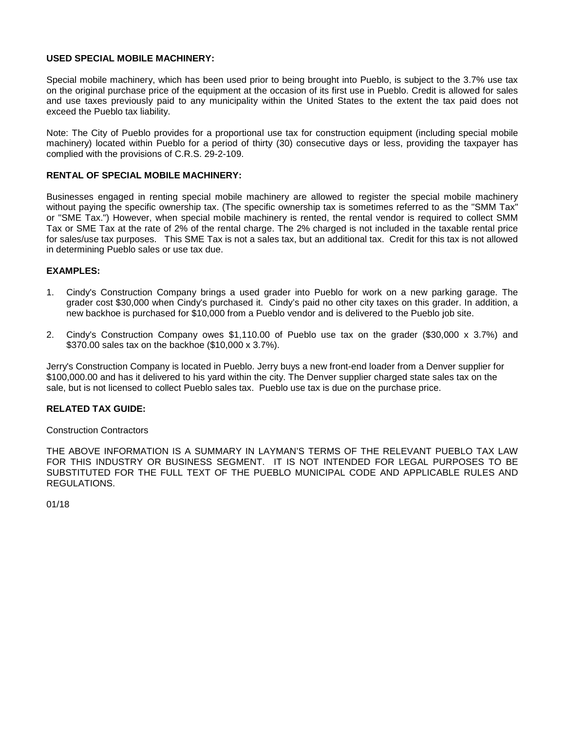### **USED SPECIAL MOBILE MACHINERY:**

Special mobile machinery, which has been used prior to being brought into Pueblo, is subject to the 3.7% use tax on the original purchase price of the equipment at the occasion of its first use in Pueblo. Credit is allowed for sales and use taxes previously paid to any municipality within the United States to the extent the tax paid does not exceed the Pueblo tax liability.

Note: The City of Pueblo provides for a proportional use tax for construction equipment (including special mobile machinery) located within Pueblo for a period of thirty (30) consecutive days or less, providing the taxpayer has complied with the provisions of C.R.S. 29-2-109.

### **RENTAL OF SPECIAL MOBILE MACHINERY:**

Businesses engaged in renting special mobile machinery are allowed to register the special mobile machinery without paying the specific ownership tax. (The specific ownership tax is sometimes referred to as the "SMM Tax" or "SME Tax.") However, when special mobile machinery is rented, the rental vendor is required to collect SMM Tax or SME Tax at the rate of 2% of the rental charge. The 2% charged is not included in the taxable rental price for sales/use tax purposes. This SME Tax is not a sales tax, but an additional tax. Credit for this tax is not allowed in determining Pueblo sales or use tax due.

#### **EXAMPLES:**

- 1. Cindy's Construction Company brings a used grader into Pueblo for work on a new parking garage. The grader cost \$30,000 when Cindy's purchased it. Cindy's paid no other city taxes on this grader. In addition, a new backhoe is purchased for \$10,000 from a Pueblo vendor and is delivered to the Pueblo job site.
- 2. Cindy's Construction Company owes \$1,110.00 of Pueblo use tax on the grader (\$30,000 x 3.7%) and \$370.00 sales tax on the backhoe (\$10,000 x 3.7%).

Jerry's Construction Company is located in Pueblo. Jerry buys a new front-end loader from a Denver supplier for \$100,000.00 and has it delivered to his yard within the city. The Denver supplier charged state sales tax on the sale, but is not licensed to collect Pueblo sales tax. Pueblo use tax is due on the purchase price.

#### **RELATED TAX GUIDE:**

Construction Contractors

THE ABOVE INFORMATION IS A SUMMARY IN LAYMAN'S TERMS OF THE RELEVANT PUEBLO TAX LAW FOR THIS INDUSTRY OR BUSINESS SEGMENT. IT IS NOT INTENDED FOR LEGAL PURPOSES TO BE SUBSTITUTED FOR THE FULL TEXT OF THE PUEBLO MUNICIPAL CODE AND APPLICABLE RULES AND REGULATIONS.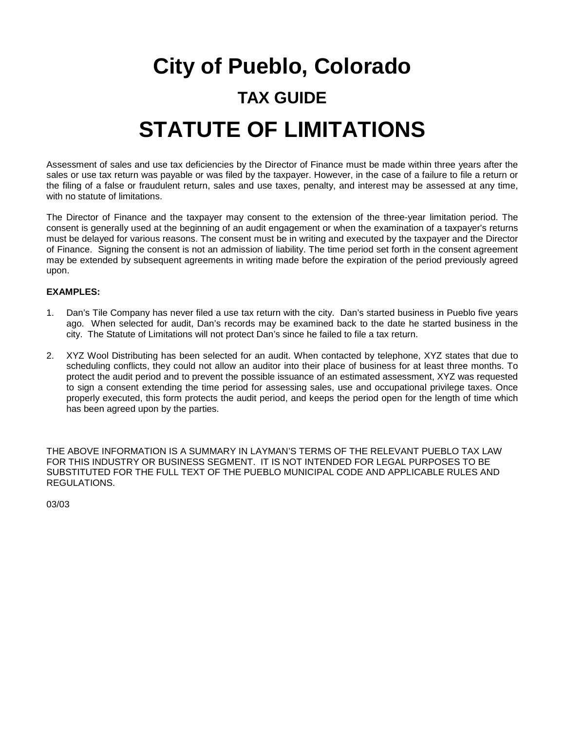# **City of Pueblo, Colorado TAX GUIDE STATUTE OF LIMITATIONS**

Assessment of sales and use tax deficiencies by the Director of Finance must be made within three years after the sales or use tax return was payable or was filed by the taxpayer. However, in the case of a failure to file a return or the filing of a false or fraudulent return, sales and use taxes, penalty, and interest may be assessed at any time, with no statute of limitations.

The Director of Finance and the taxpayer may consent to the extension of the three-year limitation period. The consent is generally used at the beginning of an audit engagement or when the examination of a taxpayer's returns must be delayed for various reasons. The consent must be in writing and executed by the taxpayer and the Director of Finance. Signing the consent is not an admission of liability. The time period set forth in the consent agreement may be extended by subsequent agreements in writing made before the expiration of the period previously agreed upon.

### **EXAMPLES:**

- 1. Dan's Tile Company has never filed a use tax return with the city. Dan's started business in Pueblo five years ago. When selected for audit, Dan's records may be examined back to the date he started business in the city. The Statute of Limitations will not protect Dan's since he failed to file a tax return.
- 2. XYZ Wool Distributing has been selected for an audit. When contacted by telephone, XYZ states that due to scheduling conflicts, they could not allow an auditor into their place of business for at least three months. To protect the audit period and to prevent the possible issuance of an estimated assessment, XYZ was requested to sign a consent extending the time period for assessing sales, use and occupational privilege taxes. Once properly executed, this form protects the audit period, and keeps the period open for the length of time which has been agreed upon by the parties.

THE ABOVE INFORMATION IS A SUMMARY IN LAYMAN'S TERMS OF THE RELEVANT PUEBLO TAX LAW FOR THIS INDUSTRY OR BUSINESS SEGMENT. IT IS NOT INTENDED FOR LEGAL PURPOSES TO BE SUBSTITUTED FOR THE FULL TEXT OF THE PUEBLO MUNICIPAL CODE AND APPLICABLE RULES AND REGULATIONS.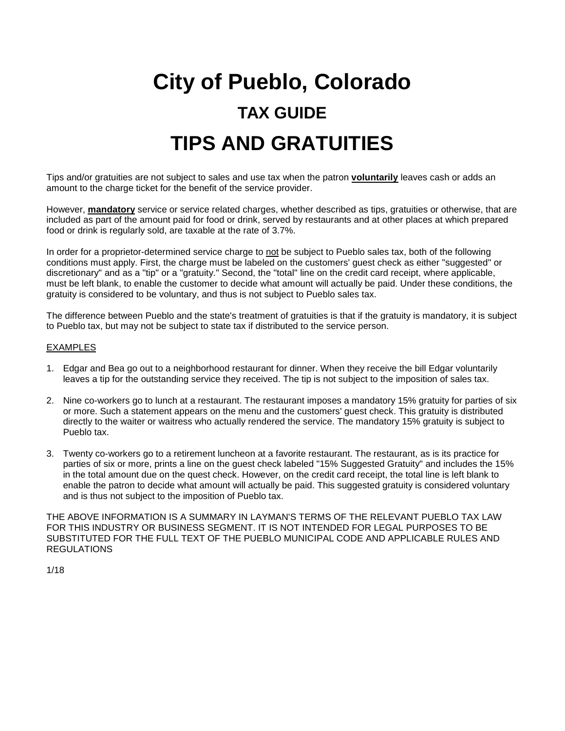# **City of Pueblo, Colorado TAX GUIDE TIPS AND GRATUITIES**

Tips and/or gratuities are not subject to sales and use tax when the patron **voluntarily** leaves cash or adds an amount to the charge ticket for the benefit of the service provider.

However, **mandatory** service or service related charges, whether described as tips, gratuities or otherwise, that are included as part of the amount paid for food or drink, served by restaurants and at other places at which prepared food or drink is regularly sold, are taxable at the rate of 3.7%.

In order for a proprietor-determined service charge to not be subject to Pueblo sales tax, both of the following conditions must apply. First, the charge must be labeled on the customers' guest check as either "suggested" or discretionary" and as a "tip" or a "gratuity." Second, the "total" line on the credit card receipt, where applicable, must be left blank, to enable the customer to decide what amount will actually be paid. Under these conditions, the gratuity is considered to be voluntary, and thus is not subject to Pueblo sales tax.

The difference between Pueblo and the state's treatment of gratuities is that if the gratuity is mandatory, it is subject to Pueblo tax, but may not be subject to state tax if distributed to the service person.

#### EXAMPLES

- 1. Edgar and Bea go out to a neighborhood restaurant for dinner. When they receive the bill Edgar voluntarily leaves a tip for the outstanding service they received. The tip is not subject to the imposition of sales tax.
- 2. Nine co-workers go to lunch at a restaurant. The restaurant imposes a mandatory 15% gratuity for parties of six or more. Such a statement appears on the menu and the customers' guest check. This gratuity is distributed directly to the waiter or waitress who actually rendered the service. The mandatory 15% gratuity is subject to Pueblo tax.
- 3. Twenty co-workers go to a retirement luncheon at a favorite restaurant. The restaurant, as is its practice for parties of six or more, prints a line on the guest check labeled "15% Suggested Gratuity" and includes the 15% in the total amount due on the quest check. However, on the credit card receipt, the total line is left blank to enable the patron to decide what amount will actually be paid. This suggested gratuity is considered voluntary and is thus not subject to the imposition of Pueblo tax.

THE ABOVE INFORMATION IS A SUMMARY IN LAYMAN'S TERMS OF THE RELEVANT PUEBLO TAX LAW FOR THIS INDUSTRY OR BUSINESS SEGMENT. IT IS NOT INTENDED FOR LEGAL PURPOSES TO BE SUBSTITUTED FOR THE FULL TEXT OF THE PUEBLO MUNICIPAL CODE AND APPLICABLE RULES AND **REGULATIONS**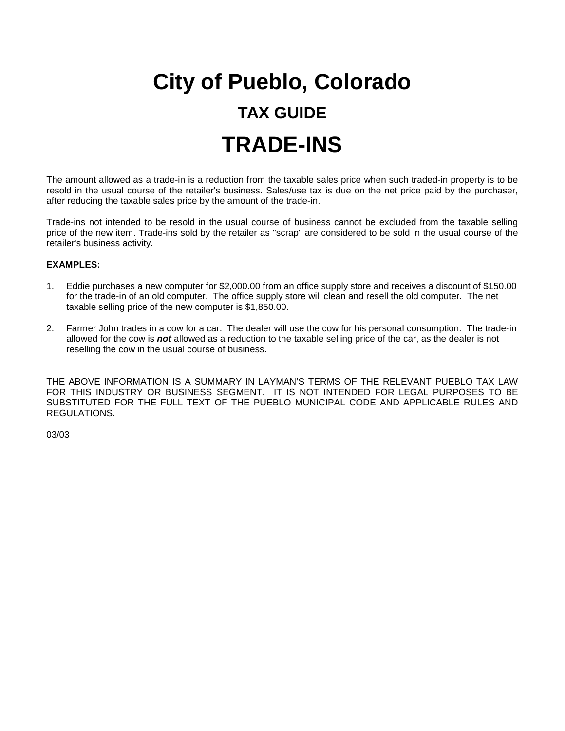# **City of Pueblo, Colorado TAX GUIDE TRADE-INS**

The amount allowed as a trade-in is a reduction from the taxable sales price when such traded-in property is to be resold in the usual course of the retailer's business. Sales/use tax is due on the net price paid by the purchaser, after reducing the taxable sales price by the amount of the trade-in.

Trade-ins not intended to be resold in the usual course of business cannot be excluded from the taxable selling price of the new item. Trade-ins sold by the retailer as "scrap" are considered to be sold in the usual course of the retailer's business activity.

### **EXAMPLES:**

- 1. Eddie purchases a new computer for \$2,000.00 from an office supply store and receives a discount of \$150.00 for the trade-in of an old computer. The office supply store will clean and resell the old computer. The net taxable selling price of the new computer is \$1,850.00.
- 2. Farmer John trades in a cow for a car. The dealer will use the cow for his personal consumption. The trade-in allowed for the cow is *not* allowed as a reduction to the taxable selling price of the car, as the dealer is not reselling the cow in the usual course of business.

THE ABOVE INFORMATION IS A SUMMARY IN LAYMAN'S TERMS OF THE RELEVANT PUEBLO TAX LAW FOR THIS INDUSTRY OR BUSINESS SEGMENT. IT IS NOT INTENDED FOR LEGAL PURPOSES TO BE SUBSTITUTED FOR THE FULL TEXT OF THE PUEBLO MUNICIPAL CODE AND APPLICABLE RULES AND REGULATIONS.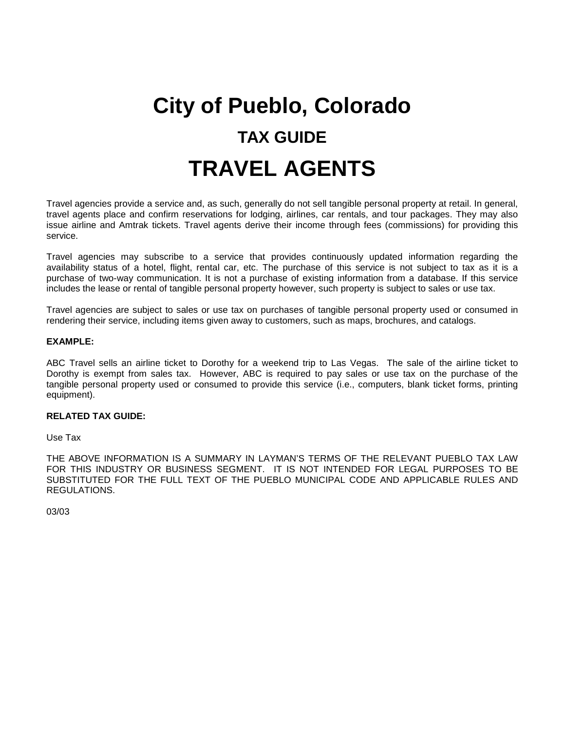# **City of Pueblo, Colorado TAX GUIDE TRAVEL AGENTS**

Travel agencies provide a service and, as such, generally do not sell tangible personal property at retail. In general, travel agents place and confirm reservations for lodging, airlines, car rentals, and tour packages. They may also issue airline and Amtrak tickets. Travel agents derive their income through fees (commissions) for providing this service.

Travel agencies may subscribe to a service that provides continuously updated information regarding the availability status of a hotel, flight, rental car, etc. The purchase of this service is not subject to tax as it is a purchase of two-way communication. It is not a purchase of existing information from a database. If this service includes the lease or rental of tangible personal property however, such property is subject to sales or use tax.

Travel agencies are subject to sales or use tax on purchases of tangible personal property used or consumed in rendering their service, including items given away to customers, such as maps, brochures, and catalogs.

#### **EXAMPLE:**

ABC Travel sells an airline ticket to Dorothy for a weekend trip to Las Vegas. The sale of the airline ticket to Dorothy is exempt from sales tax. However, ABC is required to pay sales or use tax on the purchase of the tangible personal property used or consumed to provide this service (i.e., computers, blank ticket forms, printing equipment).

#### **RELATED TAX GUIDE:**

Use Tax

THE ABOVE INFORMATION IS A SUMMARY IN LAYMAN'S TERMS OF THE RELEVANT PUEBLO TAX LAW FOR THIS INDUSTRY OR BUSINESS SEGMENT. IT IS NOT INTENDED FOR LEGAL PURPOSES TO BE SUBSTITUTED FOR THE FULL TEXT OF THE PUEBLO MUNICIPAL CODE AND APPLICABLE RULES AND REGULATIONS.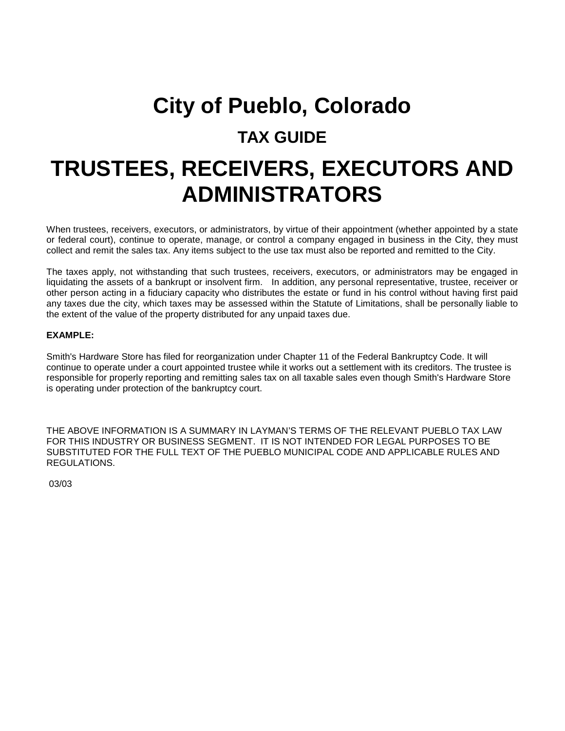### **TAX GUIDE**

### **TRUSTEES, RECEIVERS, EXECUTORS AND ADMINISTRATORS**

When trustees, receivers, executors, or administrators, by virtue of their appointment (whether appointed by a state or federal court), continue to operate, manage, or control a company engaged in business in the City, they must collect and remit the sales tax. Any items subject to the use tax must also be reported and remitted to the City.

The taxes apply, not withstanding that such trustees, receivers, executors, or administrators may be engaged in liquidating the assets of a bankrupt or insolvent firm. In addition, any personal representative, trustee, receiver or other person acting in a fiduciary capacity who distributes the estate or fund in his control without having first paid any taxes due the city, which taxes may be assessed within the Statute of Limitations, shall be personally liable to the extent of the value of the property distributed for any unpaid taxes due.

### **EXAMPLE:**

Smith's Hardware Store has filed for reorganization under Chapter 11 of the Federal Bankruptcy Code. It will continue to operate under a court appointed trustee while it works out a settlement with its creditors. The trustee is responsible for properly reporting and remitting sales tax on all taxable sales even though Smith's Hardware Store is operating under protection of the bankruptcy court.

THE ABOVE INFORMATION IS A SUMMARY IN LAYMAN'S TERMS OF THE RELEVANT PUEBLO TAX LAW FOR THIS INDUSTRY OR BUSINESS SEGMENT. IT IS NOT INTENDED FOR LEGAL PURPOSES TO BE SUBSTITUTED FOR THE FULL TEXT OF THE PUEBLO MUNICIPAL CODE AND APPLICABLE RULES AND REGULATIONS.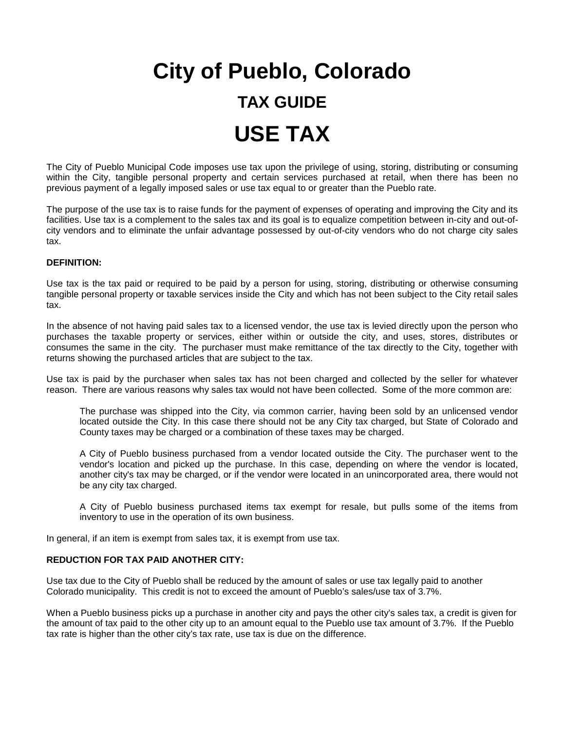# **City of Pueblo, Colorado TAX GUIDE USE TAX**

The City of Pueblo Municipal Code imposes use tax upon the privilege of using, storing, distributing or consuming within the City, tangible personal property and certain services purchased at retail, when there has been no previous payment of a legally imposed sales or use tax equal to or greater than the Pueblo rate.

The purpose of the use tax is to raise funds for the payment of expenses of operating and improving the City and its facilities. Use tax is a complement to the sales tax and its goal is to equalize competition between in-city and out-ofcity vendors and to eliminate the unfair advantage possessed by out-of-city vendors who do not charge city sales tax.

#### **DEFINITION:**

Use tax is the tax paid or required to be paid by a person for using, storing, distributing or otherwise consuming tangible personal property or taxable services inside the City and which has not been subject to the City retail sales tax.

In the absence of not having paid sales tax to a licensed vendor, the use tax is levied directly upon the person who purchases the taxable property or services, either within or outside the city, and uses, stores, distributes or consumes the same in the city. The purchaser must make remittance of the tax directly to the City, together with returns showing the purchased articles that are subject to the tax.

Use tax is paid by the purchaser when sales tax has not been charged and collected by the seller for whatever reason. There are various reasons why sales tax would not have been collected. Some of the more common are:

The purchase was shipped into the City, via common carrier, having been sold by an unlicensed vendor located outside the City. In this case there should not be any City tax charged, but State of Colorado and County taxes may be charged or a combination of these taxes may be charged.

A City of Pueblo business purchased from a vendor located outside the City. The purchaser went to the vendor's location and picked up the purchase. In this case, depending on where the vendor is located, another city's tax may be charged, or if the vendor were located in an unincorporated area, there would not be any city tax charged.

A City of Pueblo business purchased items tax exempt for resale, but pulls some of the items from inventory to use in the operation of its own business.

In general, if an item is exempt from sales tax, it is exempt from use tax.

#### **REDUCTION FOR TAX PAID ANOTHER CITY:**

Use tax due to the City of Pueblo shall be reduced by the amount of sales or use tax legally paid to another Colorado municipality. This credit is not to exceed the amount of Pueblo's sales/use tax of 3.7%.

When a Pueblo business picks up a purchase in another city and pays the other city's sales tax, a credit is given for the amount of tax paid to the other city up to an amount equal to the Pueblo use tax amount of 3.7%. If the Pueblo tax rate is higher than the other city's tax rate, use tax is due on the difference.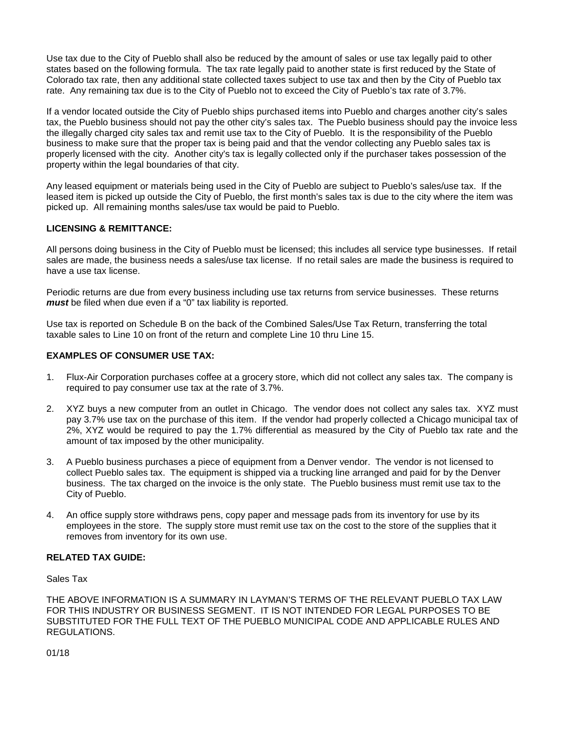Use tax due to the City of Pueblo shall also be reduced by the amount of sales or use tax legally paid to other states based on the following formula. The tax rate legally paid to another state is first reduced by the State of Colorado tax rate, then any additional state collected taxes subject to use tax and then by the City of Pueblo tax rate. Any remaining tax due is to the City of Pueblo not to exceed the City of Pueblo's tax rate of 3.7%.

If a vendor located outside the City of Pueblo ships purchased items into Pueblo and charges another city's sales tax, the Pueblo business should not pay the other city's sales tax. The Pueblo business should pay the invoice less the illegally charged city sales tax and remit use tax to the City of Pueblo. It is the responsibility of the Pueblo business to make sure that the proper tax is being paid and that the vendor collecting any Pueblo sales tax is properly licensed with the city. Another city's tax is legally collected only if the purchaser takes possession of the property within the legal boundaries of that city.

Any leased equipment or materials being used in the City of Pueblo are subject to Pueblo's sales/use tax. If the leased item is picked up outside the City of Pueblo, the first month's sales tax is due to the city where the item was picked up. All remaining months sales/use tax would be paid to Pueblo.

### **LICENSING & REMITTANCE:**

All persons doing business in the City of Pueblo must be licensed; this includes all service type businesses. If retail sales are made, the business needs a sales/use tax license. If no retail sales are made the business is required to have a use tax license.

Periodic returns are due from every business including use tax returns from service businesses. These returns *must* be filed when due even if a "0" tax liability is reported.

Use tax is reported on Schedule B on the back of the Combined Sales/Use Tax Return, transferring the total taxable sales to Line 10 on front of the return and complete Line 10 thru Line 15.

### **EXAMPLES OF CONSUMER USE TAX:**

- 1. Flux-Air Corporation purchases coffee at a grocery store, which did not collect any sales tax. The company is required to pay consumer use tax at the rate of 3.7%.
- 2. XYZ buys a new computer from an outlet in Chicago. The vendor does not collect any sales tax. XYZ must pay 3.7% use tax on the purchase of this item. If the vendor had properly collected a Chicago municipal tax of 2%, XYZ would be required to pay the 1.7% differential as measured by the City of Pueblo tax rate and the amount of tax imposed by the other municipality.
- 3. A Pueblo business purchases a piece of equipment from a Denver vendor. The vendor is not licensed to collect Pueblo sales tax. The equipment is shipped via a trucking line arranged and paid for by the Denver business. The tax charged on the invoice is the only state. The Pueblo business must remit use tax to the City of Pueblo.
- 4. An office supply store withdraws pens, copy paper and message pads from its inventory for use by its employees in the store. The supply store must remit use tax on the cost to the store of the supplies that it removes from inventory for its own use.

### **RELATED TAX GUIDE:**

Sales Tax

THE ABOVE INFORMATION IS A SUMMARY IN LAYMAN'S TERMS OF THE RELEVANT PUEBLO TAX LAW FOR THIS INDUSTRY OR BUSINESS SEGMENT. IT IS NOT INTENDED FOR LEGAL PURPOSES TO BE SUBSTITUTED FOR THE FULL TEXT OF THE PUEBLO MUNICIPAL CODE AND APPLICABLE RULES AND REGULATIONS.

01/18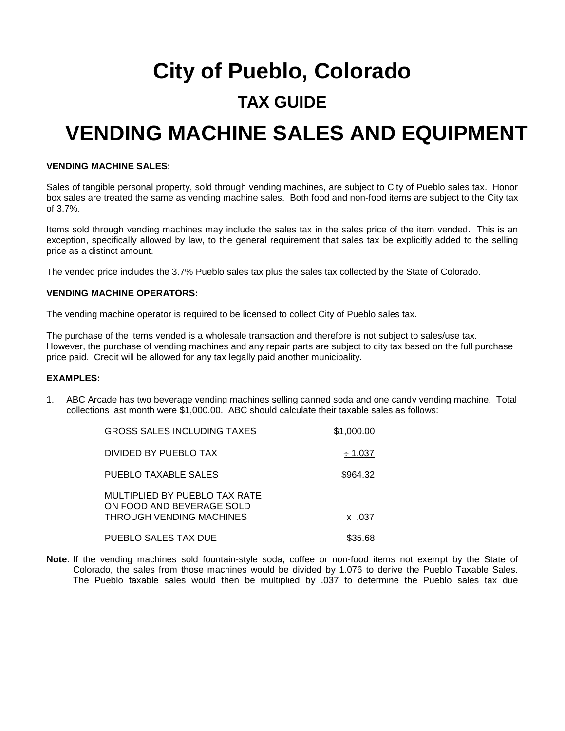# **City of Pueblo, Colorado**

### **TAX GUIDE**

## **VENDING MACHINE SALES AND EQUIPMENT**

### **VENDING MACHINE SALES:**

Sales of tangible personal property, sold through vending machines, are subject to City of Pueblo sales tax. Honor box sales are treated the same as vending machine sales. Both food and non-food items are subject to the City tax of 3.7%.

Items sold through vending machines may include the sales tax in the sales price of the item vended. This is an exception, specifically allowed by law, to the general requirement that sales tax be explicitly added to the selling price as a distinct amount.

The vended price includes the 3.7% Pueblo sales tax plus the sales tax collected by the State of Colorado.

### **VENDING MACHINE OPERATORS:**

The vending machine operator is required to be licensed to collect City of Pueblo sales tax.

The purchase of the items vended is a wholesale transaction and therefore is not subject to sales/use tax. However, the purchase of vending machines and any repair parts are subject to city tax based on the full purchase price paid. Credit will be allowed for any tax legally paid another municipality.

### **EXAMPLES:**

1. ABC Arcade has two beverage vending machines selling canned soda and one candy vending machine. Total collections last month were \$1,000.00. ABC should calculate their taxable sales as follows:

| <b>GROSS SALES INCLUDING TAXES</b>                                                     | \$1,000.00   |
|----------------------------------------------------------------------------------------|--------------|
| DIVIDED BY PUEBLO TAX                                                                  | $\div$ 1.037 |
| PUEBLO TAXABLE SALES                                                                   | \$964.32     |
| MULTIPLIED BY PUEBLO TAX RATE<br>ON FOOD AND BEVERAGE SOLD<br>THROUGH VENDING MACHINES | x .037       |
| PUEBLO SALES TAX DUE                                                                   | \$35.68      |

**Note**: If the vending machines sold fountain-style soda, coffee or non-food items not exempt by the State of Colorado, the sales from those machines would be divided by 1.076 to derive the Pueblo Taxable Sales. The Pueblo taxable sales would then be multiplied by .037 to determine the Pueblo sales tax due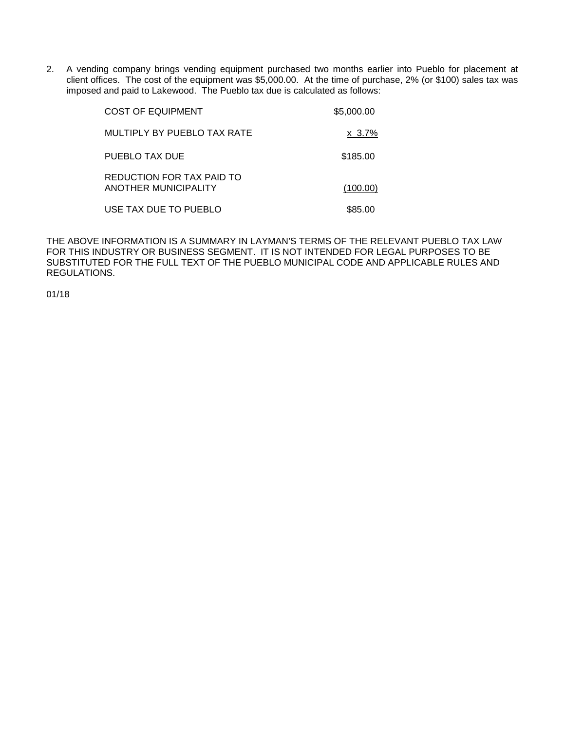2. A vending company brings vending equipment purchased two months earlier into Pueblo for placement at client offices. The cost of the equipment was \$5,000.00. At the time of purchase, 2% (or \$100) sales tax was imposed and paid to Lakewood. The Pueblo tax due is calculated as follows:

| COST OF EQUIPMENT                                 | \$5,000.00   |
|---------------------------------------------------|--------------|
| MULTIPLY BY PUEBLO TAX RATE                       | $x \, 3.7\%$ |
| PUEBLO TAX DUE                                    | \$185.00     |
| REDUCTION FOR TAX PAID TO<br>ANOTHER MUNICIPALITY | (100.00)     |
| USE TAX DUE TO PUEBLO                             | \$85.00      |

THE ABOVE INFORMATION IS A SUMMARY IN LAYMAN'S TERMS OF THE RELEVANT PUEBLO TAX LAW FOR THIS INDUSTRY OR BUSINESS SEGMENT. IT IS NOT INTENDED FOR LEGAL PURPOSES TO BE SUBSTITUTED FOR THE FULL TEXT OF THE PUEBLO MUNICIPAL CODE AND APPLICABLE RULES AND REGULATIONS.

01/18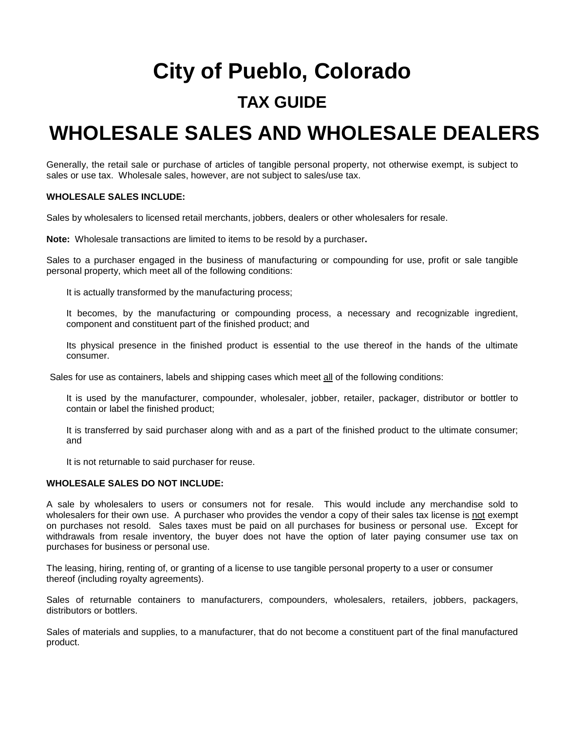## **City of Pueblo, Colorado**

### **TAX GUIDE**

### **WHOLESALE SALES AND WHOLESALE DEALERS**

Generally, the retail sale or purchase of articles of tangible personal property, not otherwise exempt, is subject to sales or use tax. Wholesale sales, however, are not subject to sales/use tax.

### **WHOLESALE SALES INCLUDE:**

Sales by wholesalers to licensed retail merchants, jobbers, dealers or other wholesalers for resale.

**Note:** Wholesale transactions are limited to items to be resold by a purchaser**.**

Sales to a purchaser engaged in the business of manufacturing or compounding for use, profit or sale tangible personal property, which meet all of the following conditions:

It is actually transformed by the manufacturing process;

It becomes, by the manufacturing or compounding process, a necessary and recognizable ingredient, component and constituent part of the finished product; and

Its physical presence in the finished product is essential to the use thereof in the hands of the ultimate consumer.

Sales for use as containers, labels and shipping cases which meet all of the following conditions:

It is used by the manufacturer, compounder, wholesaler, jobber, retailer, packager, distributor or bottler to contain or label the finished product;

It is transferred by said purchaser along with and as a part of the finished product to the ultimate consumer; and

It is not returnable to said purchaser for reuse.

### **WHOLESALE SALES DO NOT INCLUDE:**

A sale by wholesalers to users or consumers not for resale. This would include any merchandise sold to wholesalers for their own use. A purchaser who provides the vendor a copy of their sales tax license is not exempt on purchases not resold. Sales taxes must be paid on all purchases for business or personal use. Except for withdrawals from resale inventory, the buyer does not have the option of later paying consumer use tax on purchases for business or personal use.

The leasing, hiring, renting of, or granting of a license to use tangible personal property to a user or consumer thereof (including royalty agreements).

Sales of returnable containers to manufacturers, compounders, wholesalers, retailers, jobbers, packagers, distributors or bottlers.

Sales of materials and supplies, to a manufacturer, that do not become a constituent part of the final manufactured product.